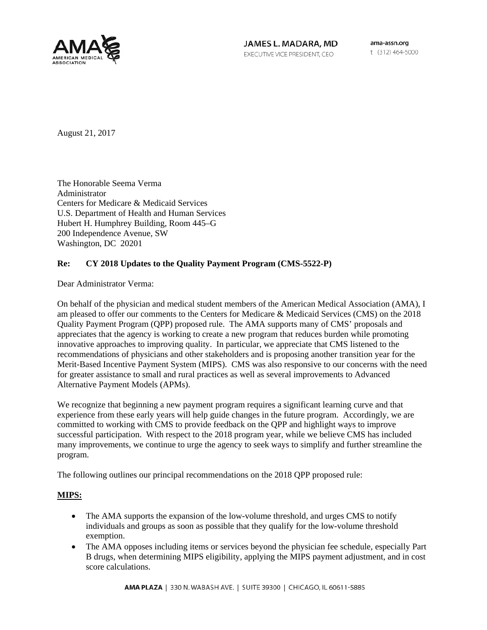

JAMES L. MADARA, MD EXECUTIVE VICE PRESIDENT, CEO

ama-assn.org t (312) 464-5000

August 21, 2017

The Honorable Seema Verma Administrator Centers for Medicare & Medicaid Services U.S. Department of Health and Human Services Hubert H. Humphrey Building, Room 445–G 200 Independence Avenue, SW Washington, DC 20201

## **Re: CY 2018 Updates to the Quality Payment Program (CMS-5522-P)**

Dear Administrator Verma:

On behalf of the physician and medical student members of the American Medical Association (AMA), I am pleased to offer our comments to the Centers for Medicare & Medicaid Services (CMS) on the 2018 Quality Payment Program (QPP) proposed rule. The AMA supports many of CMS' proposals and appreciates that the agency is working to create a new program that reduces burden while promoting innovative approaches to improving quality. In particular, we appreciate that CMS listened to the recommendations of physicians and other stakeholders and is proposing another transition year for the Merit-Based Incentive Payment System (MIPS). CMS was also responsive to our concerns with the need for greater assistance to small and rural practices as well as several improvements to Advanced Alternative Payment Models (APMs).

We recognize that beginning a new payment program requires a significant learning curve and that experience from these early years will help guide changes in the future program. Accordingly, we are committed to working with CMS to provide feedback on the QPP and highlight ways to improve successful participation. With respect to the 2018 program year, while we believe CMS has included many improvements, we continue to urge the agency to seek ways to simplify and further streamline the program.

The following outlines our principal recommendations on the 2018 QPP proposed rule:

### **MIPS:**

- The AMA supports the expansion of the low-volume threshold, and urges CMS to notify individuals and groups as soon as possible that they qualify for the low-volume threshold exemption.
- The AMA opposes including items or services beyond the physician fee schedule, especially Part B drugs, when determining MIPS eligibility, applying the MIPS payment adjustment, and in cost score calculations.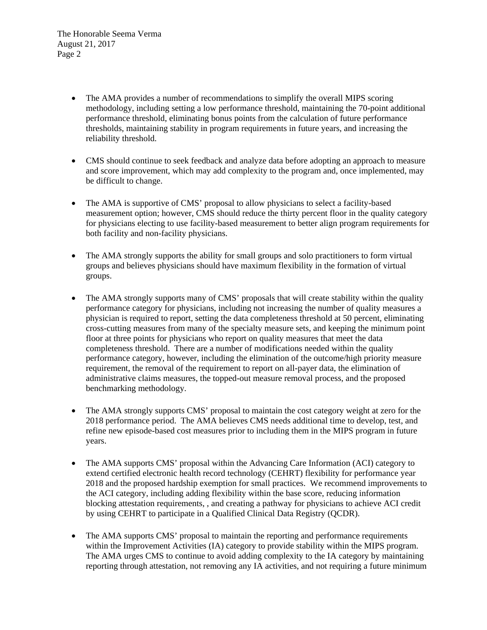- The AMA provides a number of recommendations to simplify the overall MIPS scoring methodology, including setting a low performance threshold, maintaining the 70-point additional performance threshold, eliminating bonus points from the calculation of future performance thresholds, maintaining stability in program requirements in future years, and increasing the reliability threshold.
- CMS should continue to seek feedback and analyze data before adopting an approach to measure and score improvement, which may add complexity to the program and, once implemented, may be difficult to change.
- The AMA is supportive of CMS' proposal to allow physicians to select a facility-based measurement option; however, CMS should reduce the thirty percent floor in the quality category for physicians electing to use facility-based measurement to better align program requirements for both facility and non-facility physicians.
- The AMA strongly supports the ability for small groups and solo practitioners to form virtual groups and believes physicians should have maximum flexibility in the formation of virtual groups.
- The AMA strongly supports many of CMS' proposals that will create stability within the quality performance category for physicians, including not increasing the number of quality measures a physician is required to report, setting the data completeness threshold at 50 percent, eliminating cross-cutting measures from many of the specialty measure sets, and keeping the minimum point floor at three points for physicians who report on quality measures that meet the data completeness threshold. There are a number of modifications needed within the quality performance category, however, including the elimination of the outcome/high priority measure requirement, the removal of the requirement to report on all-payer data, the elimination of administrative claims measures, the topped-out measure removal process, and the proposed benchmarking methodology.
- The AMA strongly supports CMS' proposal to maintain the cost category weight at zero for the 2018 performance period. The AMA believes CMS needs additional time to develop, test, and refine new episode-based cost measures prior to including them in the MIPS program in future years.
- The AMA supports CMS' proposal within the Advancing Care Information (ACI) category to extend certified electronic health record technology (CEHRT) flexibility for performance year 2018 and the proposed hardship exemption for small practices. We recommend improvements to the ACI category, including adding flexibility within the base score, reducing information blocking attestation requirements, , and creating a pathway for physicians to achieve ACI credit by using CEHRT to participate in a Qualified Clinical Data Registry (QCDR).
- The AMA supports CMS' proposal to maintain the reporting and performance requirements within the Improvement Activities (IA) category to provide stability within the MIPS program. The AMA urges CMS to continue to avoid adding complexity to the IA category by maintaining reporting through attestation, not removing any IA activities, and not requiring a future minimum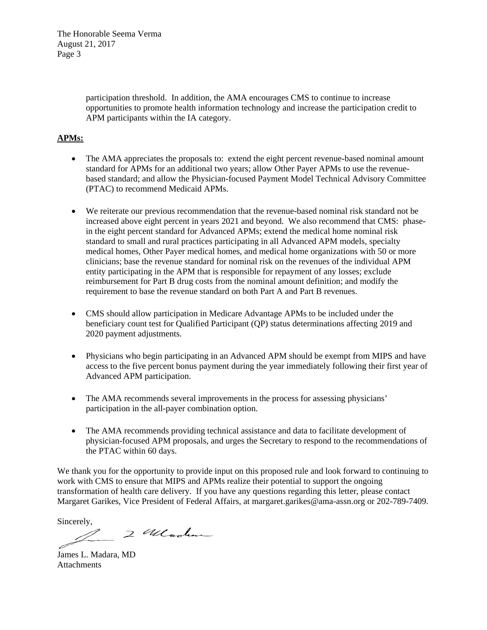> participation threshold. In addition, the AMA encourages CMS to continue to increase opportunities to promote health information technology and increase the participation credit to APM participants within the IA category.

# **APMs:**

- The AMA appreciates the proposals to: extend the eight percent revenue-based nominal amount standard for APMs for an additional two years; allow Other Payer APMs to use the revenuebased standard; and allow the Physician-focused Payment Model Technical Advisory Committee (PTAC) to recommend Medicaid APMs.
- We reiterate our previous recommendation that the revenue-based nominal risk standard not be increased above eight percent in years 2021 and beyond. We also recommend that CMS: phasein the eight percent standard for Advanced APMs; extend the medical home nominal risk standard to small and rural practices participating in all Advanced APM models, specialty medical homes, Other Payer medical homes, and medical home organizations with 50 or more clinicians; base the revenue standard for nominal risk on the revenues of the individual APM entity participating in the APM that is responsible for repayment of any losses; exclude reimbursement for Part B drug costs from the nominal amount definition; and modify the requirement to base the revenue standard on both Part A and Part B revenues.
- CMS should allow participation in Medicare Advantage APMs to be included under the beneficiary count test for Qualified Participant (QP) status determinations affecting 2019 and 2020 payment adjustments.
- Physicians who begin participating in an Advanced APM should be exempt from MIPS and have access to the five percent bonus payment during the year immediately following their first year of Advanced APM participation.
- The AMA recommends several improvements in the process for assessing physicians' participation in the all-payer combination option.
- The AMA recommends providing technical assistance and data to facilitate development of physician-focused APM proposals, and urges the Secretary to respond to the recommendations of the PTAC within 60 days.

We thank you for the opportunity to provide input on this proposed rule and look forward to continuing to work with CMS to ensure that MIPS and APMs realize their potential to support the ongoing transformation of health care delivery. If you have any questions regarding this letter, please contact Margaret Garikes, Vice President of Federal Affairs, at margaret.garikes@ama-assn.org or 202-789-7409.

Sincerely,

2 Wlooker

James L. Madara, MD Attachments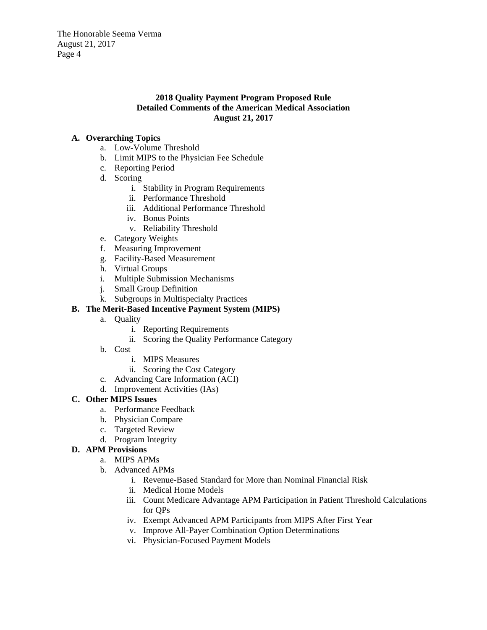### **2018 Quality Payment Program Proposed Rule Detailed Comments of the American Medical Association August 21, 2017**

## **A. Overarching Topics**

- a. Low-Volume Threshold
- b. Limit MIPS to the Physician Fee Schedule
- c. Reporting Period
- d. Scoring
	- i. Stability in Program Requirements
	- ii. Performance Threshold
	- iii. Additional Performance Threshold
	- iv. Bonus Points
	- v. Reliability Threshold
- e. Category Weights
- f. Measuring Improvement
- g. Facility-Based Measurement
- h. Virtual Groups
- i. Multiple Submission Mechanisms
- j. Small Group Definition
- k. Subgroups in Multispecialty Practices

## **B. The Merit-Based Incentive Payment System (MIPS)**

- a. Quality
	- i. Reporting Requirements
	- ii. Scoring the Quality Performance Category
- b. Cost
	- i. MIPS Measures
	- ii. Scoring the Cost Category
- c. Advancing Care Information (ACI)
- d. Improvement Activities (IAs)

# **C. Other MIPS Issues**

- a. Performance Feedback
- b. Physician Compare
- c. Targeted Review
- d. Program Integrity

# **D. APM Provisions**

- a. MIPS APMs
- b. Advanced APMs
	- i. Revenue-Based Standard for More than Nominal Financial Risk
	- ii. Medical Home Models
	- iii. Count Medicare Advantage APM Participation in Patient Threshold Calculations for QPs
	- iv. Exempt Advanced APM Participants from MIPS After First Year
	- v. Improve All-Payer Combination Option Determinations
	- vi. Physician-Focused Payment Models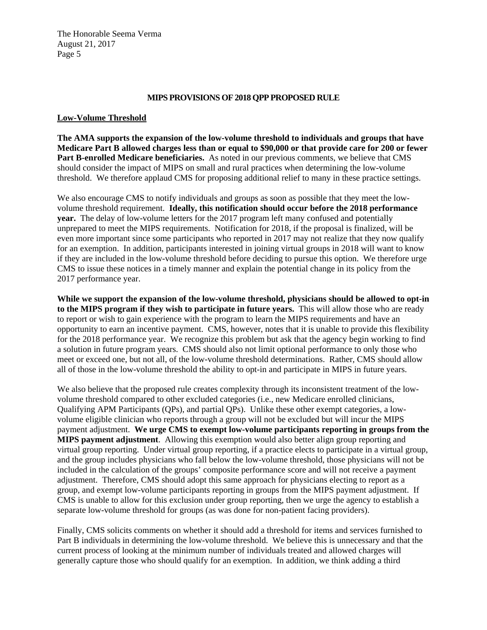#### **MIPS PROVISIONS OF 2018 QPP PROPOSED RULE**

#### **Low-Volume Threshold**

**The AMA supports the expansion of the low-volume threshold to individuals and groups that have Medicare Part B allowed charges less than or equal to \$90,000 or that provide care for 200 or fewer Part B-enrolled Medicare beneficiaries.** As noted in our previous comments, we believe that CMS should consider the impact of MIPS on small and rural practices when determining the low-volume threshold. We therefore applaud CMS for proposing additional relief to many in these practice settings.

We also encourage CMS to notify individuals and groups as soon as possible that they meet the lowvolume threshold requirement. **Ideally, this notification should occur before the 2018 performance year.** The delay of low-volume letters for the 2017 program left many confused and potentially unprepared to meet the MIPS requirements. Notification for 2018, if the proposal is finalized, will be even more important since some participants who reported in 2017 may not realize that they now qualify for an exemption. In addition, participants interested in joining virtual groups in 2018 will want to know if they are included in the low-volume threshold before deciding to pursue this option. We therefore urge CMS to issue these notices in a timely manner and explain the potential change in its policy from the 2017 performance year.

**While we support the expansion of the low-volume threshold, physicians should be allowed to opt-in to the MIPS program if they wish to participate in future years.** This will allow those who are ready to report or wish to gain experience with the program to learn the MIPS requirements and have an opportunity to earn an incentive payment. CMS, however, notes that it is unable to provide this flexibility for the 2018 performance year. We recognize this problem but ask that the agency begin working to find a solution in future program years. CMS should also not limit optional performance to only those who meet or exceed one, but not all, of the low-volume threshold determinations. Rather, CMS should allow all of those in the low-volume threshold the ability to opt-in and participate in MIPS in future years.

We also believe that the proposed rule creates complexity through its inconsistent treatment of the lowvolume threshold compared to other excluded categories (i.e., new Medicare enrolled clinicians, Qualifying APM Participants (QPs), and partial QPs). Unlike these other exempt categories, a lowvolume eligible clinician who reports through a group will not be excluded but will incur the MIPS payment adjustment. **We urge CMS to exempt low-volume participants reporting in groups from the MIPS payment adjustment**. Allowing this exemption would also better align group reporting and virtual group reporting. Under virtual group reporting, if a practice elects to participate in a virtual group, and the group includes physicians who fall below the low-volume threshold, those physicians will not be included in the calculation of the groups' composite performance score and will not receive a payment adjustment. Therefore, CMS should adopt this same approach for physicians electing to report as a group, and exempt low-volume participants reporting in groups from the MIPS payment adjustment. If CMS is unable to allow for this exclusion under group reporting, then we urge the agency to establish a separate low-volume threshold for groups (as was done for non-patient facing providers).

Finally, CMS solicits comments on whether it should add a threshold for items and services furnished to Part B individuals in determining the low-volume threshold. We believe this is unnecessary and that the current process of looking at the minimum number of individuals treated and allowed charges will generally capture those who should qualify for an exemption. In addition, we think adding a third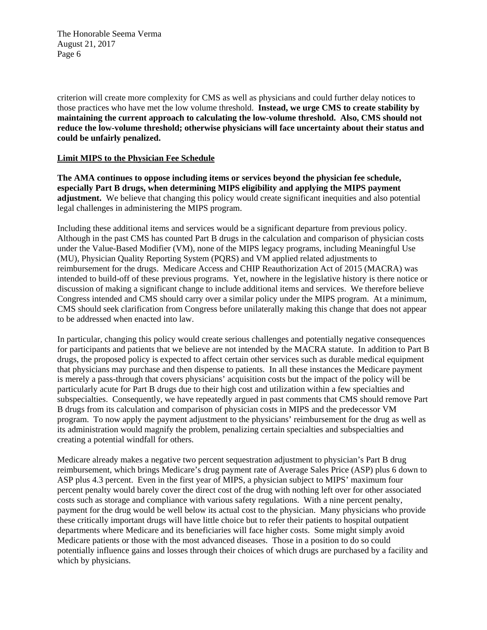criterion will create more complexity for CMS as well as physicians and could further delay notices to those practices who have met the low volume threshold. **Instead, we urge CMS to create stability by maintaining the current approach to calculating the low-volume threshold. Also, CMS should not reduce the low-volume threshold; otherwise physicians will face uncertainty about their status and could be unfairly penalized.** 

### **Limit MIPS to the Physician Fee Schedule**

**The AMA continues to oppose including items or services beyond the physician fee schedule, especially Part B drugs, when determining MIPS eligibility and applying the MIPS payment adjustment.** We believe that changing this policy would create significant inequities and also potential legal challenges in administering the MIPS program.

Including these additional items and services would be a significant departure from previous policy. Although in the past CMS has counted Part B drugs in the calculation and comparison of physician costs under the Value-Based Modifier (VM), none of the MIPS legacy programs, including Meaningful Use (MU), Physician Quality Reporting System (PQRS) and VM applied related adjustments to reimbursement for the drugs. Medicare Access and CHIP Reauthorization Act of 2015 (MACRA) was intended to build-off of these previous programs. Yet, nowhere in the legislative history is there notice or discussion of making a significant change to include additional items and services. We therefore believe Congress intended and CMS should carry over a similar policy under the MIPS program. At a minimum, CMS should seek clarification from Congress before unilaterally making this change that does not appear to be addressed when enacted into law.

In particular, changing this policy would create serious challenges and potentially negative consequences for participants and patients that we believe are not intended by the MACRA statute. In addition to Part B drugs, the proposed policy is expected to affect certain other services such as durable medical equipment that physicians may purchase and then dispense to patients. In all these instances the Medicare payment is merely a pass-through that covers physicians' acquisition costs but the impact of the policy will be particularly acute for Part B drugs due to their high cost and utilization within a few specialties and subspecialties. Consequently, we have repeatedly argued in past comments that CMS should remove Part B drugs from its calculation and comparison of physician costs in MIPS and the predecessor VM program. To now apply the payment adjustment to the physicians' reimbursement for the drug as well as its administration would magnify the problem, penalizing certain specialties and subspecialties and creating a potential windfall for others.

Medicare already makes a negative two percent sequestration adjustment to physician's Part B drug reimbursement, which brings Medicare's drug payment rate of Average Sales Price (ASP) plus 6 down to ASP plus 4.3 percent. Even in the first year of MIPS, a physician subject to MIPS' maximum four percent penalty would barely cover the direct cost of the drug with nothing left over for other associated costs such as storage and compliance with various safety regulations. With a nine percent penalty, payment for the drug would be well below its actual cost to the physician. Many physicians who provide these critically important drugs will have little choice but to refer their patients to hospital outpatient departments where Medicare and its beneficiaries will face higher costs. Some might simply avoid Medicare patients or those with the most advanced diseases. Those in a position to do so could potentially influence gains and losses through their choices of which drugs are purchased by a facility and which by physicians.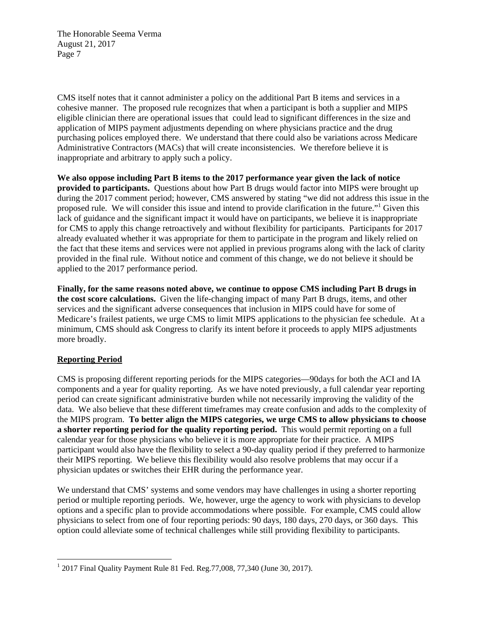CMS itself notes that it cannot administer a policy on the additional Part B items and services in a cohesive manner. The proposed rule recognizes that when a participant is both a supplier and MIPS eligible clinician there are operational issues that could lead to significant differences in the size and application of MIPS payment adjustments depending on where physicians practice and the drug purchasing polices employed there. We understand that there could also be variations across Medicare Administrative Contractors (MACs) that will create inconsistencies. We therefore believe it is inappropriate and arbitrary to apply such a policy.

**We also oppose including Part B items to the 2017 performance year given the lack of notice provided to participants.** Questions about how Part B drugs would factor into MIPS were brought up during the 2017 comment period; however, CMS answered by stating "we did not address this issue in the proposed rule. We will consider this issue and intend to provide clarification in the future."<sup>1</sup> Given this lack of guidance and the significant impact it would have on participants, we believe it is inappropriate for CMS to apply this change retroactively and without flexibility for participants. Participants for 2017 already evaluated whether it was appropriate for them to participate in the program and likely relied on the fact that these items and services were not applied in previous programs along with the lack of clarity provided in the final rule. Without notice and comment of this change, we do not believe it should be applied to the 2017 performance period.

**Finally, for the same reasons noted above, we continue to oppose CMS including Part B drugs in the cost score calculations.** Given the life-changing impact of many Part B drugs, items, and other services and the significant adverse consequences that inclusion in MIPS could have for some of Medicare's frailest patients, we urge CMS to limit MIPS applications to the physician fee schedule. At a minimum, CMS should ask Congress to clarify its intent before it proceeds to apply MIPS adjustments more broadly.

# **Reporting Period**

CMS is proposing different reporting periods for the MIPS categories—90days for both the ACI and IA components and a year for quality reporting. As we have noted previously, a full calendar year reporting period can create significant administrative burden while not necessarily improving the validity of the data. We also believe that these different timeframes may create confusion and adds to the complexity of the MIPS program. **To better align the MIPS categories, we urge CMS to allow physicians to choose a shorter reporting period for the quality reporting period.** This would permit reporting on a full calendar year for those physicians who believe it is more appropriate for their practice. A MIPS participant would also have the flexibility to select a 90-day quality period if they preferred to harmonize their MIPS reporting. We believe this flexibility would also resolve problems that may occur if a physician updates or switches their EHR during the performance year.

We understand that CMS' systems and some vendors may have challenges in using a shorter reporting period or multiple reporting periods. We, however, urge the agency to work with physicians to develop options and a specific plan to provide accommodations where possible. For example, CMS could allow physicians to select from one of four reporting periods: 90 days, 180 days, 270 days, or 360 days. This option could alleviate some of technical challenges while still providing flexibility to participants.

 <sup>1</sup> 2017 Final Quality Payment Rule 81 Fed. Reg.  $77,008, 77,340$  (June 30, 2017).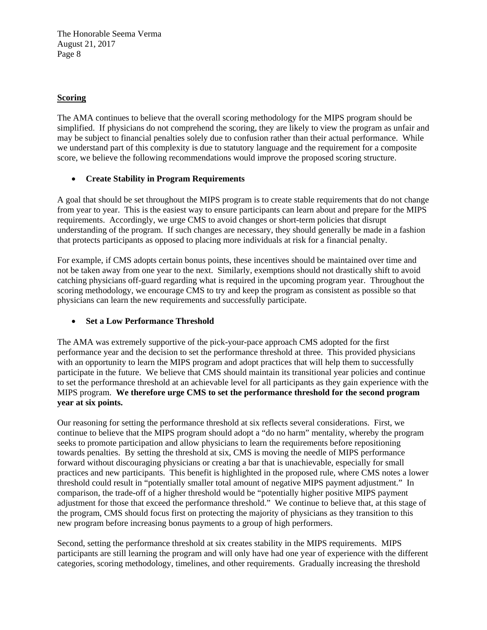## **Scoring**

The AMA continues to believe that the overall scoring methodology for the MIPS program should be simplified. If physicians do not comprehend the scoring, they are likely to view the program as unfair and may be subject to financial penalties solely due to confusion rather than their actual performance. While we understand part of this complexity is due to statutory language and the requirement for a composite score, we believe the following recommendations would improve the proposed scoring structure.

## **Create Stability in Program Requirements**

A goal that should be set throughout the MIPS program is to create stable requirements that do not change from year to year. This is the easiest way to ensure participants can learn about and prepare for the MIPS requirements. Accordingly, we urge CMS to avoid changes or short-term policies that disrupt understanding of the program. If such changes are necessary, they should generally be made in a fashion that protects participants as opposed to placing more individuals at risk for a financial penalty.

For example, if CMS adopts certain bonus points, these incentives should be maintained over time and not be taken away from one year to the next. Similarly, exemptions should not drastically shift to avoid catching physicians off-guard regarding what is required in the upcoming program year. Throughout the scoring methodology, we encourage CMS to try and keep the program as consistent as possible so that physicians can learn the new requirements and successfully participate.

# **Set a Low Performance Threshold**

The AMA was extremely supportive of the pick-your-pace approach CMS adopted for the first performance year and the decision to set the performance threshold at three. This provided physicians with an opportunity to learn the MIPS program and adopt practices that will help them to successfully participate in the future. We believe that CMS should maintain its transitional year policies and continue to set the performance threshold at an achievable level for all participants as they gain experience with the MIPS program. **We therefore urge CMS to set the performance threshold for the second program year at six points.** 

Our reasoning for setting the performance threshold at six reflects several considerations. First, we continue to believe that the MIPS program should adopt a "do no harm" mentality, whereby the program seeks to promote participation and allow physicians to learn the requirements before repositioning towards penalties. By setting the threshold at six, CMS is moving the needle of MIPS performance forward without discouraging physicians or creating a bar that is unachievable, especially for small practices and new participants. This benefit is highlighted in the proposed rule, where CMS notes a lower threshold could result in "potentially smaller total amount of negative MIPS payment adjustment." In comparison, the trade-off of a higher threshold would be "potentially higher positive MIPS payment adjustment for those that exceed the performance threshold." We continue to believe that, at this stage of the program, CMS should focus first on protecting the majority of physicians as they transition to this new program before increasing bonus payments to a group of high performers.

Second, setting the performance threshold at six creates stability in the MIPS requirements. MIPS participants are still learning the program and will only have had one year of experience with the different categories, scoring methodology, timelines, and other requirements. Gradually increasing the threshold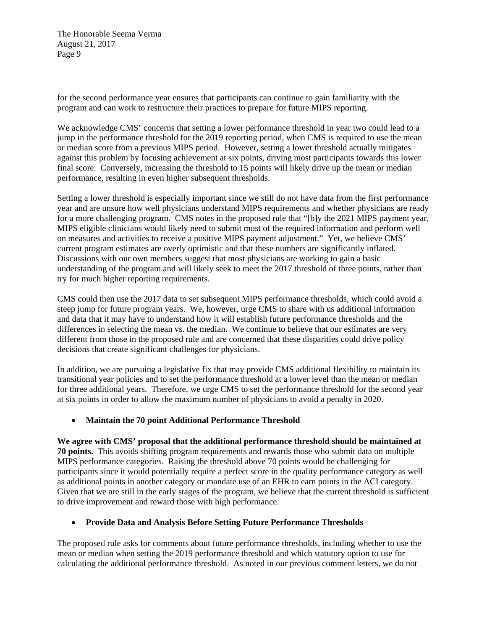for the second performance year ensures that participants can continue to gain familiarity with the program and can work to restructure their practices to prepare for future MIPS reporting.

We acknowledge CMS' concerns that setting a lower performance threshold in year two could lead to a jump in the performance threshold for the 2019 reporting period, when CMS is required to use the mean or median score from a previous MIPS period. However, setting a lower threshold actually mitigates against this problem by focusing achievement at six points, driving most participants towards this lower final score. Conversely, increasing the threshold to 15 points will likely drive up the mean or median performance, resulting in even higher subsequent thresholds.

Setting a lower threshold is especially important since we still do not have data from the first performance year and are unsure how well physicians understand MIPS requirements and whether physicians are ready for a more challenging program. CMS notes in the proposed rule that "[b]y the 2021 MIPS payment year, MIPS eligible clinicians would likely need to submit most of the required information and perform well on measures and activities to receive a positive MIPS payment adjustment." Yet, we believe CMS' current program estimates are overly optimistic and that these numbers are significantly inflated. Discussions with our own members suggest that most physicians are working to gain a basic understanding of the program and will likely seek to meet the 2017 threshold of three points, rather than try for much higher reporting requirements.

CMS could then use the 2017 data to set subsequent MIPS performance thresholds, which could avoid a steep jump for future program years. We, however, urge CMS to share with us additional information and data that it may have to understand how it will establish future performance thresholds and the differences in selecting the mean vs. the median. We continue to believe that our estimates are very different from those in the proposed rule and are concerned that these disparities could drive policy decisions that create significant challenges for physicians.

In addition, we are pursuing a legislative fix that may provide CMS additional flexibility to maintain its transitional year policies and to set the performance threshold at a lower level than the mean or median for three additional years. Therefore, we urge CMS to set the performance threshold for the second year at six points in order to allow the maximum number of physicians to avoid a penalty in 2020.

### **Maintain the 70 point Additional Performance Threshold**

**We agree with CMS' proposal that the additional performance threshold should be maintained at 70 points.** This avoids shifting program requirements and rewards those who submit data on multiple MIPS performance categories. Raising the threshold above 70 points would be challenging for participants since it would potentially require a perfect score in the quality performance category as well as additional points in another category or mandate use of an EHR to earn points in the ACI category. Given that we are still in the early stages of the program, we believe that the current threshold is sufficient to drive improvement and reward those with high performance.

# **Provide Data and Analysis Before Setting Future Performance Thresholds**

The proposed rule asks for comments about future performance thresholds, including whether to use the mean or median when setting the 2019 performance threshold and which statutory option to use for calculating the additional performance threshold. As noted in our previous comment letters, we do not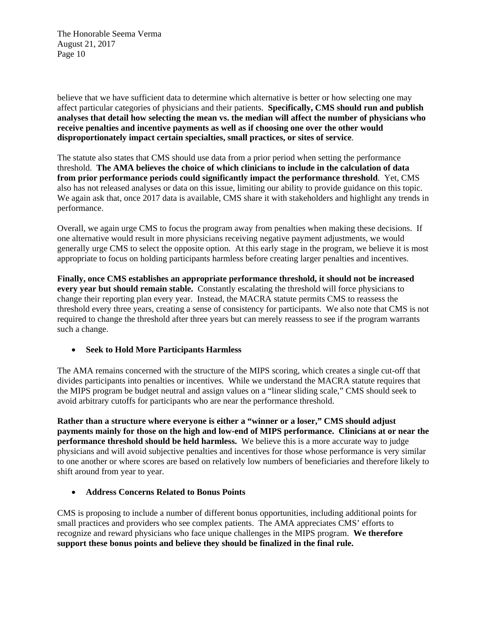believe that we have sufficient data to determine which alternative is better or how selecting one may affect particular categories of physicians and their patients. **Specifically, CMS should run and publish analyses that detail how selecting the mean vs. the median will affect the number of physicians who receive penalties and incentive payments as well as if choosing one over the other would disproportionately impact certain specialties, small practices, or sites of service**.

The statute also states that CMS should use data from a prior period when setting the performance threshold. **The AMA believes the choice of which clinicians to include in the calculation of data from prior performance periods could significantly impact the performance threshold**. Yet, CMS also has not released analyses or data on this issue, limiting our ability to provide guidance on this topic. We again ask that, once 2017 data is available, CMS share it with stakeholders and highlight any trends in performance.

Overall, we again urge CMS to focus the program away from penalties when making these decisions. If one alternative would result in more physicians receiving negative payment adjustments, we would generally urge CMS to select the opposite option. At this early stage in the program, we believe it is most appropriate to focus on holding participants harmless before creating larger penalties and incentives.

**Finally, once CMS establishes an appropriate performance threshold, it should not be increased every year but should remain stable.** Constantly escalating the threshold will force physicians to change their reporting plan every year. Instead, the MACRA statute permits CMS to reassess the threshold every three years, creating a sense of consistency for participants. We also note that CMS is not required to change the threshold after three years but can merely reassess to see if the program warrants such a change.

### **Seek to Hold More Participants Harmless**

The AMA remains concerned with the structure of the MIPS scoring, which creates a single cut-off that divides participants into penalties or incentives. While we understand the MACRA statute requires that the MIPS program be budget neutral and assign values on a "linear sliding scale," CMS should seek to avoid arbitrary cutoffs for participants who are near the performance threshold.

**Rather than a structure where everyone is either a "winner or a loser," CMS should adjust payments mainly for those on the high and low-end of MIPS performance. Clinicians at or near the performance threshold should be held harmless.** We believe this is a more accurate way to judge physicians and will avoid subjective penalties and incentives for those whose performance is very similar to one another or where scores are based on relatively low numbers of beneficiaries and therefore likely to shift around from year to year.

### **Address Concerns Related to Bonus Points**

CMS is proposing to include a number of different bonus opportunities, including additional points for small practices and providers who see complex patients. The AMA appreciates CMS' efforts to recognize and reward physicians who face unique challenges in the MIPS program. **We therefore support these bonus points and believe they should be finalized in the final rule.**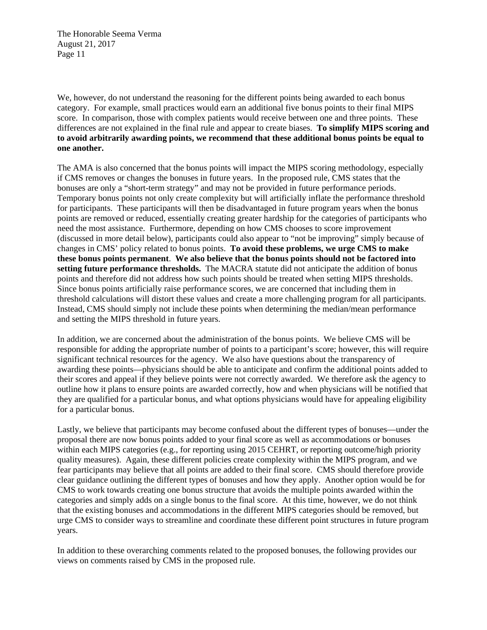We, however, do not understand the reasoning for the different points being awarded to each bonus category. For example, small practices would earn an additional five bonus points to their final MIPS score. In comparison, those with complex patients would receive between one and three points. These differences are not explained in the final rule and appear to create biases. **To simplify MIPS scoring and to avoid arbitrarily awarding points, we recommend that these additional bonus points be equal to one another.**

The AMA is also concerned that the bonus points will impact the MIPS scoring methodology, especially if CMS removes or changes the bonuses in future years. In the proposed rule, CMS states that the bonuses are only a "short-term strategy" and may not be provided in future performance periods. Temporary bonus points not only create complexity but will artificially inflate the performance threshold for participants. These participants will then be disadvantaged in future program years when the bonus points are removed or reduced, essentially creating greater hardship for the categories of participants who need the most assistance. Furthermore, depending on how CMS chooses to score improvement (discussed in more detail below), participants could also appear to "not be improving" simply because of changes in CMS' policy related to bonus points. **To avoid these problems, we urge CMS to make these bonus points permanent**. **We also believe that the bonus points should not be factored into setting future performance thresholds.** The MACRA statute did not anticipate the addition of bonus points and therefore did not address how such points should be treated when setting MIPS thresholds. Since bonus points artificially raise performance scores, we are concerned that including them in threshold calculations will distort these values and create a more challenging program for all participants. Instead, CMS should simply not include these points when determining the median/mean performance and setting the MIPS threshold in future years.

In addition, we are concerned about the administration of the bonus points. We believe CMS will be responsible for adding the appropriate number of points to a participant's score; however, this will require significant technical resources for the agency. We also have questions about the transparency of awarding these points—physicians should be able to anticipate and confirm the additional points added to their scores and appeal if they believe points were not correctly awarded. We therefore ask the agency to outline how it plans to ensure points are awarded correctly, how and when physicians will be notified that they are qualified for a particular bonus, and what options physicians would have for appealing eligibility for a particular bonus.

Lastly, we believe that participants may become confused about the different types of bonuses—under the proposal there are now bonus points added to your final score as well as accommodations or bonuses within each MIPS categories (e.g., for reporting using 2015 CEHRT, or reporting outcome/high priority quality measures). Again, these different policies create complexity within the MIPS program, and we fear participants may believe that all points are added to their final score. CMS should therefore provide clear guidance outlining the different types of bonuses and how they apply. Another option would be for CMS to work towards creating one bonus structure that avoids the multiple points awarded within the categories and simply adds on a single bonus to the final score. At this time, however, we do not think that the existing bonuses and accommodations in the different MIPS categories should be removed, but urge CMS to consider ways to streamline and coordinate these different point structures in future program years.

In addition to these overarching comments related to the proposed bonuses, the following provides our views on comments raised by CMS in the proposed rule.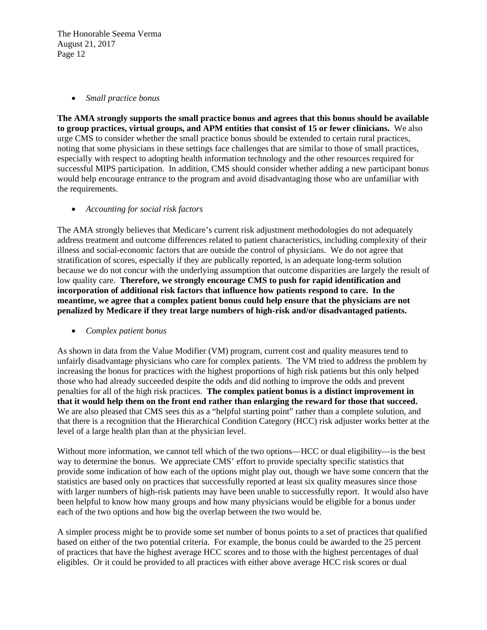#### *Small practice bonus*

**The AMA strongly supports the small practice bonus and agrees that this bonus should be available to group practices, virtual groups, and APM entities that consist of 15 or fewer clinicians.** We also urge CMS to consider whether the small practice bonus should be extended to certain rural practices, noting that some physicians in these settings face challenges that are similar to those of small practices, especially with respect to adopting health information technology and the other resources required for successful MIPS participation. In addition, CMS should consider whether adding a new participant bonus would help encourage entrance to the program and avoid disadvantaging those who are unfamiliar with the requirements.

*Accounting for social risk factors* 

The AMA strongly believes that Medicare's current risk adjustment methodologies do not adequately address treatment and outcome differences related to patient characteristics, including complexity of their illness and social-economic factors that are outside the control of physicians. We do not agree that stratification of scores, especially if they are publically reported, is an adequate long-term solution because we do not concur with the underlying assumption that outcome disparities are largely the result of low quality care. **Therefore, we strongly encourage CMS to push for rapid identification and incorporation of additional risk factors that influence how patients respond to care. In the meantime, we agree that a complex patient bonus could help ensure that the physicians are not penalized by Medicare if they treat large numbers of high-risk and/or disadvantaged patients.** 

*Complex patient bonus* 

As shown in data from the Value Modifier (VM) program, current cost and quality measures tend to unfairly disadvantage physicians who care for complex patients. The VM tried to address the problem by increasing the bonus for practices with the highest proportions of high risk patients but this only helped those who had already succeeded despite the odds and did nothing to improve the odds and prevent penalties for all of the high risk practices. **The complex patient bonus is a distinct improvement in that it would help them on the front end rather than enlarging the reward for those that succeed.**  We are also pleased that CMS sees this as a "helpful starting point" rather than a complete solution, and that there is a recognition that the Hierarchical Condition Category (HCC) risk adjuster works better at the level of a large health plan than at the physician level.

Without more information, we cannot tell which of the two options—HCC or dual eligibility—is the best way to determine the bonus. We appreciate CMS' effort to provide specialty specific statistics that provide some indication of how each of the options might play out, though we have some concern that the statistics are based only on practices that successfully reported at least six quality measures since those with larger numbers of high-risk patients may have been unable to successfully report. It would also have been helpful to know how many groups and how many physicians would be eligible for a bonus under each of the two options and how big the overlap between the two would be.

A simpler process might be to provide some set number of bonus points to a set of practices that qualified based on either of the two potential criteria. For example, the bonus could be awarded to the 25 percent of practices that have the highest average HCC scores and to those with the highest percentages of dual eligibles. Or it could be provided to all practices with either above average HCC risk scores or dual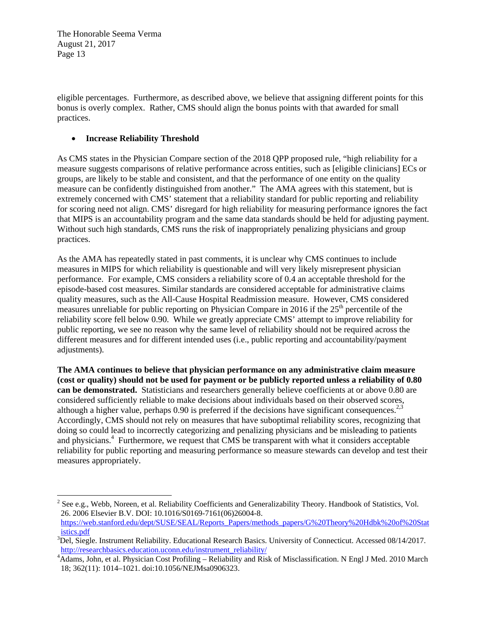eligible percentages. Furthermore, as described above, we believe that assigning different points for this bonus is overly complex. Rather, CMS should align the bonus points with that awarded for small practices.

### **Increase Reliability Threshold**

 

As CMS states in the Physician Compare section of the 2018 QPP proposed rule, "high reliability for a measure suggests comparisons of relative performance across entities, such as [eligible clinicians] ECs or groups, are likely to be stable and consistent, and that the performance of one entity on the quality measure can be confidently distinguished from another." The AMA agrees with this statement, but is extremely concerned with CMS' statement that a reliability standard for public reporting and reliability for scoring need not align. CMS' disregard for high reliability for measuring performance ignores the fact that MIPS is an accountability program and the same data standards should be held for adjusting payment. Without such high standards, CMS runs the risk of inappropriately penalizing physicians and group practices.

As the AMA has repeatedly stated in past comments, it is unclear why CMS continues to include measures in MIPS for which reliability is questionable and will very likely misrepresent physician performance. For example, CMS considers a reliability score of 0.4 an acceptable threshold for the episode-based cost measures. Similar standards are considered acceptable for administrative claims quality measures, such as the All-Cause Hospital Readmission measure. However, CMS considered measures unreliable for public reporting on Physician Compare in 2016 if the  $25<sup>th</sup>$  percentile of the reliability score fell below 0.90. While we greatly appreciate CMS' attempt to improve reliability for public reporting, we see no reason why the same level of reliability should not be required across the different measures and for different intended uses (i.e., public reporting and accountability/payment adjustments).

**The AMA continues to believe that physician performance on any administrative claim measure (cost or quality) should not be used for payment or be publicly reported unless a reliability of 0.80 can be demonstrated.** Statisticians and researchers generally believe coefficients at or above 0.80 are considered sufficiently reliable to make decisions about individuals based on their observed scores, although a higher value, perhaps  $0.90$  is preferred if the decisions have significant consequences.<sup>2,3</sup> Accordingly, CMS should not rely on measures that have suboptimal reliability scores, recognizing that doing so could lead to incorrectly categorizing and penalizing physicians and be misleading to patients and physicians.<sup>4</sup> Furthermore, we request that CMS be transparent with what it considers acceptable reliability for public reporting and measuring performance so measure stewards can develop and test their measures appropriately.

 $2^2$  See e.g., Webb, Noreen, et al. Reliability Coefficients and Generalizability Theory. Handbook of Statistics, Vol. 26. 2006 Elsevier B.V. DOI: 10.1016/S0169-7161(06)26004-8.

https://web.stanford.edu/dept/SUSE/SEAL/Reports\_Papers/methods\_papers/G%20Theory%20Hdbk%20of%20Stat istics.pdf 3

 $\rm{^{3}Del}$ , Siegle. Instrument Reliability. Educational Research Basics. University of Connecticut. Accessed 08/14/2017. http://researchbasics.education.uconn.edu/instrument\_reliability/ 4

Adams, John, et al. Physician Cost Profiling – Reliability and Risk of Misclassification. N Engl J Med. 2010 March 18; 362(11): 1014–1021. doi:10.1056/NEJMsa0906323.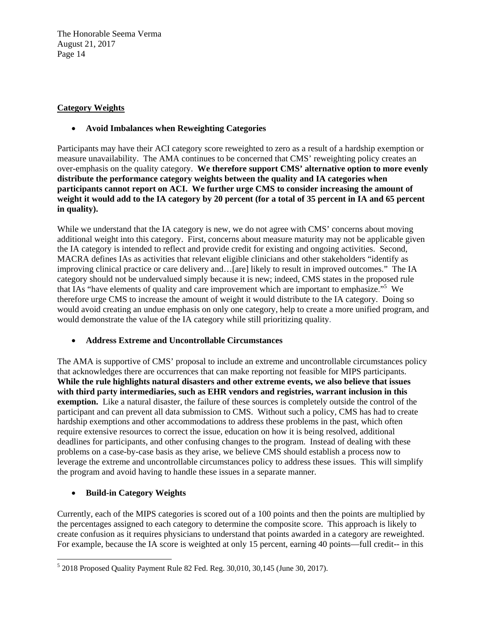## **Category Weights**

### **Avoid Imbalances when Reweighting Categories**

Participants may have their ACI category score reweighted to zero as a result of a hardship exemption or measure unavailability. The AMA continues to be concerned that CMS' reweighting policy creates an over-emphasis on the quality category. **We therefore support CMS' alternative option to more evenly distribute the performance category weights between the quality and IA categories when participants cannot report on ACI. We further urge CMS to consider increasing the amount of weight it would add to the IA category by 20 percent (for a total of 35 percent in IA and 65 percent in quality).**

While we understand that the IA category is new, we do not agree with CMS' concerns about moving additional weight into this category. First, concerns about measure maturity may not be applicable given the IA category is intended to reflect and provide credit for existing and ongoing activities. Second, MACRA defines IAs as activities that relevant eligible clinicians and other stakeholders "identify as improving clinical practice or care delivery and…[are] likely to result in improved outcomes." The IA category should not be undervalued simply because it is new; indeed, CMS states in the proposed rule that IAs "have elements of quality and care improvement which are important to emphasize."<sup>5</sup> We therefore urge CMS to increase the amount of weight it would distribute to the IA category. Doing so would avoid creating an undue emphasis on only one category, help to create a more unified program, and would demonstrate the value of the IA category while still prioritizing quality.

### **Address Extreme and Uncontrollable Circumstances**

The AMA is supportive of CMS' proposal to include an extreme and uncontrollable circumstances policy that acknowledges there are occurrences that can make reporting not feasible for MIPS participants. **While the rule highlights natural disasters and other extreme events, we also believe that issues with third party intermediaries, such as EHR vendors and registries, warrant inclusion in this exemption.** Like a natural disaster, the failure of these sources is completely outside the control of the participant and can prevent all data submission to CMS. Without such a policy, CMS has had to create hardship exemptions and other accommodations to address these problems in the past, which often require extensive resources to correct the issue, education on how it is being resolved, additional deadlines for participants, and other confusing changes to the program. Instead of dealing with these problems on a case-by-case basis as they arise, we believe CMS should establish a process now to leverage the extreme and uncontrollable circumstances policy to address these issues. This will simplify the program and avoid having to handle these issues in a separate manner.

# **Build-in Category Weights**

Currently, each of the MIPS categories is scored out of a 100 points and then the points are multiplied by the percentages assigned to each category to determine the composite score. This approach is likely to create confusion as it requires physicians to understand that points awarded in a category are reweighted. For example, because the IA score is weighted at only 15 percent, earning 40 points—full credit-- in this

 5 2018 Proposed Quality Payment Rule 82 Fed. Reg. 30,010, 30,145 (June 30, 2017).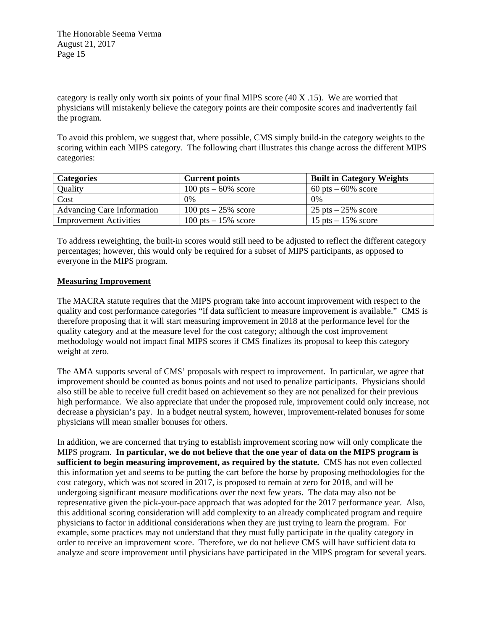category is really only worth six points of your final MIPS score (40 X .15). We are worried that physicians will mistakenly believe the category points are their composite scores and inadvertently fail the program.

To avoid this problem, we suggest that, where possible, CMS simply build-in the category weights to the scoring within each MIPS category. The following chart illustrates this change across the different MIPS categories:

| <b>Categories</b>                 | <b>Current points</b>   | <b>Built in Category Weights</b> |
|-----------------------------------|-------------------------|----------------------------------|
| Quality                           | 100 pts $-60\%$ score   | $60$ pts $-60\%$ score           |
| Cost                              | $0\%$                   | $0\%$                            |
| <b>Advancing Care Information</b> | $100$ pts $-25\%$ score | $25$ pts $-25\%$ score           |
| <b>Improvement Activities</b>     | $100$ pts $-15\%$ score | 15 pts $-15\%$ score             |

To address reweighting, the built-in scores would still need to be adjusted to reflect the different category percentages; however, this would only be required for a subset of MIPS participants, as opposed to everyone in the MIPS program.

#### **Measuring Improvement**

The MACRA statute requires that the MIPS program take into account improvement with respect to the quality and cost performance categories "if data sufficient to measure improvement is available." CMS is therefore proposing that it will start measuring improvement in 2018 at the performance level for the quality category and at the measure level for the cost category; although the cost improvement methodology would not impact final MIPS scores if CMS finalizes its proposal to keep this category weight at zero.

The AMA supports several of CMS' proposals with respect to improvement. In particular, we agree that improvement should be counted as bonus points and not used to penalize participants. Physicians should also still be able to receive full credit based on achievement so they are not penalized for their previous high performance. We also appreciate that under the proposed rule, improvement could only increase, not decrease a physician's pay. In a budget neutral system, however, improvement-related bonuses for some physicians will mean smaller bonuses for others.

In addition, we are concerned that trying to establish improvement scoring now will only complicate the MIPS program. **In particular, we do not believe that the one year of data on the MIPS program is sufficient to begin measuring improvement, as required by the statute.** CMS has not even collected this information yet and seems to be putting the cart before the horse by proposing methodologies for the cost category, which was not scored in 2017, is proposed to remain at zero for 2018, and will be undergoing significant measure modifications over the next few years. The data may also not be representative given the pick-your-pace approach that was adopted for the 2017 performance year. Also, this additional scoring consideration will add complexity to an already complicated program and require physicians to factor in additional considerations when they are just trying to learn the program. For example, some practices may not understand that they must fully participate in the quality category in order to receive an improvement score. Therefore, we do not believe CMS will have sufficient data to analyze and score improvement until physicians have participated in the MIPS program for several years.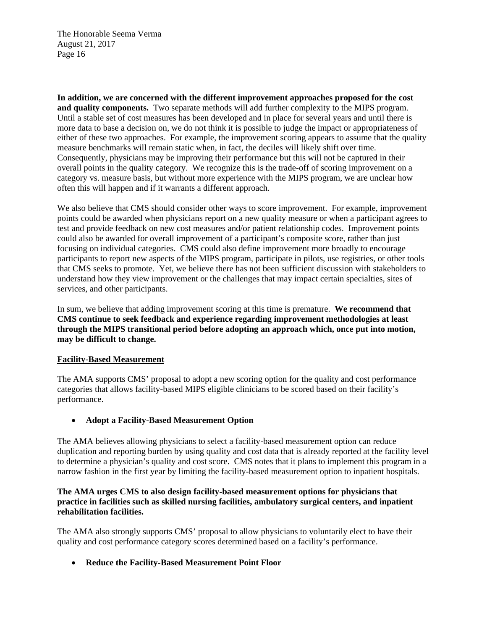**In addition, we are concerned with the different improvement approaches proposed for the cost and quality components.** Two separate methods will add further complexity to the MIPS program. Until a stable set of cost measures has been developed and in place for several years and until there is more data to base a decision on, we do not think it is possible to judge the impact or appropriateness of either of these two approaches. For example, the improvement scoring appears to assume that the quality measure benchmarks will remain static when, in fact, the deciles will likely shift over time. Consequently, physicians may be improving their performance but this will not be captured in their overall points in the quality category. We recognize this is the trade-off of scoring improvement on a category vs. measure basis, but without more experience with the MIPS program, we are unclear how often this will happen and if it warrants a different approach.

We also believe that CMS should consider other ways to score improvement. For example, improvement points could be awarded when physicians report on a new quality measure or when a participant agrees to test and provide feedback on new cost measures and/or patient relationship codes. Improvement points could also be awarded for overall improvement of a participant's composite score, rather than just focusing on individual categories. CMS could also define improvement more broadly to encourage participants to report new aspects of the MIPS program, participate in pilots, use registries, or other tools that CMS seeks to promote. Yet, we believe there has not been sufficient discussion with stakeholders to understand how they view improvement or the challenges that may impact certain specialties, sites of services, and other participants.

In sum, we believe that adding improvement scoring at this time is premature. **We recommend that CMS continue to seek feedback and experience regarding improvement methodologies at least through the MIPS transitional period before adopting an approach which, once put into motion, may be difficult to change.**

### **Facility-Based Measurement**

The AMA supports CMS' proposal to adopt a new scoring option for the quality and cost performance categories that allows facility-based MIPS eligible clinicians to be scored based on their facility's performance.

**Adopt a Facility-Based Measurement Option** 

The AMA believes allowing physicians to select a facility-based measurement option can reduce duplication and reporting burden by using quality and cost data that is already reported at the facility level to determine a physician's quality and cost score. CMS notes that it plans to implement this program in a narrow fashion in the first year by limiting the facility-based measurement option to inpatient hospitals.

### **The AMA urges CMS to also design facility-based measurement options for physicians that practice in facilities such as skilled nursing facilities, ambulatory surgical centers, and inpatient rehabilitation facilities.**

The AMA also strongly supports CMS' proposal to allow physicians to voluntarily elect to have their quality and cost performance category scores determined based on a facility's performance.

**Reduce the Facility-Based Measurement Point Floor**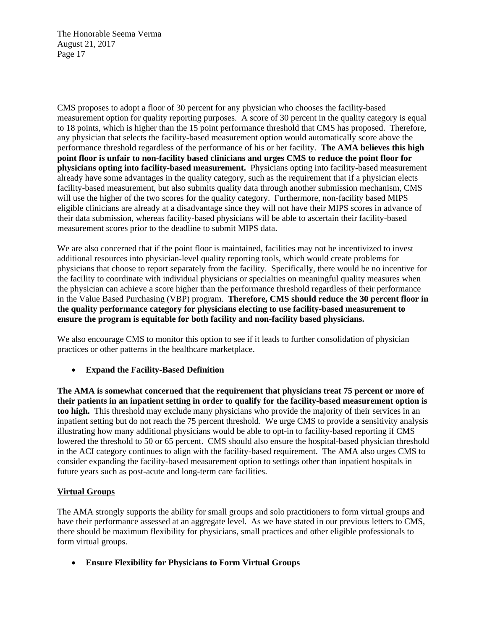CMS proposes to adopt a floor of 30 percent for any physician who chooses the facility-based measurement option for quality reporting purposes. A score of 30 percent in the quality category is equal to 18 points, which is higher than the 15 point performance threshold that CMS has proposed. Therefore, any physician that selects the facility-based measurement option would automatically score above the performance threshold regardless of the performance of his or her facility. **The AMA believes this high point floor is unfair to non-facility based clinicians and urges CMS to reduce the point floor for physicians opting into facility-based measurement.** Physicians opting into facility-based measurement already have some advantages in the quality category, such as the requirement that if a physician elects facility-based measurement, but also submits quality data through another submission mechanism, CMS will use the higher of the two scores for the quality category. Furthermore, non-facility based MIPS eligible clinicians are already at a disadvantage since they will not have their MIPS scores in advance of their data submission, whereas facility-based physicians will be able to ascertain their facility-based measurement scores prior to the deadline to submit MIPS data.

We are also concerned that if the point floor is maintained, facilities may not be incentivized to invest additional resources into physician-level quality reporting tools, which would create problems for physicians that choose to report separately from the facility. Specifically, there would be no incentive for the facility to coordinate with individual physicians or specialties on meaningful quality measures when the physician can achieve a score higher than the performance threshold regardless of their performance in the Value Based Purchasing (VBP) program. **Therefore, CMS should reduce the 30 percent floor in the quality performance category for physicians electing to use facility-based measurement to ensure the program is equitable for both facility and non-facility based physicians.** 

We also encourage CMS to monitor this option to see if it leads to further consolidation of physician practices or other patterns in the healthcare marketplace.

**Expand the Facility-Based Definition** 

**The AMA is somewhat concerned that the requirement that physicians treat 75 percent or more of their patients in an inpatient setting in order to qualify for the facility-based measurement option is too high.** This threshold may exclude many physicians who provide the majority of their services in an inpatient setting but do not reach the 75 percent threshold. We urge CMS to provide a sensitivity analysis illustrating how many additional physicians would be able to opt-in to facility-based reporting if CMS lowered the threshold to 50 or 65 percent. CMS should also ensure the hospital-based physician threshold in the ACI category continues to align with the facility-based requirement. The AMA also urges CMS to consider expanding the facility-based measurement option to settings other than inpatient hospitals in future years such as post-acute and long-term care facilities.

# **Virtual Groups**

The AMA strongly supports the ability for small groups and solo practitioners to form virtual groups and have their performance assessed at an aggregate level. As we have stated in our previous letters to CMS, there should be maximum flexibility for physicians, small practices and other eligible professionals to form virtual groups.

**Ensure Flexibility for Physicians to Form Virtual Groups**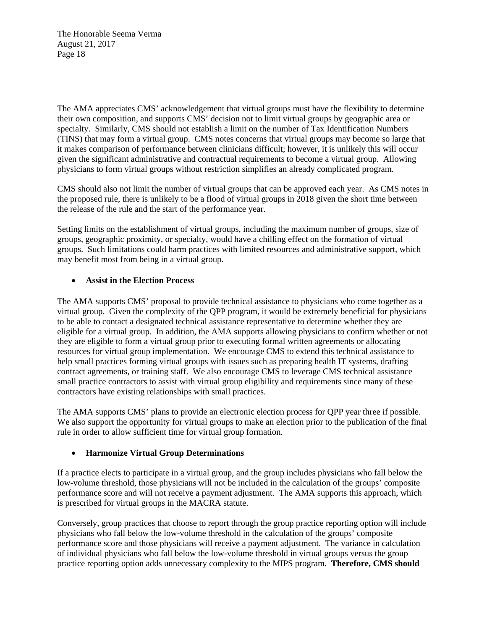The AMA appreciates CMS' acknowledgement that virtual groups must have the flexibility to determine their own composition, and supports CMS' decision not to limit virtual groups by geographic area or specialty. Similarly, CMS should not establish a limit on the number of Tax Identification Numbers (TINS) that may form a virtual group. CMS notes concerns that virtual groups may become so large that it makes comparison of performance between clinicians difficult; however, it is unlikely this will occur given the significant administrative and contractual requirements to become a virtual group. Allowing physicians to form virtual groups without restriction simplifies an already complicated program.

CMS should also not limit the number of virtual groups that can be approved each year. As CMS notes in the proposed rule, there is unlikely to be a flood of virtual groups in 2018 given the short time between the release of the rule and the start of the performance year.

Setting limits on the establishment of virtual groups, including the maximum number of groups, size of groups, geographic proximity, or specialty, would have a chilling effect on the formation of virtual groups. Such limitations could harm practices with limited resources and administrative support, which may benefit most from being in a virtual group.

### **Assist in the Election Process**

The AMA supports CMS' proposal to provide technical assistance to physicians who come together as a virtual group. Given the complexity of the QPP program, it would be extremely beneficial for physicians to be able to contact a designated technical assistance representative to determine whether they are eligible for a virtual group. In addition, the AMA supports allowing physicians to confirm whether or not they are eligible to form a virtual group prior to executing formal written agreements or allocating resources for virtual group implementation. We encourage CMS to extend this technical assistance to help small practices forming virtual groups with issues such as preparing health IT systems, drafting contract agreements, or training staff. We also encourage CMS to leverage CMS technical assistance small practice contractors to assist with virtual group eligibility and requirements since many of these contractors have existing relationships with small practices.

The AMA supports CMS' plans to provide an electronic election process for QPP year three if possible. We also support the opportunity for virtual groups to make an election prior to the publication of the final rule in order to allow sufficient time for virtual group formation.

# **Harmonize Virtual Group Determinations**

If a practice elects to participate in a virtual group, and the group includes physicians who fall below the low-volume threshold, those physicians will not be included in the calculation of the groups' composite performance score and will not receive a payment adjustment. The AMA supports this approach, which is prescribed for virtual groups in the MACRA statute.

Conversely, group practices that choose to report through the group practice reporting option will include physicians who fall below the low-volume threshold in the calculation of the groups' composite performance score and those physicians will receive a payment adjustment. The variance in calculation of individual physicians who fall below the low-volume threshold in virtual groups versus the group practice reporting option adds unnecessary complexity to the MIPS program. **Therefore, CMS should**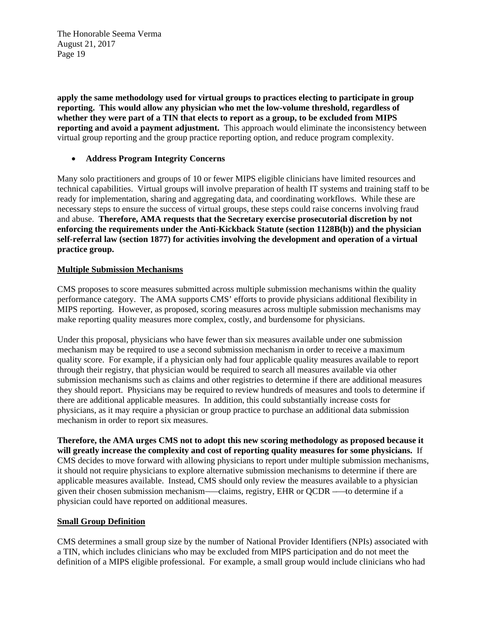**apply the same methodology used for virtual groups to practices electing to participate in group reporting. This would allow any physician who met the low-volume threshold, regardless of whether they were part of a TIN that elects to report as a group, to be excluded from MIPS reporting and avoid a payment adjustment.** This approach would eliminate the inconsistency between virtual group reporting and the group practice reporting option, and reduce program complexity.

### **Address Program Integrity Concerns**

Many solo practitioners and groups of 10 or fewer MIPS eligible clinicians have limited resources and technical capabilities. Virtual groups will involve preparation of health IT systems and training staff to be ready for implementation, sharing and aggregating data, and coordinating workflows. While these are necessary steps to ensure the success of virtual groups, these steps could raise concerns involving fraud and abuse. **Therefore, AMA requests that the Secretary exercise prosecutorial discretion by not enforcing the requirements under the Anti-Kickback Statute (section 1128B(b)) and the physician self-referral law (section 1877) for activities involving the development and operation of a virtual practice group.** 

### **Multiple Submission Mechanisms**

CMS proposes to score measures submitted across multiple submission mechanisms within the quality performance category. The AMA supports CMS' efforts to provide physicians additional flexibility in MIPS reporting. However, as proposed, scoring measures across multiple submission mechanisms may make reporting quality measures more complex, costly, and burdensome for physicians.

Under this proposal, physicians who have fewer than six measures available under one submission mechanism may be required to use a second submission mechanism in order to receive a maximum quality score. For example, if a physician only had four applicable quality measures available to report through their registry, that physician would be required to search all measures available via other submission mechanisms such as claims and other registries to determine if there are additional measures they should report. Physicians may be required to review hundreds of measures and tools to determine if there are additional applicable measures. In addition, this could substantially increase costs for physicians, as it may require a physician or group practice to purchase an additional data submission mechanism in order to report six measures.

**Therefore, the AMA urges CMS not to adopt this new scoring methodology as proposed because it will greatly increase the complexity and cost of reporting quality measures for some physicians.** If CMS decides to move forward with allowing physicians to report under multiple submission mechanisms, it should not require physicians to explore alternative submission mechanisms to determine if there are applicable measures available. Instead, CMS should only review the measures available to a physician given their chosen submission mechanism—claims, registry, EHR or OCDR —to determine if a physician could have reported on additional measures.

### **Small Group Definition**

CMS determines a small group size by the number of National Provider Identifiers (NPIs) associated with a TIN, which includes clinicians who may be excluded from MIPS participation and do not meet the definition of a MIPS eligible professional. For example, a small group would include clinicians who had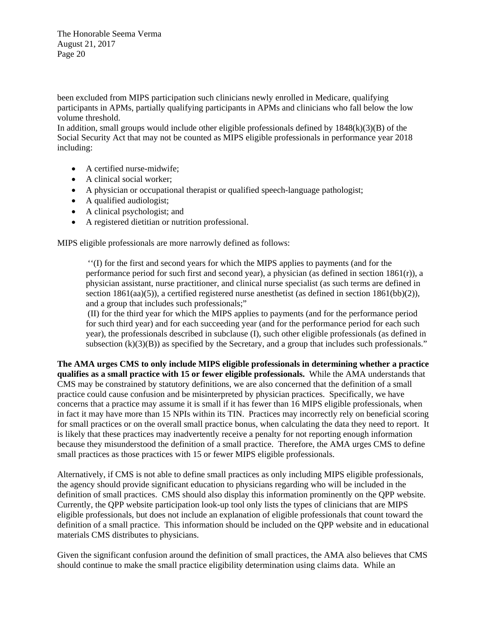been excluded from MIPS participation such clinicians newly enrolled in Medicare, qualifying participants in APMs, partially qualifying participants in APMs and clinicians who fall below the low volume threshold.

In addition, small groups would include other eligible professionals defined by  $1848(k)(3)(B)$  of the Social Security Act that may not be counted as MIPS eligible professionals in performance year 2018 including:

- A certified nurse-midwife;
- A clinical social worker;
- A physician or occupational therapist or qualified speech-language pathologist;
- A qualified audiologist;
- A clinical psychologist; and
- A registered dietitian or nutrition professional.

MIPS eligible professionals are more narrowly defined as follows:

''(I) for the first and second years for which the MIPS applies to payments (and for the performance period for such first and second year), a physician (as defined in section  $1861(r)$ ), a physician assistant, nurse practitioner, and clinical nurse specialist (as such terms are defined in section 1861(aa)(5)), a certified registered nurse anesthetist (as defined in section 1861(bb)(2)), and a group that includes such professionals;"

(II) for the third year for which the MIPS applies to payments (and for the performance period for such third year) and for each succeeding year (and for the performance period for each such year), the professionals described in subclause (I), such other eligible professionals (as defined in subsection  $(k)(3)(B)$  as specified by the Secretary, and a group that includes such professionals."

**The AMA urges CMS to only include MIPS eligible professionals in determining whether a practice qualifies as a small practice with 15 or fewer eligible professionals.** While the AMA understands that CMS may be constrained by statutory definitions, we are also concerned that the definition of a small practice could cause confusion and be misinterpreted by physician practices. Specifically, we have concerns that a practice may assume it is small if it has fewer than 16 MIPS eligible professionals, when in fact it may have more than 15 NPIs within its TIN. Practices may incorrectly rely on beneficial scoring for small practices or on the overall small practice bonus, when calculating the data they need to report. It is likely that these practices may inadvertently receive a penalty for not reporting enough information because they misunderstood the definition of a small practice. Therefore, the AMA urges CMS to define small practices as those practices with 15 or fewer MIPS eligible professionals.

Alternatively, if CMS is not able to define small practices as only including MIPS eligible professionals, the agency should provide significant education to physicians regarding who will be included in the definition of small practices. CMS should also display this information prominently on the QPP website. Currently, the QPP website participation look-up tool only lists the types of clinicians that are MIPS eligible professionals, but does not include an explanation of eligible professionals that count toward the definition of a small practice. This information should be included on the QPP website and in educational materials CMS distributes to physicians.

Given the significant confusion around the definition of small practices, the AMA also believes that CMS should continue to make the small practice eligibility determination using claims data. While an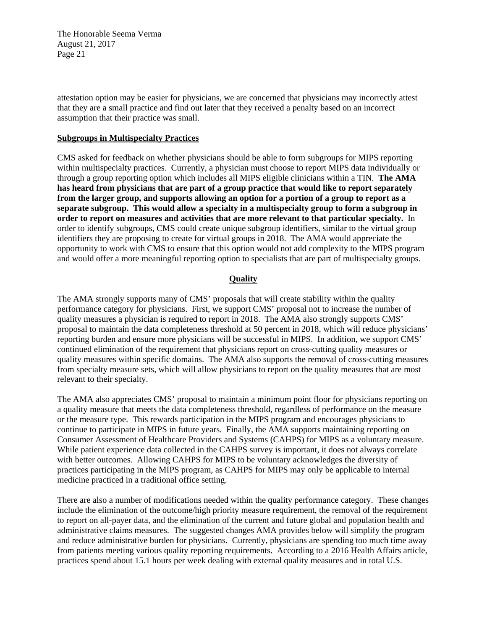attestation option may be easier for physicians, we are concerned that physicians may incorrectly attest that they are a small practice and find out later that they received a penalty based on an incorrect assumption that their practice was small.

#### **Subgroups in Multispecialty Practices**

CMS asked for feedback on whether physicians should be able to form subgroups for MIPS reporting within multispecialty practices. Currently, a physician must choose to report MIPS data individually or through a group reporting option which includes all MIPS eligible clinicians within a TIN. **The AMA has heard from physicians that are part of a group practice that would like to report separately from the larger group, and supports allowing an option for a portion of a group to report as a separate subgroup. This would allow a specialty in a multispecialty group to form a subgroup in order to report on measures and activities that are more relevant to that particular specialty.** In order to identify subgroups, CMS could create unique subgroup identifiers, similar to the virtual group identifiers they are proposing to create for virtual groups in 2018. The AMA would appreciate the opportunity to work with CMS to ensure that this option would not add complexity to the MIPS program and would offer a more meaningful reporting option to specialists that are part of multispecialty groups.

#### **Quality**

The AMA strongly supports many of CMS' proposals that will create stability within the quality performance category for physicians. First, we support CMS' proposal not to increase the number of quality measures a physician is required to report in 2018. The AMA also strongly supports CMS' proposal to maintain the data completeness threshold at 50 percent in 2018, which will reduce physicians' reporting burden and ensure more physicians will be successful in MIPS. In addition, we support CMS' continued elimination of the requirement that physicians report on cross-cutting quality measures or quality measures within specific domains. The AMA also supports the removal of cross-cutting measures from specialty measure sets, which will allow physicians to report on the quality measures that are most relevant to their specialty.

The AMA also appreciates CMS' proposal to maintain a minimum point floor for physicians reporting on a quality measure that meets the data completeness threshold, regardless of performance on the measure or the measure type. This rewards participation in the MIPS program and encourages physicians to continue to participate in MIPS in future years. Finally, the AMA supports maintaining reporting on Consumer Assessment of Healthcare Providers and Systems (CAHPS) for MIPS as a voluntary measure. While patient experience data collected in the CAHPS survey is important, it does not always correlate with better outcomes. Allowing CAHPS for MIPS to be voluntary acknowledges the diversity of practices participating in the MIPS program, as CAHPS for MIPS may only be applicable to internal medicine practiced in a traditional office setting.

There are also a number of modifications needed within the quality performance category. These changes include the elimination of the outcome/high priority measure requirement, the removal of the requirement to report on all-payer data, and the elimination of the current and future global and population health and administrative claims measures. The suggested changes AMA provides below will simplify the program and reduce administrative burden for physicians. Currently, physicians are spending too much time away from patients meeting various quality reporting requirements. According to a 2016 Health Affairs article, practices spend about 15.1 hours per week dealing with external quality measures and in total U.S.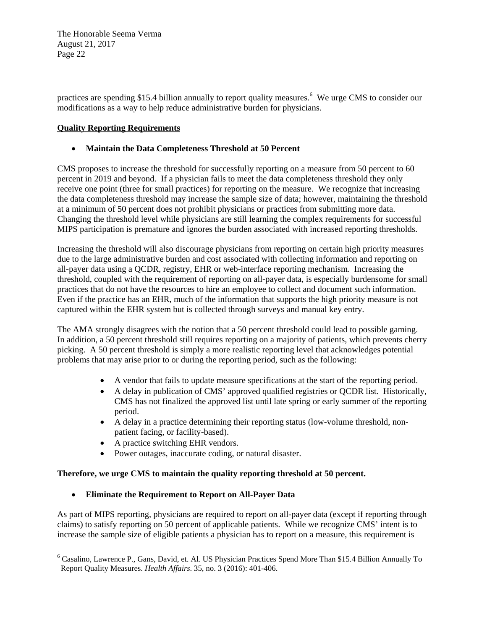practices are spending \$15.4 billion annually to report quality measures.<sup>6</sup> We urge CMS to consider our modifications as a way to help reduce administrative burden for physicians.

### **Quality Reporting Requirements**

## **Maintain the Data Completeness Threshold at 50 Percent**

CMS proposes to increase the threshold for successfully reporting on a measure from 50 percent to 60 percent in 2019 and beyond. If a physician fails to meet the data completeness threshold they only receive one point (three for small practices) for reporting on the measure. We recognize that increasing the data completeness threshold may increase the sample size of data; however, maintaining the threshold at a minimum of 50 percent does not prohibit physicians or practices from submitting more data. Changing the threshold level while physicians are still learning the complex requirements for successful MIPS participation is premature and ignores the burden associated with increased reporting thresholds.

Increasing the threshold will also discourage physicians from reporting on certain high priority measures due to the large administrative burden and cost associated with collecting information and reporting on all-payer data using a QCDR, registry, EHR or web-interface reporting mechanism. Increasing the threshold, coupled with the requirement of reporting on all-payer data, is especially burdensome for small practices that do not have the resources to hire an employee to collect and document such information. Even if the practice has an EHR, much of the information that supports the high priority measure is not captured within the EHR system but is collected through surveys and manual key entry.

The AMA strongly disagrees with the notion that a 50 percent threshold could lead to possible gaming. In addition, a 50 percent threshold still requires reporting on a majority of patients, which prevents cherry picking. A 50 percent threshold is simply a more realistic reporting level that acknowledges potential problems that may arise prior to or during the reporting period, such as the following:

- A vendor that fails to update measure specifications at the start of the reporting period.
- A delay in publication of CMS' approved qualified registries or QCDR list. Historically, CMS has not finalized the approved list until late spring or early summer of the reporting period.
- A delay in a practice determining their reporting status (low-volume threshold, nonpatient facing, or facility-based).
- A practice switching EHR vendors.

 

Power outages, inaccurate coding, or natural disaster.

### **Therefore, we urge CMS to maintain the quality reporting threshold at 50 percent.**

### **Eliminate the Requirement to Report on All-Payer Data**

As part of MIPS reporting, physicians are required to report on all-payer data (except if reporting through claims) to satisfy reporting on 50 percent of applicable patients. While we recognize CMS' intent is to increase the sample size of eligible patients a physician has to report on a measure, this requirement is

<sup>6</sup> Casalino, Lawrence P., Gans, David, et. Al. US Physician Practices Spend More Than \$15.4 Billion Annually To Report Quality Measures. *Health Affairs*. 35, no. 3 (2016): 401-406.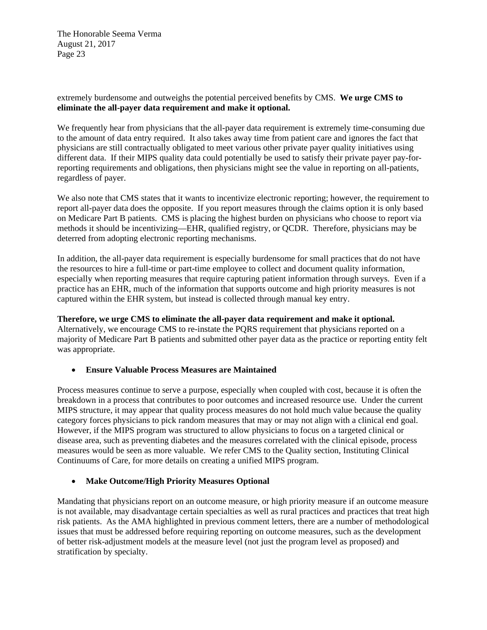### extremely burdensome and outweighs the potential perceived benefits by CMS. **We urge CMS to eliminate the all-payer data requirement and make it optional.**

We frequently hear from physicians that the all-payer data requirement is extremely time-consuming due to the amount of data entry required. It also takes away time from patient care and ignores the fact that physicians are still contractually obligated to meet various other private payer quality initiatives using different data. If their MIPS quality data could potentially be used to satisfy their private payer pay-forreporting requirements and obligations, then physicians might see the value in reporting on all-patients, regardless of payer.

We also note that CMS states that it wants to incentivize electronic reporting; however, the requirement to report all-payer data does the opposite. If you report measures through the claims option it is only based on Medicare Part B patients. CMS is placing the highest burden on physicians who choose to report via methods it should be incentivizing—EHR, qualified registry, or QCDR. Therefore, physicians may be deterred from adopting electronic reporting mechanisms.

In addition, the all-payer data requirement is especially burdensome for small practices that do not have the resources to hire a full-time or part-time employee to collect and document quality information, especially when reporting measures that require capturing patient information through surveys. Even if a practice has an EHR, much of the information that supports outcome and high priority measures is not captured within the EHR system, but instead is collected through manual key entry.

### **Therefore, we urge CMS to eliminate the all-payer data requirement and make it optional.**

Alternatively, we encourage CMS to re-instate the PQRS requirement that physicians reported on a majority of Medicare Part B patients and submitted other payer data as the practice or reporting entity felt was appropriate.

### **Ensure Valuable Process Measures are Maintained**

Process measures continue to serve a purpose, especially when coupled with cost, because it is often the breakdown in a process that contributes to poor outcomes and increased resource use. Under the current MIPS structure, it may appear that quality process measures do not hold much value because the quality category forces physicians to pick random measures that may or may not align with a clinical end goal. However, if the MIPS program was structured to allow physicians to focus on a targeted clinical or disease area, such as preventing diabetes and the measures correlated with the clinical episode, process measures would be seen as more valuable. We refer CMS to the Quality section, Instituting Clinical Continuums of Care, for more details on creating a unified MIPS program.

### **Make Outcome/High Priority Measures Optional**

Mandating that physicians report on an outcome measure, or high priority measure if an outcome measure is not available, may disadvantage certain specialties as well as rural practices and practices that treat high risk patients. As the AMA highlighted in previous comment letters, there are a number of methodological issues that must be addressed before requiring reporting on outcome measures, such as the development of better risk-adjustment models at the measure level (not just the program level as proposed) and stratification by specialty.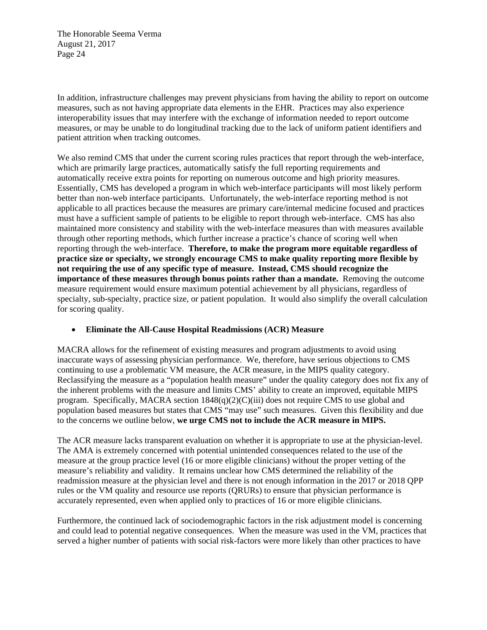In addition, infrastructure challenges may prevent physicians from having the ability to report on outcome measures, such as not having appropriate data elements in the EHR. Practices may also experience interoperability issues that may interfere with the exchange of information needed to report outcome measures, or may be unable to do longitudinal tracking due to the lack of uniform patient identifiers and patient attrition when tracking outcomes.

We also remind CMS that under the current scoring rules practices that report through the web-interface, which are primarily large practices, automatically satisfy the full reporting requirements and automatically receive extra points for reporting on numerous outcome and high priority measures. Essentially, CMS has developed a program in which web-interface participants will most likely perform better than non-web interface participants. Unfortunately, the web-interface reporting method is not applicable to all practices because the measures are primary care/internal medicine focused and practices must have a sufficient sample of patients to be eligible to report through web-interface. CMS has also maintained more consistency and stability with the web-interface measures than with measures available through other reporting methods, which further increase a practice's chance of scoring well when reporting through the web-interface. **Therefore, to make the program more equitable regardless of practice size or specialty, we strongly encourage CMS to make quality reporting more flexible by not requiring the use of any specific type of measure. Instead, CMS should recognize the importance of these measures through bonus points rather than a mandate.** Removing the outcome measure requirement would ensure maximum potential achievement by all physicians, regardless of specialty, sub-specialty, practice size, or patient population. It would also simplify the overall calculation for scoring quality.

### **Eliminate the All-Cause Hospital Readmissions (ACR) Measure**

MACRA allows for the refinement of existing measures and program adjustments to avoid using inaccurate ways of assessing physician performance. We, therefore, have serious objections to CMS continuing to use a problematic VM measure, the ACR measure, in the MIPS quality category. Reclassifying the measure as a "population health measure" under the quality category does not fix any of the inherent problems with the measure and limits CMS' ability to create an improved, equitable MIPS program. Specifically, MACRA section 1848(q)(2)(C)(iii) does not require CMS to use global and population based measures but states that CMS "may use" such measures. Given this flexibility and due to the concerns we outline below, **we urge CMS not to include the ACR measure in MIPS.** 

The ACR measure lacks transparent evaluation on whether it is appropriate to use at the physician-level. The AMA is extremely concerned with potential unintended consequences related to the use of the measure at the group practice level (16 or more eligible clinicians) without the proper vetting of the measure's reliability and validity. It remains unclear how CMS determined the reliability of the readmission measure at the physician level and there is not enough information in the 2017 or 2018 QPP rules or the VM quality and resource use reports (QRURs) to ensure that physician performance is accurately represented, even when applied only to practices of 16 or more eligible clinicians.

Furthermore, the continued lack of sociodemographic factors in the risk adjustment model is concerning and could lead to potential negative consequences. When the measure was used in the VM, practices that served a higher number of patients with social risk-factors were more likely than other practices to have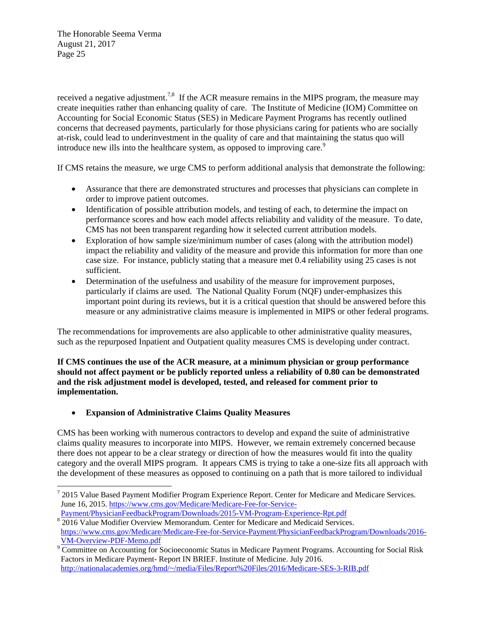received a negative adjustment.<sup>7,8</sup> If the ACR measure remains in the MIPS program, the measure may create inequities rather than enhancing quality of care. The Institute of Medicine (IOM) Committee on Accounting for Social Economic Status (SES) in Medicare Payment Programs has recently outlined concerns that decreased payments, particularly for those physicians caring for patients who are socially at-risk, could lead to underinvestment in the quality of care and that maintaining the status quo will introduce new ills into the healthcare system, as opposed to improving care.<sup>9</sup>

If CMS retains the measure, we urge CMS to perform additional analysis that demonstrate the following:

- Assurance that there are demonstrated structures and processes that physicians can complete in order to improve patient outcomes.
- Identification of possible attribution models, and testing of each, to determine the impact on performance scores and how each model affects reliability and validity of the measure. To date, CMS has not been transparent regarding how it selected current attribution models.
- Exploration of how sample size/minimum number of cases (along with the attribution model) impact the reliability and validity of the measure and provide this information for more than one case size. For instance, publicly stating that a measure met 0.4 reliability using 25 cases is not sufficient.
- Determination of the usefulness and usability of the measure for improvement purposes, particularly if claims are used. The National Quality Forum (NQF) under-emphasizes this important point during its reviews, but it is a critical question that should be answered before this measure or any administrative claims measure is implemented in MIPS or other federal programs.

The recommendations for improvements are also applicable to other administrative quality measures, such as the repurposed Inpatient and Outpatient quality measures CMS is developing under contract.

**If CMS continues the use of the ACR measure, at a minimum physician or group performance should not affect payment or be publicly reported unless a reliability of 0.80 can be demonstrated and the risk adjustment model is developed, tested, and released for comment prior to implementation.**

# **Expansion of Administrative Claims Quality Measures**

CMS has been working with numerous contractors to develop and expand the suite of administrative claims quality measures to incorporate into MIPS. However, we remain extremely concerned because there does not appear to be a clear strategy or direction of how the measures would fit into the quality category and the overall MIPS program. It appears CMS is trying to take a one-size fits all approach with the development of these measures as opposed to continuing on a path that is more tailored to individual

  $72015$  Value Based Payment Modifier Program Experience Report. Center for Medicare and Medicare Services. June 16, 2015. https://www.cms.gov/Medicare/Medicare-Fee-for-Service-Payment/PhysicianFeedbackProgram/Downloads/2015-VM-Program-Experience-Rpt.pdf

<sup>&</sup>lt;sup>8</sup> 2016 Value Modifier Overview Memorandum. Center for Medicare and Medicaid Services. https://www.cms.gov/Medicare/Medicare-Fee-for-Service-Payment/PhysicianFeedbackProgram/Downloads/2016- VM-Overview-PDF-Memo.pdf

<sup>&</sup>lt;sup>9</sup> Committee on Accounting for Socioeconomic Status in Medicare Payment Programs. Accounting for Social Risk Factors in Medicare Payment- Report IN BRIEF. Institute of Medicine. July 2016. http://nationalacademies.org/hmd/~/media/Files/Report%20Files/2016/Medicare-SES-3-RIB.pdf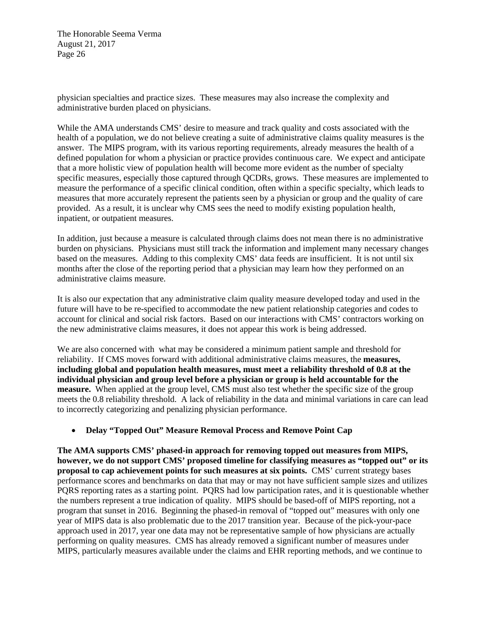physician specialties and practice sizes. These measures may also increase the complexity and administrative burden placed on physicians.

While the AMA understands CMS' desire to measure and track quality and costs associated with the health of a population, we do not believe creating a suite of administrative claims quality measures is the answer. The MIPS program, with its various reporting requirements, already measures the health of a defined population for whom a physician or practice provides continuous care. We expect and anticipate that a more holistic view of population health will become more evident as the number of specialty specific measures, especially those captured through QCDRs, grows. These measures are implemented to measure the performance of a specific clinical condition, often within a specific specialty, which leads to measures that more accurately represent the patients seen by a physician or group and the quality of care provided. As a result, it is unclear why CMS sees the need to modify existing population health, inpatient, or outpatient measures.

In addition, just because a measure is calculated through claims does not mean there is no administrative burden on physicians. Physicians must still track the information and implement many necessary changes based on the measures. Adding to this complexity CMS' data feeds are insufficient. It is not until six months after the close of the reporting period that a physician may learn how they performed on an administrative claims measure.

It is also our expectation that any administrative claim quality measure developed today and used in the future will have to be re-specified to accommodate the new patient relationship categories and codes to account for clinical and social risk factors. Based on our interactions with CMS' contractors working on the new administrative claims measures, it does not appear this work is being addressed.

We are also concerned with what may be considered a minimum patient sample and threshold for reliability. If CMS moves forward with additional administrative claims measures, the **measures, including global and population health measures, must meet a reliability threshold of 0.8 at the individual physician and group level before a physician or group is held accountable for the measure.** When applied at the group level, CMS must also test whether the specific size of the group meets the 0.8 reliability threshold. A lack of reliability in the data and minimal variations in care can lead to incorrectly categorizing and penalizing physician performance.

### **Delay "Topped Out" Measure Removal Process and Remove Point Cap**

**The AMA supports CMS' phased-in approach for removing topped out measures from MIPS, however, we do not support CMS' proposed timeline for classifying measures as "topped out" or its proposal to cap achievement points for such measures at six points.** CMS' current strategy bases performance scores and benchmarks on data that may or may not have sufficient sample sizes and utilizes PQRS reporting rates as a starting point. PQRS had low participation rates, and it is questionable whether the numbers represent a true indication of quality. MIPS should be based-off of MIPS reporting, not a program that sunset in 2016. Beginning the phased-in removal of "topped out" measures with only one year of MIPS data is also problematic due to the 2017 transition year. Because of the pick-your-pace approach used in 2017, year one data may not be representative sample of how physicians are actually performing on quality measures. CMS has already removed a significant number of measures under MIPS, particularly measures available under the claims and EHR reporting methods, and we continue to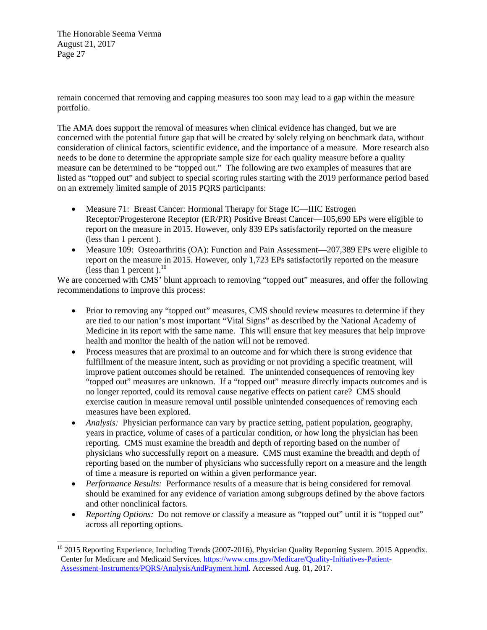remain concerned that removing and capping measures too soon may lead to a gap within the measure portfolio.

The AMA does support the removal of measures when clinical evidence has changed, but we are concerned with the potential future gap that will be created by solely relying on benchmark data, without consideration of clinical factors, scientific evidence, and the importance of a measure. More research also needs to be done to determine the appropriate sample size for each quality measure before a quality measure can be determined to be "topped out." The following are two examples of measures that are listed as "topped out" and subject to special scoring rules starting with the 2019 performance period based on an extremely limited sample of 2015 PQRS participants:

- Measure 71: Breast Cancer: Hormonal Therapy for Stage IC—IIIC Estrogen Receptor/Progesterone Receptor (ER/PR) Positive Breast Cancer—105,690 EPs were eligible to report on the measure in 2015. However, only 839 EPs satisfactorily reported on the measure (less than 1 percent ).
- Measure 109: Osteoarthritis (OA): Function and Pain Assessment—207,389 EPs were eligible to report on the measure in 2015. However, only 1,723 EPs satisfactorily reported on the measure (less than 1 percent).<sup>10</sup>

We are concerned with CMS' blunt approach to removing "topped out" measures, and offer the following recommendations to improve this process:

- Prior to removing any "topped out" measures, CMS should review measures to determine if they are tied to our nation's most important "Vital Signs" as described by the National Academy of Medicine in its report with the same name. This will ensure that key measures that help improve health and monitor the health of the nation will not be removed.
- Process measures that are proximal to an outcome and for which there is strong evidence that fulfillment of the measure intent, such as providing or not providing a specific treatment, will improve patient outcomes should be retained. The unintended consequences of removing key "topped out" measures are unknown. If a "topped out" measure directly impacts outcomes and is no longer reported, could its removal cause negative effects on patient care? CMS should exercise caution in measure removal until possible unintended consequences of removing each measures have been explored.
- *Analysis:* Physician performance can vary by practice setting, patient population, geography, years in practice, volume of cases of a particular condition, or how long the physician has been reporting. CMS must examine the breadth and depth of reporting based on the number of physicians who successfully report on a measure. CMS must examine the breadth and depth of reporting based on the number of physicians who successfully report on a measure and the length of time a measure is reported on within a given performance year.
- *Performance Results:* Performance results of a measure that is being considered for removal should be examined for any evidence of variation among subgroups defined by the above factors and other nonclinical factors.
- *Reporting Options:* Do not remove or classify a measure as "topped out" until it is "topped out" across all reporting options.

<sup>&</sup>lt;sup>10</sup> 2015 Reporting Experience, Including Trends (2007-2016), Physician Quality Reporting System. 2015 Appendix. Center for Medicare and Medicaid Services. https://www.cms.gov/Medicare/Quality-Initiatives-Patient-Assessment-Instruments/PQRS/AnalysisAndPayment.html. Accessed Aug. 01, 2017.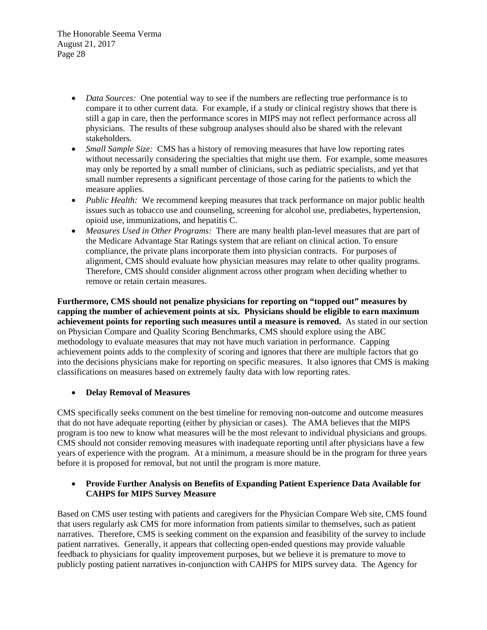- *Data Sources:* One potential way to see if the numbers are reflecting true performance is to compare it to other current data. For example, if a study or clinical registry shows that there is still a gap in care, then the performance scores in MIPS may not reflect performance across all physicians. The results of these subgroup analyses should also be shared with the relevant stakeholders.
- *Small Sample Size:* CMS has a history of removing measures that have low reporting rates without necessarily considering the specialties that might use them. For example, some measures may only be reported by a small number of clinicians, such as pediatric specialists, and yet that small number represents a significant percentage of those caring for the patients to which the measure applies.
- *Public Health:* We recommend keeping measures that track performance on major public health issues such as tobacco use and counseling, screening for alcohol use, prediabetes, hypertension, opioid use, immunizations, and hepatitis C.
- *Measures Used in Other Programs:* There are many health plan-level measures that are part of the Medicare Advantage Star Ratings system that are reliant on clinical action. To ensure compliance, the private plans incorporate them into physician contracts. For purposes of alignment, CMS should evaluate how physician measures may relate to other quality programs. Therefore, CMS should consider alignment across other program when deciding whether to remove or retain certain measures.

**Furthermore, CMS should not penalize physicians for reporting on "topped out" measures by capping the number of achievement points at six. Physicians should be eligible to earn maximum achievement points for reporting such measures until a measure is removed.** As stated in our section on Physician Compare and Quality Scoring Benchmarks, CMS should explore using the ABC methodology to evaluate measures that may not have much variation in performance. Capping achievement points adds to the complexity of scoring and ignores that there are multiple factors that go into the decisions physicians make for reporting on specific measures. It also ignores that CMS is making classifications on measures based on extremely faulty data with low reporting rates.

### **Delay Removal of Measures**

CMS specifically seeks comment on the best timeline for removing non-outcome and outcome measures that do not have adequate reporting (either by physician or cases). The AMA believes that the MIPS program is too new to know what measures will be the most relevant to individual physicians and groups. CMS should not consider removing measures with inadequate reporting until after physicians have a few years of experience with the program. At a minimum, a measure should be in the program for three years before it is proposed for removal, but not until the program is more mature.

## **Provide Further Analysis on Benefits of Expanding Patient Experience Data Available for CAHPS for MIPS Survey Measure**

Based on CMS user testing with patients and caregivers for the Physician Compare Web site, CMS found that users regularly ask CMS for more information from patients similar to themselves, such as patient narratives. Therefore, CMS is seeking comment on the expansion and feasibility of the survey to include patient narratives. Generally, it appears that collecting open-ended questions may provide valuable feedback to physicians for quality improvement purposes, but we believe it is premature to move to publicly posting patient narratives in-conjunction with CAHPS for MIPS survey data. The Agency for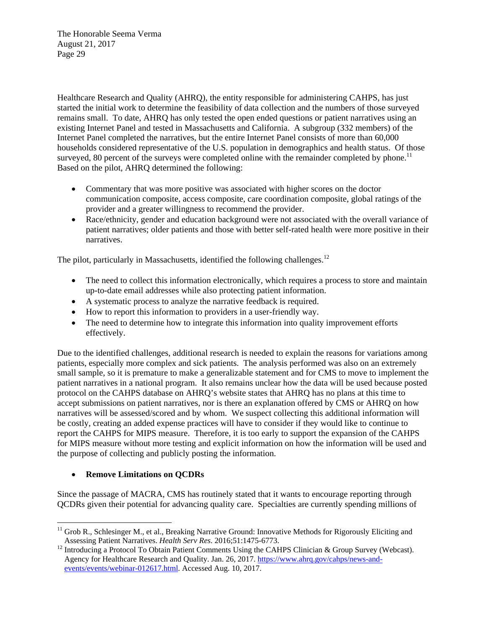Healthcare Research and Quality (AHRQ), the entity responsible for administering CAHPS, has just started the initial work to determine the feasibility of data collection and the numbers of those surveyed remains small. To date, AHRQ has only tested the open ended questions or patient narratives using an existing Internet Panel and tested in Massachusetts and California. A subgroup (332 members) of the Internet Panel completed the narratives, but the entire Internet Panel consists of more than 60,000 households considered representative of the U.S. population in demographics and health status. Of those surveyed, 80 percent of the surveys were completed online with the remainder completed by phone.<sup>11</sup> Based on the pilot, AHRQ determined the following:

- Commentary that was more positive was associated with higher scores on the doctor communication composite, access composite, care coordination composite, global ratings of the provider and a greater willingness to recommend the provider.
- Race/ethnicity, gender and education background were not associated with the overall variance of patient narratives; older patients and those with better self-rated health were more positive in their narratives.

The pilot, particularly in Massachusetts, identified the following challenges.<sup>12</sup>

- The need to collect this information electronically, which requires a process to store and maintain up-to-date email addresses while also protecting patient information.
- A systematic process to analyze the narrative feedback is required.
- How to report this information to providers in a user-friendly way.
- The need to determine how to integrate this information into quality improvement efforts effectively.

Due to the identified challenges, additional research is needed to explain the reasons for variations among patients, especially more complex and sick patients. The analysis performed was also on an extremely small sample, so it is premature to make a generalizable statement and for CMS to move to implement the patient narratives in a national program. It also remains unclear how the data will be used because posted protocol on the CAHPS database on AHRQ's website states that AHRQ has no plans at this time to accept submissions on patient narratives, nor is there an explanation offered by CMS or AHRQ on how narratives will be assessed/scored and by whom. We suspect collecting this additional information will be costly, creating an added expense practices will have to consider if they would like to continue to report the CAHPS for MIPS measure. Therefore, it is too early to support the expansion of the CAHPS for MIPS measure without more testing and explicit information on how the information will be used and the purpose of collecting and publicly posting the information.

# **Remove Limitations on QCDRs**

 

Since the passage of MACRA, CMS has routinely stated that it wants to encourage reporting through QCDRs given their potential for advancing quality care. Specialties are currently spending millions of

<sup>&</sup>lt;sup>11</sup> Grob R., Schlesinger M., et al., Breaking Narrative Ground: Innovative Methods for Rigorously Eliciting and Assessing Patient Narratives. *Health Serv Res.* 2016;51:1475-6773.

<sup>&</sup>lt;sup>12</sup> Introducing a Protocol To Obtain Patient Comments Using the CAHPS Clinician & Group Survey (Webcast). Agency for Healthcare Research and Quality. Jan. 26, 2017. https://www.ahrq.gov/cahps/news-andevents/events/webinar-012617.html. Accessed Aug. 10, 2017.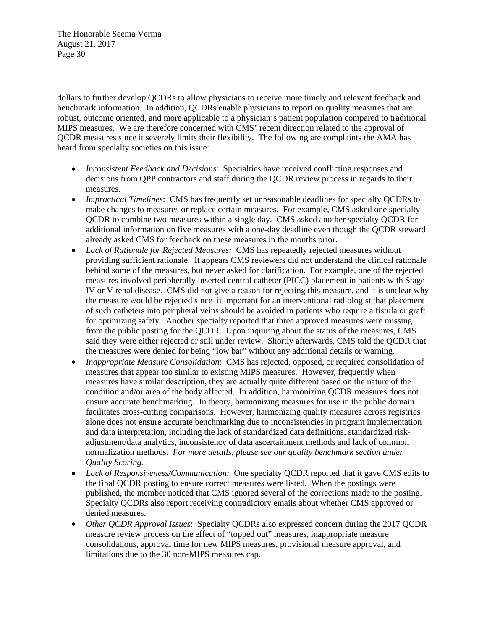dollars to further develop QCDRs to allow physicians to receive more timely and relevant feedback and benchmark information. In addition, QCDRs enable physicians to report on quality measures that are robust, outcome oriented, and more applicable to a physician's patient population compared to traditional MIPS measures. We are therefore concerned with CMS' recent direction related to the approval of QCDR measures since it severely limits their flexibility. The following are complaints the AMA has heard from specialty societies on this issue:

- *Inconsistent Feedback and Decisions*: Specialties have received conflicting responses and decisions from QPP contractors and staff during the QCDR review process in regards to their measures.
- *Impractical Timelines*: CMS has frequently set unreasonable deadlines for specialty QCDRs to make changes to measures or replace certain measures. For example, CMS asked one specialty QCDR to combine two measures within a single day. CMS asked another specialty QCDR for additional information on five measures with a one-day deadline even though the QCDR steward already asked CMS for feedback on these measures in the months prior.
- *Lack of Rationale for Rejected Measures:* CMS has repeatedly rejected measures without providing sufficient rationale. It appears CMS reviewers did not understand the clinical rationale behind some of the measures, but never asked for clarification. For example, one of the rejected measures involved peripherally inserted central catheter (PICC) placement in patients with Stage IV or V renal disease. CMS did not give a reason for rejecting this measure, and it is unclear why the measure would be rejected since it important for an interventional radiologist that placement of such catheters into peripheral veins should be avoided in patients who require a fistula or graft for optimizing safety. Another specialty reported that three approved measures were missing from the public posting for the QCDR. Upon inquiring about the status of the measures, CMS said they were either rejected or still under review. Shortly afterwards, CMS told the QCDR that the measures were denied for being "low bar" without any additional details or warning.
- *Inappropriate Measure Consolidation*: CMS has rejected, opposed, or required consolidation of measures that appear too similar to existing MIPS measures. However, frequently when measures have similar description, they are actually quite different based on the nature of the condition and/or area of the body affected. In addition, harmonizing QCDR measures does not ensure accurate benchmarking. In theory, harmonizing measures for use in the public domain facilitates cross-cutting comparisons. However, harmonizing quality measures across registries alone does not ensure accurate benchmarking due to inconsistencies in program implementation and data interpretation, including the lack of standardized data definitions, standardized riskadjustment/data analytics, inconsistency of data ascertainment methods and lack of common normalization methods. *For more details, please see our quality benchmark section under Quality Scoring.*
- Lack of Responsiveness/Communication: One specialty QCDR reported that it gave CMS edits to the final QCDR posting to ensure correct measures were listed. When the postings were published, the member noticed that CMS ignored several of the corrections made to the posting. Specialty QCDRs also report receiving contradictory emails about whether CMS approved or denied measures.
- *Other QCDR Approval Issues*: Specialty QCDRs also expressed concern during the 2017 QCDR measure review process on the effect of "topped out" measures, inappropriate measure consolidations, approval time for new MIPS measures, provisional measure approval, and limitations due to the 30 non-MIPS measures cap.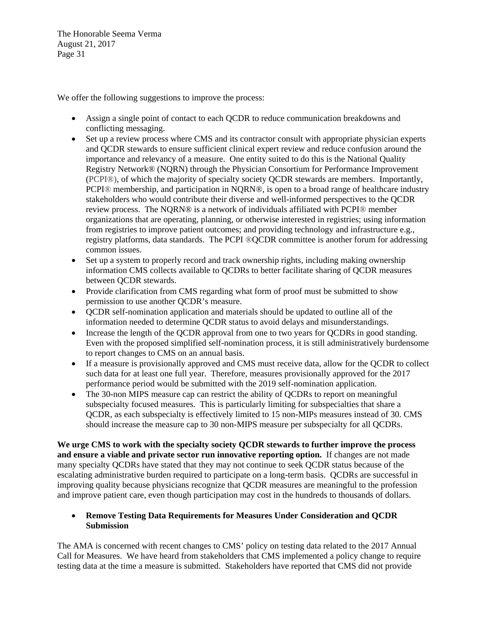We offer the following suggestions to improve the process:

- Assign a single point of contact to each QCDR to reduce communication breakdowns and conflicting messaging.
- Set up a review process where CMS and its contractor consult with appropriate physician experts and QCDR stewards to ensure sufficient clinical expert review and reduce confusion around the importance and relevancy of a measure. One entity suited to do this is the National Quality Registry Network® (NQRN) through the Physician Consortium for Performance Improvement (PCPI®), of which the majority of specialty society QCDR stewards are members. Importantly, PCPI® membership, and participation in NQRN®, is open to a broad range of healthcare industry stakeholders who would contribute their diverse and well-informed perspectives to the QCDR review process. The NQRN® is a network of individuals affiliated with PCPI® member organizations that are operating, planning, or otherwise interested in registries; using information from registries to improve patient outcomes; and providing technology and infrastructure e.g., registry platforms, data standards. The PCPI ®QCDR committee is another forum for addressing common issues.
- Set up a system to properly record and track ownership rights, including making ownership information CMS collects available to QCDRs to better facilitate sharing of QCDR measures between QCDR stewards.
- Provide clarification from CMS regarding what form of proof must be submitted to show permission to use another QCDR's measure.
- QCDR self-nomination application and materials should be updated to outline all of the information needed to determine QCDR status to avoid delays and misunderstandings.
- Increase the length of the QCDR approval from one to two years for QCDRs in good standing. Even with the proposed simplified self-nomination process, it is still administratively burdensome to report changes to CMS on an annual basis.
- If a measure is provisionally approved and CMS must receive data, allow for the QCDR to collect such data for at least one full year. Therefore, measures provisionally approved for the 2017 performance period would be submitted with the 2019 self-nomination application.
- The 30-non MIPS measure cap can restrict the ability of QCDRs to report on meaningful subspecialty focused measures. This is particularly limiting for subspecialties that share a QCDR, as each subspecialty is effectively limited to 15 non-MIPs measures instead of 30. CMS should increase the measure cap to 30 non-MIPS measure per subspecialty for all QCDRs.

**We urge CMS to work with the specialty society QCDR stewards to further improve the process and ensure a viable and private sector run innovative reporting option.** If changes are not made many specialty QCDRs have stated that they may not continue to seek QCDR status because of the escalating administrative burden required to participate on a long-term basis. QCDRs are successful in improving quality because physicians recognize that QCDR measures are meaningful to the profession and improve patient care, even though participation may cost in the hundreds to thousands of dollars.

## **Remove Testing Data Requirements for Measures Under Consideration and QCDR Submission**

The AMA is concerned with recent changes to CMS' policy on testing data related to the 2017 Annual Call for Measures. We have heard from stakeholders that CMS implemented a policy change to require testing data at the time a measure is submitted. Stakeholders have reported that CMS did not provide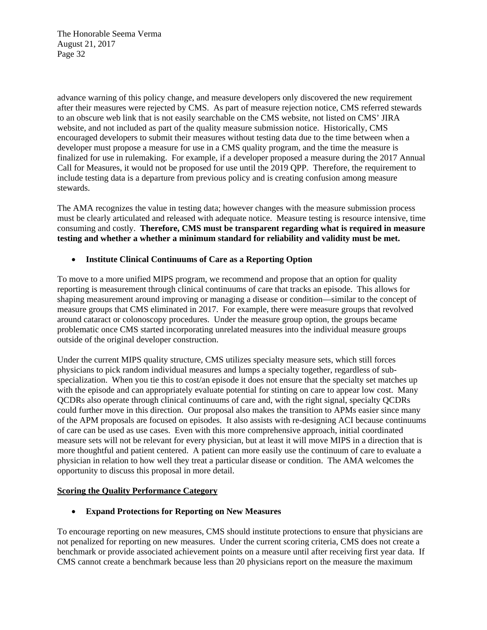advance warning of this policy change, and measure developers only discovered the new requirement after their measures were rejected by CMS. As part of measure rejection notice, CMS referred stewards to an obscure web link that is not easily searchable on the CMS website, not listed on CMS' JIRA website, and not included as part of the quality measure submission notice. Historically, CMS encouraged developers to submit their measures without testing data due to the time between when a developer must propose a measure for use in a CMS quality program, and the time the measure is finalized for use in rulemaking. For example, if a developer proposed a measure during the 2017 Annual Call for Measures, it would not be proposed for use until the 2019 QPP. Therefore, the requirement to include testing data is a departure from previous policy and is creating confusion among measure stewards.

The AMA recognizes the value in testing data; however changes with the measure submission process must be clearly articulated and released with adequate notice. Measure testing is resource intensive, time consuming and costly. **Therefore, CMS must be transparent regarding what is required in measure testing and whether a whether a minimum standard for reliability and validity must be met.** 

## **Institute Clinical Continuums of Care as a Reporting Option**

To move to a more unified MIPS program, we recommend and propose that an option for quality reporting is measurement through clinical continuums of care that tracks an episode. This allows for shaping measurement around improving or managing a disease or condition—similar to the concept of measure groups that CMS eliminated in 2017. For example, there were measure groups that revolved around cataract or colonoscopy procedures. Under the measure group option, the groups became problematic once CMS started incorporating unrelated measures into the individual measure groups outside of the original developer construction.

Under the current MIPS quality structure, CMS utilizes specialty measure sets, which still forces physicians to pick random individual measures and lumps a specialty together, regardless of subspecialization. When you tie this to cost/an episode it does not ensure that the specialty set matches up with the episode and can appropriately evaluate potential for stinting on care to appear low cost. Many QCDRs also operate through clinical continuums of care and, with the right signal, specialty QCDRs could further move in this direction. Our proposal also makes the transition to APMs easier since many of the APM proposals are focused on episodes. It also assists with re-designing ACI because continuums of care can be used as use cases. Even with this more comprehensive approach, initial coordinated measure sets will not be relevant for every physician, but at least it will move MIPS in a direction that is more thoughtful and patient centered. A patient can more easily use the continuum of care to evaluate a physician in relation to how well they treat a particular disease or condition. The AMA welcomes the opportunity to discuss this proposal in more detail.

### **Scoring the Quality Performance Category**

### **Expand Protections for Reporting on New Measures**

To encourage reporting on new measures, CMS should institute protections to ensure that physicians are not penalized for reporting on new measures. Under the current scoring criteria, CMS does not create a benchmark or provide associated achievement points on a measure until after receiving first year data. If CMS cannot create a benchmark because less than 20 physicians report on the measure the maximum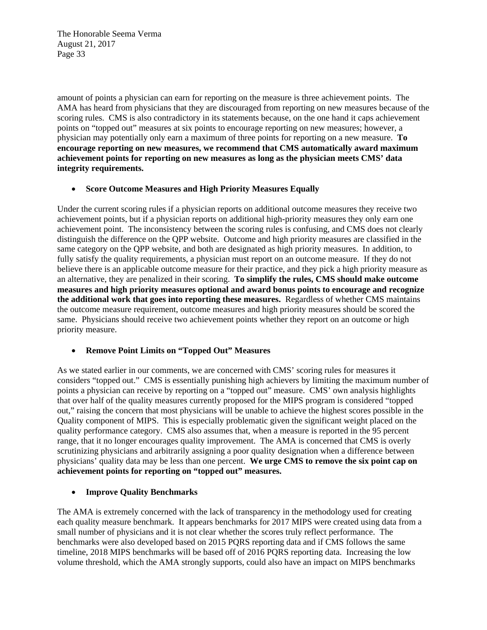amount of points a physician can earn for reporting on the measure is three achievement points. The AMA has heard from physicians that they are discouraged from reporting on new measures because of the scoring rules. CMS is also contradictory in its statements because, on the one hand it caps achievement points on "topped out" measures at six points to encourage reporting on new measures; however, a physician may potentially only earn a maximum of three points for reporting on a new measure. **To encourage reporting on new measures, we recommend that CMS automatically award maximum achievement points for reporting on new measures as long as the physician meets CMS' data integrity requirements.** 

### **Score Outcome Measures and High Priority Measures Equally**

Under the current scoring rules if a physician reports on additional outcome measures they receive two achievement points, but if a physician reports on additional high-priority measures they only earn one achievement point. The inconsistency between the scoring rules is confusing, and CMS does not clearly distinguish the difference on the QPP website. Outcome and high priority measures are classified in the same category on the QPP website, and both are designated as high priority measures. In addition, to fully satisfy the quality requirements, a physician must report on an outcome measure. If they do not believe there is an applicable outcome measure for their practice, and they pick a high priority measure as an alternative, they are penalized in their scoring. **To simplify the rules, CMS should make outcome measures and high priority measures optional and award bonus points to encourage and recognize the additional work that goes into reporting these measures.** Regardless of whether CMS maintains the outcome measure requirement, outcome measures and high priority measures should be scored the same. Physicians should receive two achievement points whether they report on an outcome or high priority measure.

### **Remove Point Limits on "Topped Out" Measures**

As we stated earlier in our comments, we are concerned with CMS' scoring rules for measures it considers "topped out." CMS is essentially punishing high achievers by limiting the maximum number of points a physician can receive by reporting on a "topped out" measure. CMS' own analysis highlights that over half of the quality measures currently proposed for the MIPS program is considered "topped out," raising the concern that most physicians will be unable to achieve the highest scores possible in the Quality component of MIPS. This is especially problematic given the significant weight placed on the quality performance category. CMS also assumes that, when a measure is reported in the 95 percent range, that it no longer encourages quality improvement. The AMA is concerned that CMS is overly scrutinizing physicians and arbitrarily assigning a poor quality designation when a difference between physicians' quality data may be less than one percent. **We urge CMS to remove the six point cap on achievement points for reporting on "topped out" measures.** 

### **Improve Quality Benchmarks**

The AMA is extremely concerned with the lack of transparency in the methodology used for creating each quality measure benchmark. It appears benchmarks for 2017 MIPS were created using data from a small number of physicians and it is not clear whether the scores truly reflect performance. The benchmarks were also developed based on 2015 PQRS reporting data and if CMS follows the same timeline, 2018 MIPS benchmarks will be based off of 2016 PORS reporting data. Increasing the low volume threshold, which the AMA strongly supports, could also have an impact on MIPS benchmarks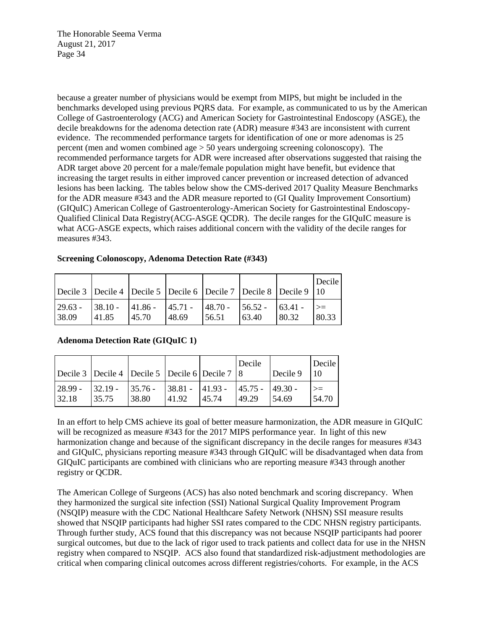because a greater number of physicians would be exempt from MIPS, but might be included in the benchmarks developed using previous PQRS data. For example, as communicated to us by the American College of Gastroenterology (ACG) and American Society for Gastrointestinal Endoscopy (ASGE), the decile breakdowns for the adenoma detection rate (ADR) measure #343 are inconsistent with current evidence. The recommended performance targets for identification of one or more adenomas is 25 percent (men and women combined age > 50 years undergoing screening colonoscopy). The recommended performance targets for ADR were increased after observations suggested that raising the ADR target above 20 percent for a male/female population might have benefit, but evidence that increasing the target results in either improved cancer prevention or increased detection of advanced lesions has been lacking. The tables below show the CMS-derived 2017 Quality Measure Benchmarks for the ADR measure #343 and the ADR measure reported to (GI Quality Improvement Consortium) (GIQuIC) American College of Gastroenterology-American Society for Gastrointestinal Endoscopy-Qualified Clinical Data Registry(ACG-ASGE QCDR). The decile ranges for the GIQuIC measure is what ACG-ASGE expects, which raises additional concern with the validity of the decile ranges for measures #343.

| Screening Colonoscopy, Adenoma Detection Rate (#343) |
|------------------------------------------------------|
|------------------------------------------------------|

| Decile 3 Decile 4 Decile 5 Decile 6 Decile 7 Decile 8 Decile 9 10                                      |        |        |       |        |        |        | Decile |
|--------------------------------------------------------------------------------------------------------|--------|--------|-------|--------|--------|--------|--------|
| $\begin{bmatrix} 29.63 - 38.10 - 41.86 - 45.71 - 48.70 - 56.52 - 63.41 - 48.70 \end{bmatrix}$<br>38.09 | 141.85 | 145.70 | 48.69 | 156.51 | 163.40 | 180.32 | 80.33  |

### **Adenoma Detection Rate (GIQuIC 1)**

|                  | Decile 3   Decile 4   Decile 5   Decile 6   Decile 7   8 |                     |       |                                                 | Decile | Decile 9 | Decile I<br>110 |
|------------------|----------------------------------------------------------|---------------------|-------|-------------------------------------------------|--------|----------|-----------------|
| - 28.99<br>32.18 | $-32.19 -$<br>35.75                                      | $-35.76 -$<br>38.80 | 41.92 | $ 38.81 -  41.93 -  45.75 -  49.30 -$<br>145.74 | 49.29  | -54.69   | 54.70           |

In an effort to help CMS achieve its goal of better measure harmonization, the ADR measure in GIQuIC will be recognized as measure #343 for the 2017 MIPS performance year. In light of this new harmonization change and because of the significant discrepancy in the decile ranges for measures #343 and GIQuIC, physicians reporting measure #343 through GIQuIC will be disadvantaged when data from GIQuIC participants are combined with clinicians who are reporting measure #343 through another registry or QCDR.

The American College of Surgeons (ACS) has also noted benchmark and scoring discrepancy. When they harmonized the surgical site infection (SSI) National Surgical Quality Improvement Program (NSQIP) measure with the CDC National Healthcare Safety Network (NHSN) SSI measure results showed that NSQIP participants had higher SSI rates compared to the CDC NHSN registry participants. Through further study, ACS found that this discrepancy was not because NSQIP participants had poorer surgical outcomes, but due to the lack of rigor used to track patients and collect data for use in the NHSN registry when compared to NSQIP. ACS also found that standardized risk-adjustment methodologies are critical when comparing clinical outcomes across different registries/cohorts. For example, in the ACS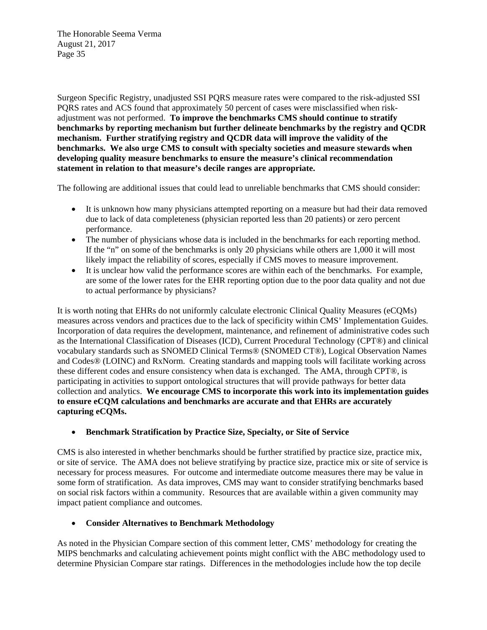Surgeon Specific Registry, unadjusted SSI PQRS measure rates were compared to the risk-adjusted SSI PQRS rates and ACS found that approximately 50 percent of cases were misclassified when riskadjustment was not performed. **To improve the benchmarks CMS should continue to stratify benchmarks by reporting mechanism but further delineate benchmarks by the registry and QCDR mechanism. Further stratifying registry and QCDR data will improve the validity of the benchmarks. We also urge CMS to consult with specialty societies and measure stewards when developing quality measure benchmarks to ensure the measure's clinical recommendation statement in relation to that measure's decile ranges are appropriate.** 

The following are additional issues that could lead to unreliable benchmarks that CMS should consider:

- It is unknown how many physicians attempted reporting on a measure but had their data removed due to lack of data completeness (physician reported less than 20 patients) or zero percent performance.
- The number of physicians whose data is included in the benchmarks for each reporting method. If the "n" on some of the benchmarks is only 20 physicians while others are 1,000 it will most likely impact the reliability of scores, especially if CMS moves to measure improvement.
- It is unclear how valid the performance scores are within each of the benchmarks. For example, are some of the lower rates for the EHR reporting option due to the poor data quality and not due to actual performance by physicians?

It is worth noting that EHRs do not uniformly calculate electronic Clinical Quality Measures (eCQMs) measures across vendors and practices due to the lack of specificity within CMS' Implementation Guides. Incorporation of data requires the development, maintenance, and refinement of administrative codes such as the International Classification of Diseases (ICD), Current Procedural Technology (CPT®) and clinical vocabulary standards such as SNOMED Clinical Terms® (SNOMED CT®), Logical Observation Names and Codes® (LOINC) and RxNorm. Creating standards and mapping tools will facilitate working across these different codes and ensure consistency when data is exchanged. The AMA, through CPT®, is participating in activities to support ontological structures that will provide pathways for better data collection and analytics. **We encourage CMS to incorporate this work into its implementation guides to ensure eCQM calculations and benchmarks are accurate and that EHRs are accurately capturing eCQMs.** 

### **Benchmark Stratification by Practice Size, Specialty, or Site of Service**

CMS is also interested in whether benchmarks should be further stratified by practice size, practice mix, or site of service. The AMA does not believe stratifying by practice size, practice mix or site of service is necessary for process measures. For outcome and intermediate outcome measures there may be value in some form of stratification. As data improves, CMS may want to consider stratifying benchmarks based on social risk factors within a community. Resources that are available within a given community may impact patient compliance and outcomes.

# **Consider Alternatives to Benchmark Methodology**

As noted in the Physician Compare section of this comment letter, CMS' methodology for creating the MIPS benchmarks and calculating achievement points might conflict with the ABC methodology used to determine Physician Compare star ratings. Differences in the methodologies include how the top decile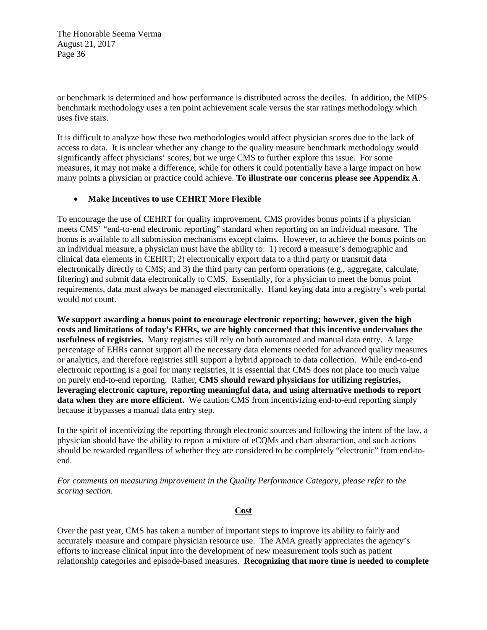or benchmark is determined and how performance is distributed across the deciles. In addition, the MIPS benchmark methodology uses a ten point achievement scale versus the star ratings methodology which uses five stars.

It is difficult to analyze how these two methodologies would affect physician scores due to the lack of access to data. It is unclear whether any change to the quality measure benchmark methodology would significantly affect physicians' scores, but we urge CMS to further explore this issue. For some measures, it may not make a difference, while for others it could potentially have a large impact on how many points a physician or practice could achieve. **To illustrate our concerns please see Appendix A**.

### **Make Incentives to use CEHRT More Flexible**

To encourage the use of CEHRT for quality improvement, CMS provides bonus points if a physician meets CMS' "end-to-end electronic reporting" standard when reporting on an individual measure. The bonus is available to all submission mechanisms except claims. However, to achieve the bonus points on an individual measure, a physician must have the ability to: 1) record a measure's demographic and clinical data elements in CEHRT; 2) electronically export data to a third party or transmit data electronically directly to CMS; and 3) the third party can perform operations (e.g., aggregate, calculate, filtering) and submit data electronically to CMS. Essentially, for a physician to meet the bonus point requirements, data must always be managed electronically. Hand keying data into a registry's web portal would not count.

**We support awarding a bonus point to encourage electronic reporting; however, given the high costs and limitations of today's EHRs, we are highly concerned that this incentive undervalues the usefulness of registries.** Many registries still rely on both automated and manual data entry. A large percentage of EHRs cannot support all the necessary data elements needed for advanced quality measures or analytics, and therefore registries still support a hybrid approach to data collection. While end-to-end electronic reporting is a goal for many registries, it is essential that CMS does not place too much value on purely end-to-end reporting. Rather, **CMS should reward physicians for utilizing registries, leveraging electronic capture, reporting meaningful data, and using alternative methods to report data when they are more efficient.** We caution CMS from incentivizing end-to-end reporting simply because it bypasses a manual data entry step.

In the spirit of incentivizing the reporting through electronic sources and following the intent of the law, a physician should have the ability to report a mixture of eCQMs and chart abstraction, and such actions should be rewarded regardless of whether they are considered to be completely "electronic" from end-toend.

*For comments on measuring improvement in the Quality Performance Category, please refer to the scoring section.* 

### **Cost**

Over the past year, CMS has taken a number of important steps to improve its ability to fairly and accurately measure and compare physician resource use. The AMA greatly appreciates the agency's efforts to increase clinical input into the development of new measurement tools such as patient relationship categories and episode-based measures. **Recognizing that more time is needed to complete**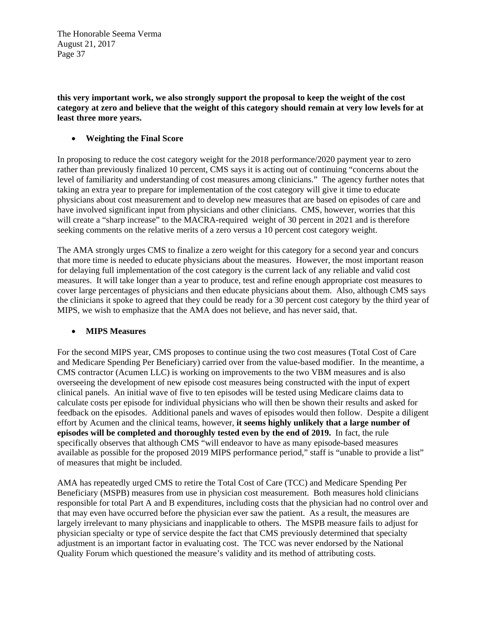**this very important work, we also strongly support the proposal to keep the weight of the cost category at zero and believe that the weight of this category should remain at very low levels for at least three more years.** 

# **Weighting the Final Score**

In proposing to reduce the cost category weight for the 2018 performance/2020 payment year to zero rather than previously finalized 10 percent, CMS says it is acting out of continuing "concerns about the level of familiarity and understanding of cost measures among clinicians." The agency further notes that taking an extra year to prepare for implementation of the cost category will give it time to educate physicians about cost measurement and to develop new measures that are based on episodes of care and have involved significant input from physicians and other clinicians. CMS, however, worries that this will create a "sharp increase" to the MACRA-required weight of 30 percent in 2021 and is therefore seeking comments on the relative merits of a zero versus a 10 percent cost category weight.

The AMA strongly urges CMS to finalize a zero weight for this category for a second year and concurs that more time is needed to educate physicians about the measures. However, the most important reason for delaying full implementation of the cost category is the current lack of any reliable and valid cost measures. It will take longer than a year to produce, test and refine enough appropriate cost measures to cover large percentages of physicians and then educate physicians about them. Also, although CMS says the clinicians it spoke to agreed that they could be ready for a 30 percent cost category by the third year of MIPS, we wish to emphasize that the AMA does not believe, and has never said, that.

### **MIPS Measures**

For the second MIPS year, CMS proposes to continue using the two cost measures (Total Cost of Care and Medicare Spending Per Beneficiary) carried over from the value-based modifier. In the meantime, a CMS contractor (Acumen LLC) is working on improvements to the two VBM measures and is also overseeing the development of new episode cost measures being constructed with the input of expert clinical panels. An initial wave of five to ten episodes will be tested using Medicare claims data to calculate costs per episode for individual physicians who will then be shown their results and asked for feedback on the episodes. Additional panels and waves of episodes would then follow. Despite a diligent effort by Acumen and the clinical teams, however, **it seems highly unlikely that a large number of episodes will be completed and thoroughly tested even by the end of 2019.** In fact, the rule specifically observes that although CMS "will endeavor to have as many episode-based measures available as possible for the proposed 2019 MIPS performance period," staff is "unable to provide a list" of measures that might be included.

AMA has repeatedly urged CMS to retire the Total Cost of Care (TCC) and Medicare Spending Per Beneficiary (MSPB) measures from use in physician cost measurement. Both measures hold clinicians responsible for total Part A and B expenditures, including costs that the physician had no control over and that may even have occurred before the physician ever saw the patient. As a result, the measures are largely irrelevant to many physicians and inapplicable to others. The MSPB measure fails to adjust for physician specialty or type of service despite the fact that CMS previously determined that specialty adjustment is an important factor in evaluating cost. The TCC was never endorsed by the National Quality Forum which questioned the measure's validity and its method of attributing costs.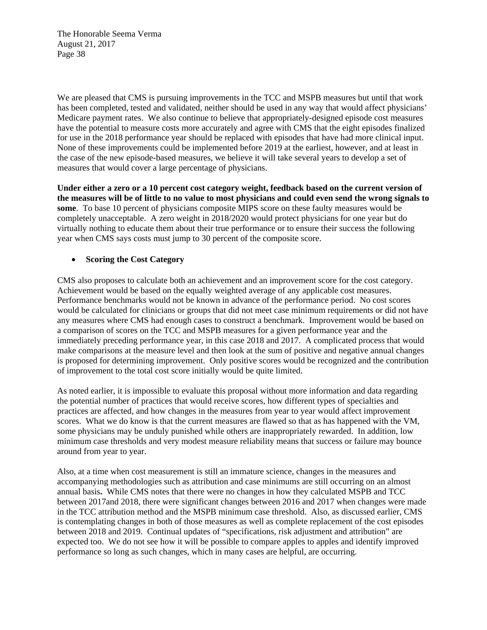We are pleased that CMS is pursuing improvements in the TCC and MSPB measures but until that work has been completed, tested and validated, neither should be used in any way that would affect physicians' Medicare payment rates. We also continue to believe that appropriately-designed episode cost measures have the potential to measure costs more accurately and agree with CMS that the eight episodes finalized for use in the 2018 performance year should be replaced with episodes that have had more clinical input. None of these improvements could be implemented before 2019 at the earliest, however, and at least in the case of the new episode-based measures, we believe it will take several years to develop a set of measures that would cover a large percentage of physicians.

**Under either a zero or a 10 percent cost category weight, feedback based on the current version of the measures will be of little to no value to most physicians and could even send the wrong signals to some**. To base 10 percent of physicians composite MIPS score on these faulty measures would be completely unacceptable. A zero weight in 2018/2020 would protect physicians for one year but do virtually nothing to educate them about their true performance or to ensure their success the following year when CMS says costs must jump to 30 percent of the composite score.

### **Scoring the Cost Category**

CMS also proposes to calculate both an achievement and an improvement score for the cost category. Achievement would be based on the equally weighted average of any applicable cost measures. Performance benchmarks would not be known in advance of the performance period. No cost scores would be calculated for clinicians or groups that did not meet case minimum requirements or did not have any measures where CMS had enough cases to construct a benchmark. Improvement would be based on a comparison of scores on the TCC and MSPB measures for a given performance year and the immediately preceding performance year, in this case 2018 and 2017. A complicated process that would make comparisons at the measure level and then look at the sum of positive and negative annual changes is proposed for determining improvement. Only positive scores would be recognized and the contribution of improvement to the total cost score initially would be quite limited.

As noted earlier, it is impossible to evaluate this proposal without more information and data regarding the potential number of practices that would receive scores, how different types of specialties and practices are affected, and how changes in the measures from year to year would affect improvement scores. What we do know is that the current measures are flawed so that as has happened with the VM, some physicians may be unduly punished while others are inappropriately rewarded. In addition, low minimum case thresholds and very modest measure reliability means that success or failure may bounce around from year to year.

Also, at a time when cost measurement is still an immature science, changes in the measures and accompanying methodologies such as attribution and case minimums are still occurring on an almost annual basis**.** While CMS notes that there were no changes in how they calculated MSPB and TCC between 2017and 2018, there were significant changes between 2016 and 2017 when changes were made in the TCC attribution method and the MSPB minimum case threshold. Also, as discussed earlier, CMS is contemplating changes in both of those measures as well as complete replacement of the cost episodes between 2018 and 2019. Continual updates of "specifications, risk adjustment and attribution" are expected too. We do not see how it will be possible to compare apples to apples and identify improved performance so long as such changes, which in many cases are helpful, are occurring.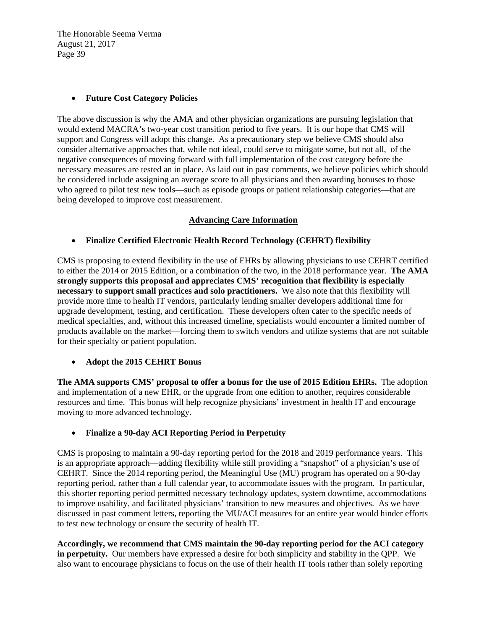## **Future Cost Category Policies**

The above discussion is why the AMA and other physician organizations are pursuing legislation that would extend MACRA's two-year cost transition period to five years. It is our hope that CMS will support and Congress will adopt this change. As a precautionary step we believe CMS should also consider alternative approaches that, while not ideal, could serve to mitigate some, but not all, of the negative consequences of moving forward with full implementation of the cost category before the necessary measures are tested an in place. As laid out in past comments, we believe policies which should be considered include assigning an average score to all physicians and then awarding bonuses to those who agreed to pilot test new tools—such as episode groups or patient relationship categories—that are being developed to improve cost measurement.

## **Advancing Care Information**

## **Finalize Certified Electronic Health Record Technology (CEHRT) flexibility**

CMS is proposing to extend flexibility in the use of EHRs by allowing physicians to use CEHRT certified to either the 2014 or 2015 Edition, or a combination of the two, in the 2018 performance year. **The AMA strongly supports this proposal and appreciates CMS' recognition that flexibility is especially necessary to support small practices and solo practitioners.** We also note that this flexibility will provide more time to health IT vendors, particularly lending smaller developers additional time for upgrade development, testing, and certification. These developers often cater to the specific needs of medical specialties, and, without this increased timeline, specialists would encounter a limited number of products available on the market—forcing them to switch vendors and utilize systems that are not suitable for their specialty or patient population.

### **Adopt the 2015 CEHRT Bonus**

**The AMA supports CMS' proposal to offer a bonus for the use of 2015 Edition EHRs.** The adoption and implementation of a new EHR, or the upgrade from one edition to another, requires considerable resources and time. This bonus will help recognize physicians' investment in health IT and encourage moving to more advanced technology.

### **Finalize a 90-day ACI Reporting Period in Perpetuity**

CMS is proposing to maintain a 90-day reporting period for the 2018 and 2019 performance years. This is an appropriate approach—adding flexibility while still providing a "snapshot" of a physician's use of CEHRT. Since the 2014 reporting period, the Meaningful Use (MU) program has operated on a 90-day reporting period, rather than a full calendar year, to accommodate issues with the program. In particular, this shorter reporting period permitted necessary technology updates, system downtime, accommodations to improve usability, and facilitated physicians' transition to new measures and objectives. As we have discussed in past comment letters, reporting the MU/ACI measures for an entire year would hinder efforts to test new technology or ensure the security of health IT.

**Accordingly, we recommend that CMS maintain the 90-day reporting period for the ACI category in perpetuity.** Our members have expressed a desire for both simplicity and stability in the QPP. We also want to encourage physicians to focus on the use of their health IT tools rather than solely reporting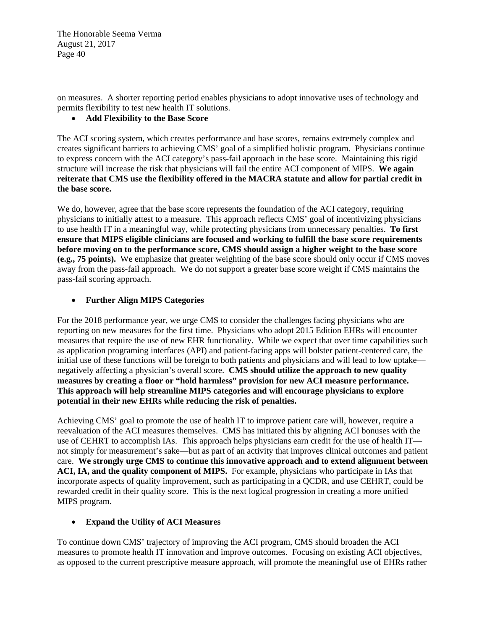on measures. A shorter reporting period enables physicians to adopt innovative uses of technology and permits flexibility to test new health IT solutions.

# **Add Flexibility to the Base Score**

The ACI scoring system, which creates performance and base scores, remains extremely complex and creates significant barriers to achieving CMS' goal of a simplified holistic program. Physicians continue to express concern with the ACI category's pass-fail approach in the base score. Maintaining this rigid structure will increase the risk that physicians will fail the entire ACI component of MIPS. **We again reiterate that CMS use the flexibility offered in the MACRA statute and allow for partial credit in the base score.** 

We do, however, agree that the base score represents the foundation of the ACI category, requiring physicians to initially attest to a measure. This approach reflects CMS' goal of incentivizing physicians to use health IT in a meaningful way, while protecting physicians from unnecessary penalties. **To first ensure that MIPS eligible clinicians are focused and working to fulfill the base score requirements before moving on to the performance score, CMS should assign a higher weight to the base score (e.g., 75 points).** We emphasize that greater weighting of the base score should only occur if CMS moves away from the pass-fail approach. We do not support a greater base score weight if CMS maintains the pass-fail scoring approach.

## **Further Align MIPS Categories**

For the 2018 performance year, we urge CMS to consider the challenges facing physicians who are reporting on new measures for the first time. Physicians who adopt 2015 Edition EHRs will encounter measures that require the use of new EHR functionality. While we expect that over time capabilities such as application programing interfaces (API) and patient-facing apps will bolster patient-centered care, the initial use of these functions will be foreign to both patients and physicians and will lead to low uptake negatively affecting a physician's overall score. **CMS should utilize the approach to new quality measures by creating a floor or "hold harmless" provision for new ACI measure performance. This approach will help streamline MIPS categories and will encourage physicians to explore potential in their new EHRs while reducing the risk of penalties.**

Achieving CMS' goal to promote the use of health IT to improve patient care will, however, require a reevaluation of the ACI measures themselves. CMS has initiated this by aligning ACI bonuses with the use of CEHRT to accomplish IAs. This approach helps physicians earn credit for the use of health IT not simply for measurement's sake—but as part of an activity that improves clinical outcomes and patient care. **We strongly urge CMS to continue this innovative approach and to extend alignment between ACI, IA, and the quality component of MIPS.** For example, physicians who participate in IAs that incorporate aspects of quality improvement, such as participating in a QCDR, and use CEHRT, could be rewarded credit in their quality score. This is the next logical progression in creating a more unified MIPS program.

# **Expand the Utility of ACI Measures**

To continue down CMS' trajectory of improving the ACI program, CMS should broaden the ACI measures to promote health IT innovation and improve outcomes. Focusing on existing ACI objectives, as opposed to the current prescriptive measure approach, will promote the meaningful use of EHRs rather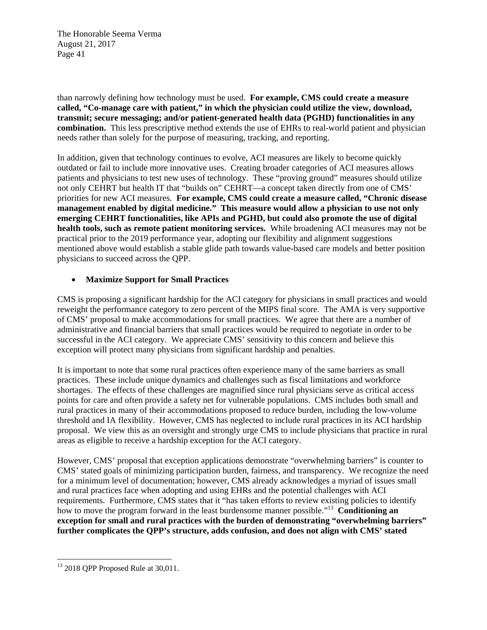than narrowly defining how technology must be used. **For example, CMS could create a measure called, "Co-manage care with patient," in which the physician could utilize the view, download, transmit; secure messaging; and/or patient-generated health data (PGHD) functionalities in any combination.** This less prescriptive method extends the use of EHRs to real-world patient and physician needs rather than solely for the purpose of measuring, tracking, and reporting.

In addition, given that technology continues to evolve, ACI measures are likely to become quickly outdated or fail to include more innovative uses. Creating broader categories of ACI measures allows patients and physicians to test new uses of technology. These "proving ground" measures should utilize not only CEHRT but health IT that "builds on" CEHRT—a concept taken directly from one of CMS' priorities for new ACI measures. **For example, CMS could create a measure called, "Chronic disease management enabled by digital medicine." This measure would allow a physician to use not only emerging CEHRT functionalities, like APIs and PGHD, but could also promote the use of digital health tools, such as remote patient monitoring services.** While broadening ACI measures may not be practical prior to the 2019 performance year, adopting our flexibility and alignment suggestions mentioned above would establish a stable glide path towards value-based care models and better position physicians to succeed across the QPP.

### **Maximize Support for Small Practices**

CMS is proposing a significant hardship for the ACI category for physicians in small practices and would reweight the performance category to zero percent of the MIPS final score. The AMA is very supportive of CMS' proposal to make accommodations for small practices. We agree that there are a number of administrative and financial barriers that small practices would be required to negotiate in order to be successful in the ACI category. We appreciate CMS' sensitivity to this concern and believe this exception will protect many physicians from significant hardship and penalties.

It is important to note that some rural practices often experience many of the same barriers as small practices. These include unique dynamics and challenges such as fiscal limitations and workforce shortages. The effects of these challenges are magnified since rural physicians serve as critical access points for care and often provide a safety net for vulnerable populations. CMS includes both small and rural practices in many of their accommodations proposed to reduce burden, including the low-volume threshold and IA flexibility. However, CMS has neglected to include rural practices in its ACI hardship proposal. We view this as an oversight and strongly urge CMS to include physicians that practice in rural areas as eligible to receive a hardship exception for the ACI category.

However, CMS' proposal that exception applications demonstrate "overwhelming barriers" is counter to CMS' stated goals of minimizing participation burden, fairness, and transparency. We recognize the need for a minimum level of documentation; however, CMS already acknowledges a myriad of issues small and rural practices face when adopting and using EHRs and the potential challenges with ACI requirements. Furthermore, CMS states that it "has taken efforts to review existing policies to identify how to move the program forward in the least burdensome manner possible."13 **Conditioning an exception for small and rural practices with the burden of demonstrating "overwhelming barriers" further complicates the QPP's structure, adds confusion, and does not align with CMS' stated** 

 <sup>13</sup> 2018 QPP Proposed Rule at 30,011.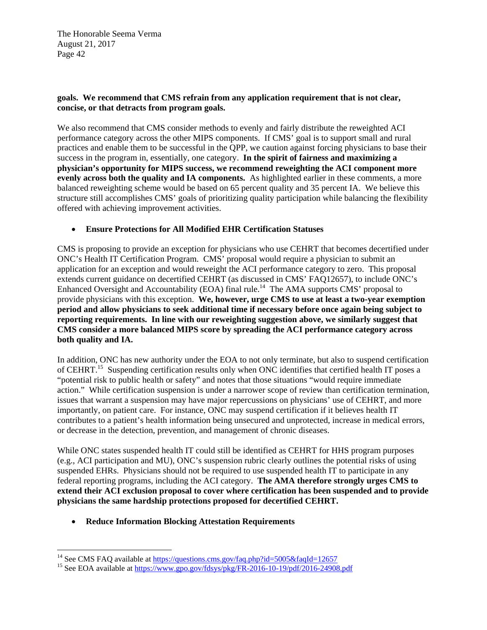## **goals. We recommend that CMS refrain from any application requirement that is not clear, concise, or that detracts from program goals.**

We also recommend that CMS consider methods to evenly and fairly distribute the reweighted ACI performance category across the other MIPS components. If CMS' goal is to support small and rural practices and enable them to be successful in the QPP, we caution against forcing physicians to base their success in the program in, essentially, one category. **In the spirit of fairness and maximizing a physician's opportunity for MIPS success, we recommend reweighting the ACI component more evenly across both the quality and IA components.** As highlighted earlier in these comments, a more balanced reweighting scheme would be based on 65 percent quality and 35 percent IA. We believe this structure still accomplishes CMS' goals of prioritizing quality participation while balancing the flexibility offered with achieving improvement activities.

## **Ensure Protections for All Modified EHR Certification Statuses**

CMS is proposing to provide an exception for physicians who use CEHRT that becomes decertified under ONC's Health IT Certification Program. CMS' proposal would require a physician to submit an application for an exception and would reweight the ACI performance category to zero. This proposal extends current guidance on decertified CEHRT (as discussed in CMS' FAQ12657), to include ONC's Enhanced Oversight and Accountability (EOA) final rule.<sup>14</sup> The AMA supports CMS' proposal to provide physicians with this exception. **We, however, urge CMS to use at least a two-year exemption period and allow physicians to seek additional time if necessary before once again being subject to reporting requirements. In line with our reweighting suggestion above, we similarly suggest that CMS consider a more balanced MIPS score by spreading the ACI performance category across both quality and IA.**

In addition, ONC has new authority under the EOA to not only terminate, but also to suspend certification of CEHRT.<sup>15</sup> Suspending certification results only when ONC identifies that certified health IT poses a "potential risk to public health or safety" and notes that those situations "would require immediate action." While certification suspension is under a narrower scope of review than certification termination, issues that warrant a suspension may have major repercussions on physicians' use of CEHRT, and more importantly, on patient care. For instance, ONC may suspend certification if it believes health IT contributes to a patient's health information being unsecured and unprotected, increase in medical errors, or decrease in the detection, prevention, and management of chronic diseases.

While ONC states suspended health IT could still be identified as CEHRT for HHS program purposes (e.g., ACI participation and MU), ONC's suspension rubric clearly outlines the potential risks of using suspended EHRs. Physicians should not be required to use suspended health IT to participate in any federal reporting programs, including the ACI category. **The AMA therefore strongly urges CMS to extend their ACI exclusion proposal to cover where certification has been suspended and to provide physicians the same hardship protections proposed for decertified CEHRT.** 

**Reduce Information Blocking Attestation Requirements** 

 

<sup>&</sup>lt;sup>14</sup> See CMS FAQ available at <u>https://questions.cms.gov/faq.php?id=5005&faqId=12657</u><br><sup>15</sup> See EOA available at <u>https://www.gpo.gov/fdsys/pkg/FR-2016-10-19/pdf/2016-24908.pdf</u>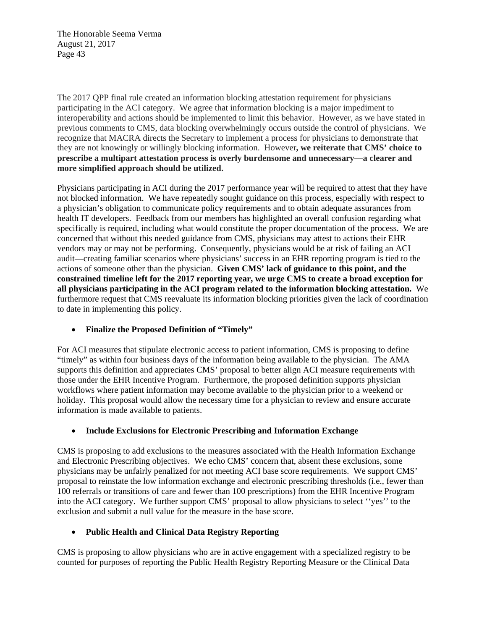The 2017 QPP final rule created an information blocking attestation requirement for physicians participating in the ACI category. We agree that information blocking is a major impediment to interoperability and actions should be implemented to limit this behavior. However, as we have stated in previous comments to CMS, data blocking overwhelmingly occurs outside the control of physicians. We recognize that MACRA directs the Secretary to implement a process for physicians to demonstrate that they are not knowingly or willingly blocking information. However**, we reiterate that CMS' choice to prescribe a multipart attestation process is overly burdensome and unnecessary—a clearer and more simplified approach should be utilized.** 

Physicians participating in ACI during the 2017 performance year will be required to attest that they have not blocked information. We have repeatedly sought guidance on this process, especially with respect to a physician's obligation to communicate policy requirements and to obtain adequate assurances from health IT developers. Feedback from our members has highlighted an overall confusion regarding what specifically is required, including what would constitute the proper documentation of the process. We are concerned that without this needed guidance from CMS, physicians may attest to actions their EHR vendors may or may not be performing. Consequently, physicians would be at risk of failing an ACI audit—creating familiar scenarios where physicians' success in an EHR reporting program is tied to the actions of someone other than the physician. **Given CMS' lack of guidance to this point, and the constrained timeline left for the 2017 reporting year, we urge CMS to create a broad exception for all physicians participating in the ACI program related to the information blocking attestation.** We furthermore request that CMS reevaluate its information blocking priorities given the lack of coordination to date in implementing this policy.

# **Finalize the Proposed Definition of "Timely"**

For ACI measures that stipulate electronic access to patient information, CMS is proposing to define "timely" as within four business days of the information being available to the physician. The AMA supports this definition and appreciates CMS' proposal to better align ACI measure requirements with those under the EHR Incentive Program. Furthermore, the proposed definition supports physician workflows where patient information may become available to the physician prior to a weekend or holiday. This proposal would allow the necessary time for a physician to review and ensure accurate information is made available to patients.

# **Include Exclusions for Electronic Prescribing and Information Exchange**

CMS is proposing to add exclusions to the measures associated with the Health Information Exchange and Electronic Prescribing objectives. We echo CMS' concern that, absent these exclusions, some physicians may be unfairly penalized for not meeting ACI base score requirements. We support CMS' proposal to reinstate the low information exchange and electronic prescribing thresholds (i.e., fewer than 100 referrals or transitions of care and fewer than 100 prescriptions) from the EHR Incentive Program into the ACI category. We further support CMS' proposal to allow physicians to select ''yes'' to the exclusion and submit a null value for the measure in the base score.

# **Public Health and Clinical Data Registry Reporting**

CMS is proposing to allow physicians who are in active engagement with a specialized registry to be counted for purposes of reporting the Public Health Registry Reporting Measure or the Clinical Data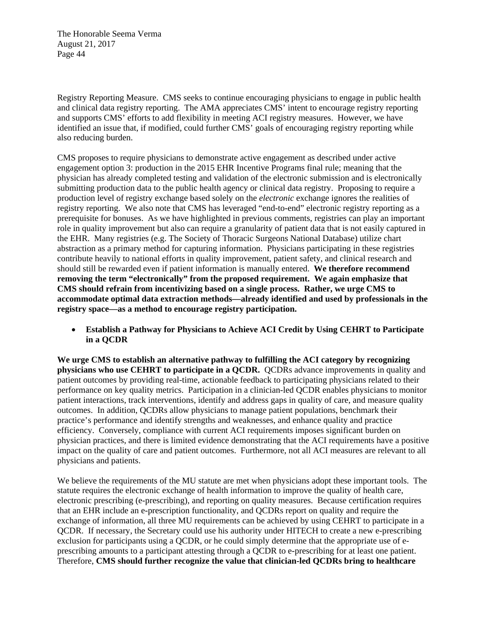Registry Reporting Measure. CMS seeks to continue encouraging physicians to engage in public health and clinical data registry reporting. The AMA appreciates CMS' intent to encourage registry reporting and supports CMS' efforts to add flexibility in meeting ACI registry measures. However, we have identified an issue that, if modified, could further CMS' goals of encouraging registry reporting while also reducing burden.

CMS proposes to require physicians to demonstrate active engagement as described under active engagement option 3: production in the 2015 EHR Incentive Programs final rule; meaning that the physician has already completed testing and validation of the electronic submission and is electronically submitting production data to the public health agency or clinical data registry. Proposing to require a production level of registry exchange based solely on the *electronic* exchange ignores the realities of registry reporting. We also note that CMS has leveraged "end-to-end" electronic registry reporting as a prerequisite for bonuses. As we have highlighted in previous comments, registries can play an important role in quality improvement but also can require a granularity of patient data that is not easily captured in the EHR. Many registries (e.g. The Society of Thoracic Surgeons National Database) utilize chart abstraction as a primary method for capturing information. Physicians participating in these registries contribute heavily to national efforts in quality improvement, patient safety, and clinical research and should still be rewarded even if patient information is manually entered. **We therefore recommend removing the term "electronically" from the proposed requirement. We again emphasize that CMS should refrain from incentivizing based on a single process. Rather, we urge CMS to accommodate optimal data extraction methods—already identified and used by professionals in the registry space—as a method to encourage registry participation.** 

 **Establish a Pathway for Physicians to Achieve ACI Credit by Using CEHRT to Participate in a QCDR** 

**We urge CMS to establish an alternative pathway to fulfilling the ACI category by recognizing physicians who use CEHRT to participate in a QCDR.** QCDRs advance improvements in quality and patient outcomes by providing real-time, actionable feedback to participating physicians related to their performance on key quality metrics. Participation in a clinician-led QCDR enables physicians to monitor patient interactions, track interventions, identify and address gaps in quality of care, and measure quality outcomes. In addition, QCDRs allow physicians to manage patient populations, benchmark their practice's performance and identify strengths and weaknesses, and enhance quality and practice efficiency. Conversely, compliance with current ACI requirements imposes significant burden on physician practices, and there is limited evidence demonstrating that the ACI requirements have a positive impact on the quality of care and patient outcomes. Furthermore, not all ACI measures are relevant to all physicians and patients.

We believe the requirements of the MU statute are met when physicians adopt these important tools. The statute requires the electronic exchange of health information to improve the quality of health care, electronic prescribing (e-prescribing), and reporting on quality measures. Because certification requires that an EHR include an e-prescription functionality, and QCDRs report on quality and require the exchange of information, all three MU requirements can be achieved by using CEHRT to participate in a QCDR. If necessary, the Secretary could use his authority under HITECH to create a new e-prescribing exclusion for participants using a QCDR, or he could simply determine that the appropriate use of eprescribing amounts to a participant attesting through a QCDR to e-prescribing for at least one patient. Therefore, **CMS should further recognize the value that clinician-led QCDRs bring to healthcare**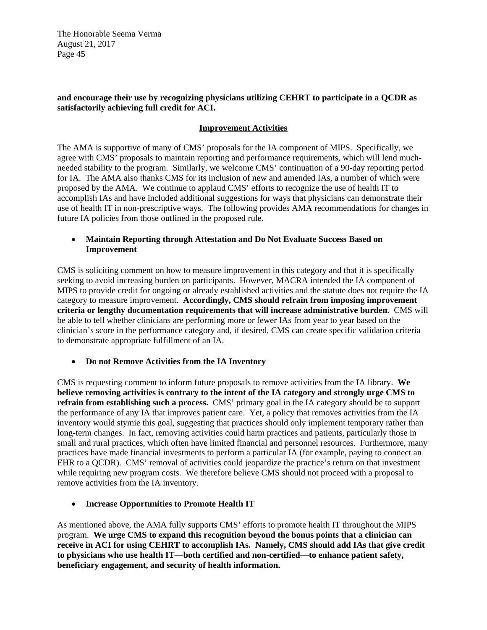### **and encourage their use by recognizing physicians utilizing CEHRT to participate in a QCDR as satisfactorily achieving full credit for ACI.**

### **Improvement Activities**

The AMA is supportive of many of CMS' proposals for the IA component of MIPS. Specifically, we agree with CMS' proposals to maintain reporting and performance requirements, which will lend muchneeded stability to the program. Similarly, we welcome CMS' continuation of a 90-day reporting period for IA. The AMA also thanks CMS for its inclusion of new and amended IAs, a number of which were proposed by the AMA. We continue to applaud CMS' efforts to recognize the use of health IT to accomplish IAs and have included additional suggestions for ways that physicians can demonstrate their use of health IT in non-prescriptive ways. The following provides AMA recommendations for changes in future IA policies from those outlined in the proposed rule.

### **Maintain Reporting through Attestation and Do Not Evaluate Success Based on Improvement**

CMS is soliciting comment on how to measure improvement in this category and that it is specifically seeking to avoid increasing burden on participants. However, MACRA intended the IA component of MIPS to provide credit for ongoing or already established activities and the statute does not require the IA category to measure improvement. **Accordingly, CMS should refrain from imposing improvement criteria or lengthy documentation requirements that will increase administrative burden.** CMS will be able to tell whether clinicians are performing more or fewer IAs from year to year based on the clinician's score in the performance category and, if desired, CMS can create specific validation criteria to demonstrate appropriate fulfillment of an IA.

# **Do not Remove Activities from the IA Inventory**

CMS is requesting comment to inform future proposals to remove activities from the IA library. **We believe removing activities is contrary to the intent of the IA category and strongly urge CMS to refrain from establishing such a process.** CMS' primary goal in the IA category should be to support the performance of any IA that improves patient care. Yet, a policy that removes activities from the IA inventory would stymie this goal, suggesting that practices should only implement temporary rather than long-term changes. In fact, removing activities could harm practices and patients, particularly those in small and rural practices, which often have limited financial and personnel resources. Furthermore, many practices have made financial investments to perform a particular IA (for example, paying to connect an EHR to a QCDR). CMS' removal of activities could jeopardize the practice's return on that investment while requiring new program costs. We therefore believe CMS should not proceed with a proposal to remove activities from the IA inventory.

### **Increase Opportunities to Promote Health IT**

As mentioned above, the AMA fully supports CMS' efforts to promote health IT throughout the MIPS program. **We urge CMS to expand this recognition beyond the bonus points that a clinician can receive in ACI for using CEHRT to accomplish IAs. Namely, CMS should add IAs that give credit to physicians who use health IT—both certified and non-certified—to enhance patient safety, beneficiary engagement, and security of health information.**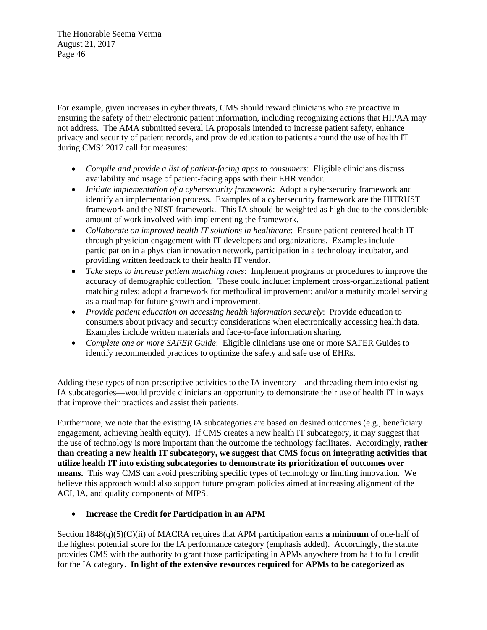For example, given increases in cyber threats, CMS should reward clinicians who are proactive in ensuring the safety of their electronic patient information, including recognizing actions that HIPAA may not address. The AMA submitted several IA proposals intended to increase patient safety, enhance privacy and security of patient records, and provide education to patients around the use of health IT during CMS' 2017 call for measures:

- *Compile and provide a list of patient-facing apps to consumers*: Eligible clinicians discuss availability and usage of patient-facing apps with their EHR vendor.
- *Initiate implementation of a cybersecurity framework*: Adopt a cybersecurity framework and identify an implementation process. Examples of a cybersecurity framework are the HITRUST framework and the NIST framework. This IA should be weighted as high due to the considerable amount of work involved with implementing the framework.
- *Collaborate on improved health IT solutions in healthcare*: Ensure patient-centered health IT through physician engagement with IT developers and organizations. Examples include participation in a physician innovation network, participation in a technology incubator, and providing written feedback to their health IT vendor.
- *Take steps to increase patient matching rates*: Implement programs or procedures to improve the accuracy of demographic collection. These could include: implement cross-organizational patient matching rules; adopt a framework for methodical improvement; and/or a maturity model serving as a roadmap for future growth and improvement.
- *Provide patient education on accessing health information securely*: Provide education to consumers about privacy and security considerations when electronically accessing health data. Examples include written materials and face-to-face information sharing.
- *Complete one or more SAFER Guide*: Eligible clinicians use one or more SAFER Guides to identify recommended practices to optimize the safety and safe use of EHRs.

Adding these types of non-prescriptive activities to the IA inventory—and threading them into existing IA subcategories—would provide clinicians an opportunity to demonstrate their use of health IT in ways that improve their practices and assist their patients.

Furthermore, we note that the existing IA subcategories are based on desired outcomes (e.g., beneficiary engagement, achieving health equity). If CMS creates a new health IT subcategory, it may suggest that the use of technology is more important than the outcome the technology facilitates. Accordingly, **rather than creating a new health IT subcategory, we suggest that CMS focus on integrating activities that utilize health IT into existing subcategories to demonstrate its prioritization of outcomes over means.** This way CMS can avoid prescribing specific types of technology or limiting innovation. We believe this approach would also support future program policies aimed at increasing alignment of the ACI, IA, and quality components of MIPS.

# **Increase the Credit for Participation in an APM**

Section 1848(q)(5)(C)(ii) of MACRA requires that APM participation earns **a minimum** of one-half of the highest potential score for the IA performance category (emphasis added). Accordingly, the statute provides CMS with the authority to grant those participating in APMs anywhere from half to full credit for the IA category. **In light of the extensive resources required for APMs to be categorized as**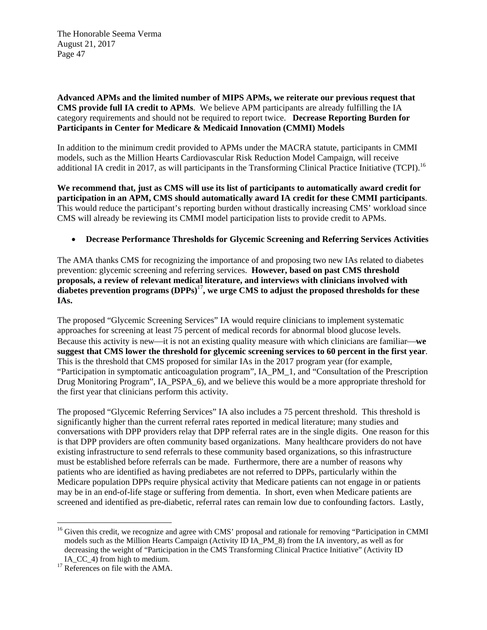**Advanced APMs and the limited number of MIPS APMs, we reiterate our previous request that CMS provide full IA credit to APMs**. We believe APM participants are already fulfilling the IA category requirements and should not be required to report twice. **Decrease Reporting Burden for Participants in Center for Medicare & Medicaid Innovation (CMMI) Models** 

In addition to the minimum credit provided to APMs under the MACRA statute, participants in CMMI models, such as the Million Hearts Cardiovascular Risk Reduction Model Campaign, will receive additional IA credit in 2017, as will participants in the Transforming Clinical Practice Initiative (TCPI).<sup>16</sup>

**We recommend that, just as CMS will use its list of participants to automatically award credit for participation in an APM, CMS should automatically award IA credit for these CMMI participants**. This would reduce the participant's reporting burden without drastically increasing CMS' workload since CMS will already be reviewing its CMMI model participation lists to provide credit to APMs.

### **Decrease Performance Thresholds for Glycemic Screening and Referring Services Activities**

The AMA thanks CMS for recognizing the importance of and proposing two new IAs related to diabetes prevention: glycemic screening and referring services. **However, based on past CMS threshold proposals, a review of relevant medical literature, and interviews with clinicians involved with**  diabetes prevention programs  $(DPPs)^{17}$ , we urge CMS to adjust the proposed thresholds for these **IAs.** 

The proposed "Glycemic Screening Services" IA would require clinicians to implement systematic approaches for screening at least 75 percent of medical records for abnormal blood glucose levels. Because this activity is new—it is not an existing quality measure with which clinicians are familiar—we **suggest that CMS lower the threshold for glycemic screening services to 60 percent in the first year**. This is the threshold that CMS proposed for similar IAs in the 2017 program year (for example, "Participation in symptomatic anticoagulation program", IA\_PM\_1, and "Consultation of the Prescription Drug Monitoring Program", IA\_PSPA\_6), and we believe this would be a more appropriate threshold for the first year that clinicians perform this activity.

The proposed "Glycemic Referring Services" IA also includes a 75 percent threshold. This threshold is significantly higher than the current referral rates reported in medical literature; many studies and conversations with DPP providers relay that DPP referral rates are in the single digits. One reason for this is that DPP providers are often community based organizations. Many healthcare providers do not have existing infrastructure to send referrals to these community based organizations, so this infrastructure must be established before referrals can be made. Furthermore, there are a number of reasons why patients who are identified as having prediabetes are not referred to DPPs, particularly within the Medicare population DPPs require physical activity that Medicare patients can not engage in or patients may be in an end-of-life stage or suffering from dementia. In short, even when Medicare patients are screened and identified as pre-diabetic, referral rates can remain low due to confounding factors. Lastly,

 

<sup>&</sup>lt;sup>16</sup> Given this credit, we recognize and agree with CMS' proposal and rationale for removing "Participation in CMMI models such as the Million Hearts Campaign (Activity ID IA PM 8) from the IA inventory, as well as for decreasing the weight of "Participation in the CMS Transforming Clinical Practice Initiative" (Activity ID

IA\_CC\_4) from high to medium.<br><sup>17</sup> References on file with the AMA.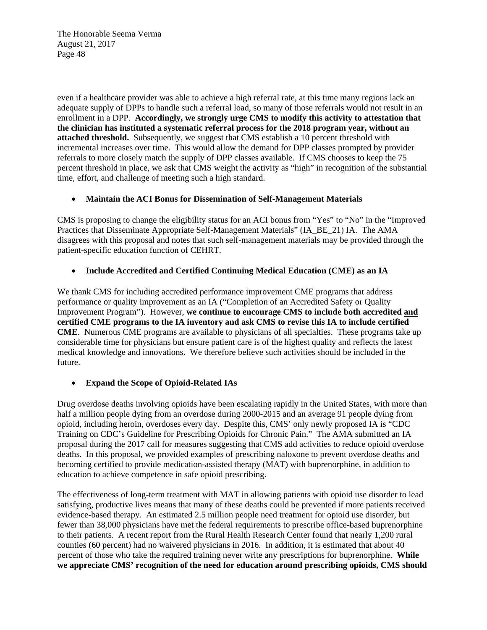even if a healthcare provider was able to achieve a high referral rate, at this time many regions lack an adequate supply of DPPs to handle such a referral load, so many of those referrals would not result in an enrollment in a DPP. **Accordingly, we strongly urge CMS to modify this activity to attestation that the clinician has instituted a systematic referral process for the 2018 program year, without an attached threshold.** Subsequently, we suggest that CMS establish a 10 percent threshold with incremental increases over time. This would allow the demand for DPP classes prompted by provider referrals to more closely match the supply of DPP classes available. If CMS chooses to keep the 75 percent threshold in place, we ask that CMS weight the activity as "high" in recognition of the substantial time, effort, and challenge of meeting such a high standard.

## **Maintain the ACI Bonus for Dissemination of Self-Management Materials**

CMS is proposing to change the eligibility status for an ACI bonus from "Yes" to "No" in the "Improved Practices that Disseminate Appropriate Self-Management Materials" (IA\_BE\_21) IA. The AMA disagrees with this proposal and notes that such self-management materials may be provided through the patient-specific education function of CEHRT.

## **Include Accredited and Certified Continuing Medical Education (CME) as an IA**

We thank CMS for including accredited performance improvement CME programs that address performance or quality improvement as an IA ("Completion of an Accredited Safety or Quality Improvement Program"). However, **we continue to encourage CMS to include both accredited and certified CME programs to the IA inventory and ask CMS to revise this IA to include certified CME**. Numerous CME programs are available to physicians of all specialties. These programs take up considerable time for physicians but ensure patient care is of the highest quality and reflects the latest medical knowledge and innovations. We therefore believe such activities should be included in the future.

# **Expand the Scope of Opioid-Related IAs**

Drug overdose deaths involving opioids have been escalating rapidly in the United States, with more than half a million people dying from an overdose during 2000-2015 and an average 91 people dying from opioid, including heroin, overdoses every day. Despite this, CMS' only newly proposed IA is "CDC Training on CDC's Guideline for Prescribing Opioids for Chronic Pain." The AMA submitted an IA proposal during the 2017 call for measures suggesting that CMS add activities to reduce opioid overdose deaths. In this proposal, we provided examples of prescribing naloxone to prevent overdose deaths and becoming certified to provide medication-assisted therapy (MAT) with buprenorphine, in addition to education to achieve competence in safe opioid prescribing.

The effectiveness of long-term treatment with MAT in allowing patients with opioid use disorder to lead satisfying, productive lives means that many of these deaths could be prevented if more patients received evidence-based therapy. An estimated 2.5 million people need treatment for opioid use disorder, but fewer than 38,000 physicians have met the federal requirements to prescribe office-based buprenorphine to their patients. A recent report from the Rural Health Research Center found that nearly 1,200 rural counties (60 percent) had no waivered physicians in 2016. In addition, it is estimated that about 40 percent of those who take the required training never write any prescriptions for buprenorphine. **While we appreciate CMS' recognition of the need for education around prescribing opioids, CMS should**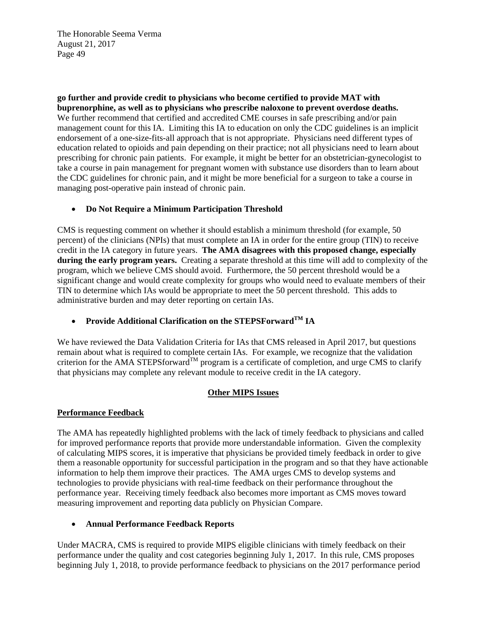**go further and provide credit to physicians who become certified to provide MAT with buprenorphine, as well as to physicians who prescribe naloxone to prevent overdose deaths.**  We further recommend that certified and accredited CME courses in safe prescribing and/or pain management count for this IA. Limiting this IA to education on only the CDC guidelines is an implicit endorsement of a one-size-fits-all approach that is not appropriate. Physicians need different types of education related to opioids and pain depending on their practice; not all physicians need to learn about prescribing for chronic pain patients. For example, it might be better for an obstetrician-gynecologist to take a course in pain management for pregnant women with substance use disorders than to learn about the CDC guidelines for chronic pain, and it might be more beneficial for a surgeon to take a course in managing post-operative pain instead of chronic pain.

## **Do Not Require a Minimum Participation Threshold**

CMS is requesting comment on whether it should establish a minimum threshold (for example, 50 percent) of the clinicians (NPIs) that must complete an IA in order for the entire group (TIN) to receive credit in the IA category in future years. **The AMA disagrees with this proposed change, especially during the early program years.** Creating a separate threshold at this time will add to complexity of the program, which we believe CMS should avoid. Furthermore, the 50 percent threshold would be a significant change and would create complexity for groups who would need to evaluate members of their TIN to determine which IAs would be appropriate to meet the 50 percent threshold. This adds to administrative burden and may deter reporting on certain IAs.

# **Provide Additional Clarification on the STEPSForwardTM IA**

We have reviewed the Data Validation Criteria for IAs that CMS released in April 2017, but questions remain about what is required to complete certain IAs. For example, we recognize that the validation criterion for the AMA STEPSforward<sup>TM</sup> program is a certificate of completion, and urge CMS to clarify that physicians may complete any relevant module to receive credit in the IA category.

### **Other MIPS Issues**

### **Performance Feedback**

The AMA has repeatedly highlighted problems with the lack of timely feedback to physicians and called for improved performance reports that provide more understandable information. Given the complexity of calculating MIPS scores, it is imperative that physicians be provided timely feedback in order to give them a reasonable opportunity for successful participation in the program and so that they have actionable information to help them improve their practices. The AMA urges CMS to develop systems and technologies to provide physicians with real-time feedback on their performance throughout the performance year. Receiving timely feedback also becomes more important as CMS moves toward measuring improvement and reporting data publicly on Physician Compare.

### **Annual Performance Feedback Reports**

Under MACRA, CMS is required to provide MIPS eligible clinicians with timely feedback on their performance under the quality and cost categories beginning July 1, 2017. In this rule, CMS proposes beginning July 1, 2018, to provide performance feedback to physicians on the 2017 performance period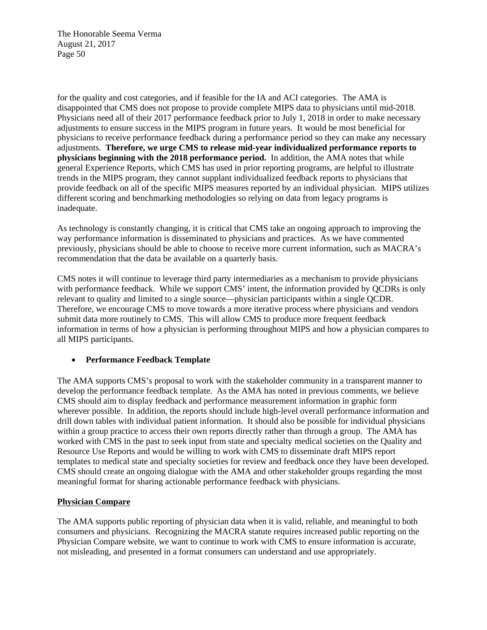for the quality and cost categories, and if feasible for the IA and ACI categories. The AMA is disappointed that CMS does not propose to provide complete MIPS data to physicians until mid-2018. Physicians need all of their 2017 performance feedback prior to July 1, 2018 in order to make necessary adjustments to ensure success in the MIPS program in future years. It would be most beneficial for physicians to receive performance feedback during a performance period so they can make any necessary adjustments. **Therefore, we urge CMS to release mid-year individualized performance reports to physicians beginning with the 2018 performance period.** In addition, the AMA notes that while general Experience Reports, which CMS has used in prior reporting programs, are helpful to illustrate trends in the MIPS program, they cannot supplant individualized feedback reports to physicians that provide feedback on all of the specific MIPS measures reported by an individual physician. MIPS utilizes different scoring and benchmarking methodologies so relying on data from legacy programs is inadequate.

As technology is constantly changing, it is critical that CMS take an ongoing approach to improving the way performance information is disseminated to physicians and practices. As we have commented previously, physicians should be able to choose to receive more current information, such as MACRA's recommendation that the data be available on a quarterly basis.

CMS notes it will continue to leverage third party intermediaries as a mechanism to provide physicians with performance feedback. While we support CMS' intent, the information provided by OCDRs is only relevant to quality and limited to a single source—physician participants within a single QCDR. Therefore, we encourage CMS to move towards a more iterative process where physicians and vendors submit data more routinely to CMS. This will allow CMS to produce more frequent feedback information in terms of how a physician is performing throughout MIPS and how a physician compares to all MIPS participants.

### **Performance Feedback Template**

The AMA supports CMS's proposal to work with the stakeholder community in a transparent manner to develop the performance feedback template. As the AMA has noted in previous comments, we believe CMS should aim to display feedback and performance measurement information in graphic form wherever possible. In addition, the reports should include high-level overall performance information and drill down tables with individual patient information. It should also be possible for individual physicians within a group practice to access their own reports directly rather than through a group. The AMA has worked with CMS in the past to seek input from state and specialty medical societies on the Quality and Resource Use Reports and would be willing to work with CMS to disseminate draft MIPS report templates to medical state and specialty societies for review and feedback once they have been developed. CMS should create an ongoing dialogue with the AMA and other stakeholder groups regarding the most meaningful format for sharing actionable performance feedback with physicians.

# **Physician Compare**

The AMA supports public reporting of physician data when it is valid, reliable, and meaningful to both consumers and physicians. Recognizing the MACRA statute requires increased public reporting on the Physician Compare website, we want to continue to work with CMS to ensure information is accurate, not misleading, and presented in a format consumers can understand and use appropriately.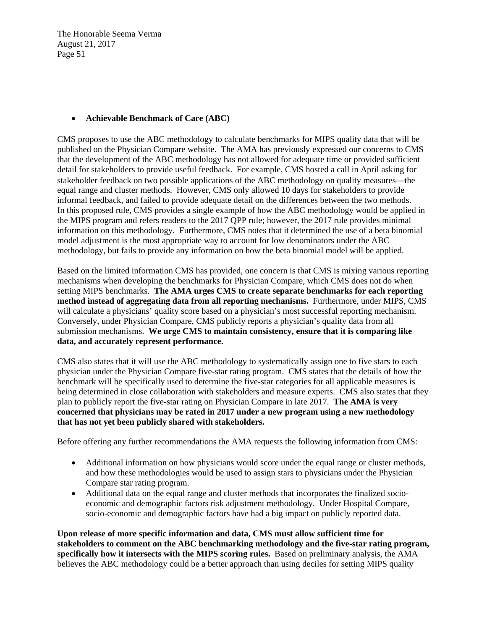### **Achievable Benchmark of Care (ABC)**

CMS proposes to use the ABC methodology to calculate benchmarks for MIPS quality data that will be published on the Physician Compare website. The AMA has previously expressed our concerns to CMS that the development of the ABC methodology has not allowed for adequate time or provided sufficient detail for stakeholders to provide useful feedback. For example, CMS hosted a call in April asking for stakeholder feedback on two possible applications of the ABC methodology on quality measures—the equal range and cluster methods. However, CMS only allowed 10 days for stakeholders to provide informal feedback, and failed to provide adequate detail on the differences between the two methods. In this proposed rule, CMS provides a single example of how the ABC methodology would be applied in the MIPS program and refers readers to the 2017 QPP rule; however, the 2017 rule provides minimal information on this methodology. Furthermore, CMS notes that it determined the use of a beta binomial model adjustment is the most appropriate way to account for low denominators under the ABC methodology, but fails to provide any information on how the beta binomial model will be applied.

Based on the limited information CMS has provided, one concern is that CMS is mixing various reporting mechanisms when developing the benchmarks for Physician Compare, which CMS does not do when setting MIPS benchmarks. **The AMA urges CMS to create separate benchmarks for each reporting method instead of aggregating data from all reporting mechanisms.** Furthermore, under MIPS, CMS will calculate a physicians' quality score based on a physician's most successful reporting mechanism. Conversely, under Physician Compare, CMS publicly reports a physician's quality data from all submission mechanisms. **We urge CMS to maintain consistency, ensure that it is comparing like data, and accurately represent performance.** 

CMS also states that it will use the ABC methodology to systematically assign one to five stars to each physician under the Physician Compare five-star rating program. CMS states that the details of how the benchmark will be specifically used to determine the five-star categories for all applicable measures is being determined in close collaboration with stakeholders and measure experts. CMS also states that they plan to publicly report the five-star rating on Physician Compare in late 2017. **The AMA is very concerned that physicians may be rated in 2017 under a new program using a new methodology that has not yet been publicly shared with stakeholders.**

Before offering any further recommendations the AMA requests the following information from CMS:

- Additional information on how physicians would score under the equal range or cluster methods, and how these methodologies would be used to assign stars to physicians under the Physician Compare star rating program.
- Additional data on the equal range and cluster methods that incorporates the finalized socioeconomic and demographic factors risk adjustment methodology. Under Hospital Compare, socio-economic and demographic factors have had a big impact on publicly reported data.

**Upon release of more specific information and data, CMS must allow sufficient time for stakeholders to comment on the ABC benchmarking methodology and the five-star rating program, specifically how it intersects with the MIPS scoring rules.** Based on preliminary analysis, the AMA believes the ABC methodology could be a better approach than using deciles for setting MIPS quality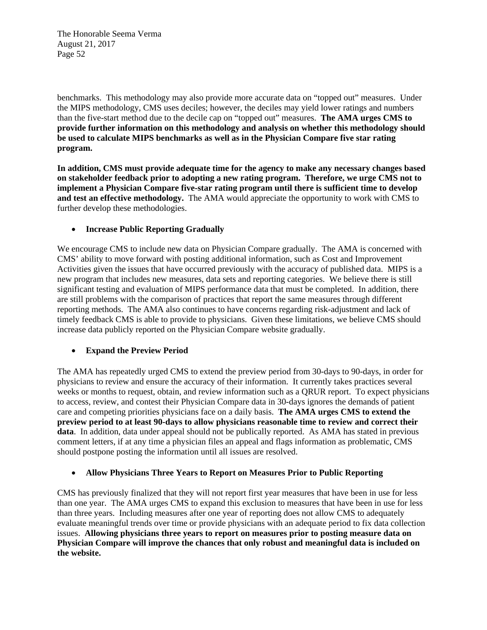benchmarks. This methodology may also provide more accurate data on "topped out" measures. Under the MIPS methodology, CMS uses deciles; however, the deciles may yield lower ratings and numbers than the five-start method due to the decile cap on "topped out" measures. **The AMA urges CMS to provide further information on this methodology and analysis on whether this methodology should be used to calculate MIPS benchmarks as well as in the Physician Compare five star rating program.** 

**In addition, CMS must provide adequate time for the agency to make any necessary changes based on stakeholder feedback prior to adopting a new rating program. Therefore, we urge CMS not to implement a Physician Compare five-star rating program until there is sufficient time to develop and test an effective methodology.** The AMA would appreciate the opportunity to work with CMS to further develop these methodologies.

## **Increase Public Reporting Gradually**

We encourage CMS to include new data on Physician Compare gradually. The AMA is concerned with CMS' ability to move forward with posting additional information, such as Cost and Improvement Activities given the issues that have occurred previously with the accuracy of published data. MIPS is a new program that includes new measures, data sets and reporting categories. We believe there is still significant testing and evaluation of MIPS performance data that must be completed. In addition, there are still problems with the comparison of practices that report the same measures through different reporting methods. The AMA also continues to have concerns regarding risk-adjustment and lack of timely feedback CMS is able to provide to physicians. Given these limitations, we believe CMS should increase data publicly reported on the Physician Compare website gradually.

### **Expand the Preview Period**

The AMA has repeatedly urged CMS to extend the preview period from 30-days to 90-days, in order for physicians to review and ensure the accuracy of their information. It currently takes practices several weeks or months to request, obtain, and review information such as a QRUR report. To expect physicians to access, review, and contest their Physician Compare data in 30-days ignores the demands of patient care and competing priorities physicians face on a daily basis. **The AMA urges CMS to extend the preview period to at least 90-days to allow physicians reasonable time to review and correct their data**. In addition, data under appeal should not be publically reported. As AMA has stated in previous comment letters, if at any time a physician files an appeal and flags information as problematic, CMS should postpone posting the information until all issues are resolved.

### **Allow Physicians Three Years to Report on Measures Prior to Public Reporting**

CMS has previously finalized that they will not report first year measures that have been in use for less than one year. The AMA urges CMS to expand this exclusion to measures that have been in use for less than three years. Including measures after one year of reporting does not allow CMS to adequately evaluate meaningful trends over time or provide physicians with an adequate period to fix data collection issues. **Allowing physicians three years to report on measures prior to posting measure data on Physician Compare will improve the chances that only robust and meaningful data is included on the website.**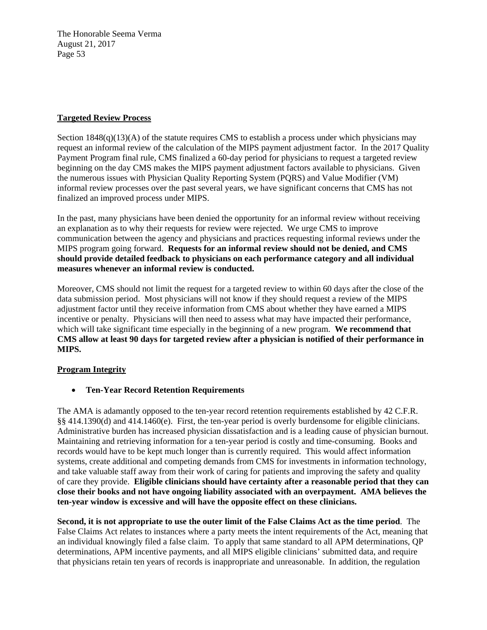## **Targeted Review Process**

Section  $1848(q)(13)(A)$  of the statute requires CMS to establish a process under which physicians may request an informal review of the calculation of the MIPS payment adjustment factor. In the 2017 Quality Payment Program final rule, CMS finalized a 60-day period for physicians to request a targeted review beginning on the day CMS makes the MIPS payment adjustment factors available to physicians. Given the numerous issues with Physician Quality Reporting System (PQRS) and Value Modifier (VM) informal review processes over the past several years, we have significant concerns that CMS has not finalized an improved process under MIPS.

In the past, many physicians have been denied the opportunity for an informal review without receiving an explanation as to why their requests for review were rejected. We urge CMS to improve communication between the agency and physicians and practices requesting informal reviews under the MIPS program going forward. **Requests for an informal review should not be denied, and CMS should provide detailed feedback to physicians on each performance category and all individual measures whenever an informal review is conducted.**

Moreover, CMS should not limit the request for a targeted review to within 60 days after the close of the data submission period. Most physicians will not know if they should request a review of the MIPS adjustment factor until they receive information from CMS about whether they have earned a MIPS incentive or penalty. Physicians will then need to assess what may have impacted their performance, which will take significant time especially in the beginning of a new program. **We recommend that CMS allow at least 90 days for targeted review after a physician is notified of their performance in MIPS.**

# **Program Integrity**

**Ten-Year Record Retention Requirements** 

The AMA is adamantly opposed to the ten-year record retention requirements established by 42 C.F.R. §§ 414.1390(d) and 414.1460(e). First, the ten-year period is overly burdensome for eligible clinicians. Administrative burden has increased physician dissatisfaction and is a leading cause of physician burnout. Maintaining and retrieving information for a ten-year period is costly and time-consuming. Books and records would have to be kept much longer than is currently required. This would affect information systems, create additional and competing demands from CMS for investments in information technology, and take valuable staff away from their work of caring for patients and improving the safety and quality of care they provide. **Eligible clinicians should have certainty after a reasonable period that they can close their books and not have ongoing liability associated with an overpayment. AMA believes the ten-year window is excessive and will have the opposite effect on these clinicians.** 

**Second, it is not appropriate to use the outer limit of the False Claims Act as the time period**. The False Claims Act relates to instances where a party meets the intent requirements of the Act, meaning that an individual knowingly filed a false claim. To apply that same standard to all APM determinations, QP determinations, APM incentive payments, and all MIPS eligible clinicians' submitted data, and require that physicians retain ten years of records is inappropriate and unreasonable. In addition, the regulation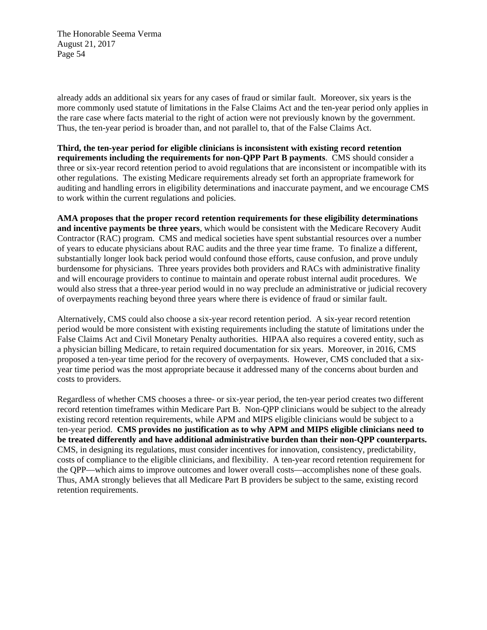already adds an additional six years for any cases of fraud or similar fault. Moreover, six years is the more commonly used statute of limitations in the False Claims Act and the ten-year period only applies in the rare case where facts material to the right of action were not previously known by the government. Thus, the ten-year period is broader than, and not parallel to, that of the False Claims Act.

**Third, the ten-year period for eligible clinicians is inconsistent with existing record retention requirements including the requirements for non-QPP Part B payments**. CMS should consider a three or six-year record retention period to avoid regulations that are inconsistent or incompatible with its other regulations. The existing Medicare requirements already set forth an appropriate framework for auditing and handling errors in eligibility determinations and inaccurate payment, and we encourage CMS to work within the current regulations and policies.

**AMA proposes that the proper record retention requirements for these eligibility determinations and incentive payments be three years**, which would be consistent with the Medicare Recovery Audit Contractor (RAC) program. CMS and medical societies have spent substantial resources over a number of years to educate physicians about RAC audits and the three year time frame. To finalize a different, substantially longer look back period would confound those efforts, cause confusion, and prove unduly burdensome for physicians. Three years provides both providers and RACs with administrative finality and will encourage providers to continue to maintain and operate robust internal audit procedures. We would also stress that a three-year period would in no way preclude an administrative or judicial recovery of overpayments reaching beyond three years where there is evidence of fraud or similar fault.

Alternatively, CMS could also choose a six-year record retention period. A six-year record retention period would be more consistent with existing requirements including the statute of limitations under the False Claims Act and Civil Monetary Penalty authorities. HIPAA also requires a covered entity, such as a physician billing Medicare, to retain required documentation for six years. Moreover, in 2016, CMS proposed a ten-year time period for the recovery of overpayments. However, CMS concluded that a sixyear time period was the most appropriate because it addressed many of the concerns about burden and costs to providers.

Regardless of whether CMS chooses a three- or six-year period, the ten-year period creates two different record retention timeframes within Medicare Part B. Non-QPP clinicians would be subject to the already existing record retention requirements, while APM and MIPS eligible clinicians would be subject to a ten-year period. **CMS provides no justification as to why APM and MIPS eligible clinicians need to be treated differently and have additional administrative burden than their non-QPP counterparts.** CMS, in designing its regulations, must consider incentives for innovation, consistency, predictability, costs of compliance to the eligible clinicians, and flexibility. A ten-year record retention requirement for the QPP—which aims to improve outcomes and lower overall costs—accomplishes none of these goals. Thus, AMA strongly believes that all Medicare Part B providers be subject to the same, existing record retention requirements.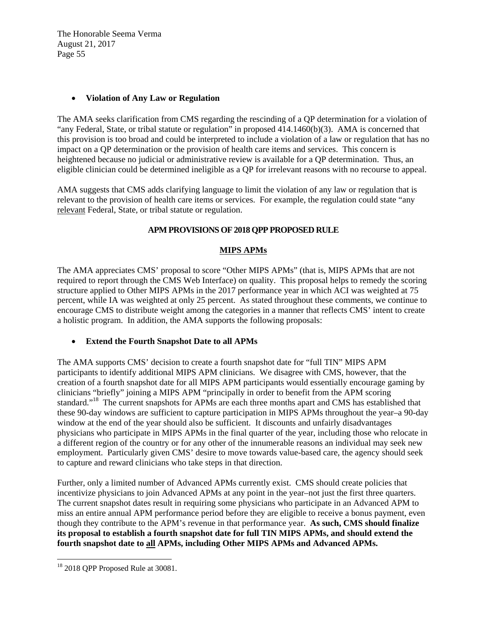#### **Violation of Any Law or Regulation**

The AMA seeks clarification from CMS regarding the rescinding of a QP determination for a violation of "any Federal, State, or tribal statute or regulation" in proposed 414.1460(b)(3). AMA is concerned that this provision is too broad and could be interpreted to include a violation of a law or regulation that has no impact on a QP determination or the provision of health care items and services. This concern is heightened because no judicial or administrative review is available for a QP determination. Thus, an eligible clinician could be determined ineligible as a QP for irrelevant reasons with no recourse to appeal.

AMA suggests that CMS adds clarifying language to limit the violation of any law or regulation that is relevant to the provision of health care items or services. For example, the regulation could state "any relevant Federal, State, or tribal statute or regulation.

## **APM PROVISIONS OF 2018 QPP PROPOSED RULE**

### **MIPS APMs**

The AMA appreciates CMS' proposal to score "Other MIPS APMs" (that is, MIPS APMs that are not required to report through the CMS Web Interface) on quality. This proposal helps to remedy the scoring structure applied to Other MIPS APMs in the 2017 performance year in which ACI was weighted at 75 percent, while IA was weighted at only 25 percent. As stated throughout these comments, we continue to encourage CMS to distribute weight among the categories in a manner that reflects CMS' intent to create a holistic program. In addition, the AMA supports the following proposals:

### **Extend the Fourth Snapshot Date to all APMs**

The AMA supports CMS' decision to create a fourth snapshot date for "full TIN" MIPS APM participants to identify additional MIPS APM clinicians. We disagree with CMS, however, that the creation of a fourth snapshot date for all MIPS APM participants would essentially encourage gaming by clinicians "briefly" joining a MIPS APM "principally in order to benefit from the APM scoring standard."<sup>18</sup> The current snapshots for APMs are each three months apart and CMS has established that these 90-day windows are sufficient to capture participation in MIPS APMs throughout the year–a 90-day window at the end of the year should also be sufficient. It discounts and unfairly disadvantages physicians who participate in MIPS APMs in the final quarter of the year, including those who relocate in a different region of the country or for any other of the innumerable reasons an individual may seek new employment. Particularly given CMS' desire to move towards value-based care, the agency should seek to capture and reward clinicians who take steps in that direction.

Further, only a limited number of Advanced APMs currently exist. CMS should create policies that incentivize physicians to join Advanced APMs at any point in the year–not just the first three quarters. The current snapshot dates result in requiring some physicians who participate in an Advanced APM to miss an entire annual APM performance period before they are eligible to receive a bonus payment, even though they contribute to the APM's revenue in that performance year. **As such, CMS should finalize its proposal to establish a fourth snapshot date for full TIN MIPS APMs, and should extend the fourth snapshot date to all APMs, including Other MIPS APMs and Advanced APMs.**

 <sup>18</sup> 2018 QPP Proposed Rule at 30081.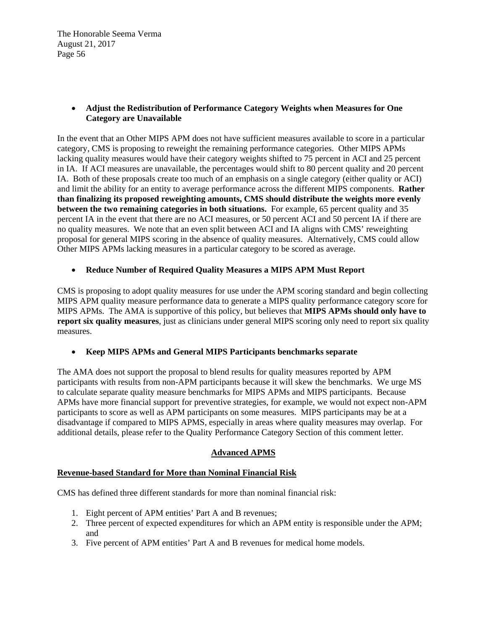# **Adjust the Redistribution of Performance Category Weights when Measures for One Category are Unavailable**

In the event that an Other MIPS APM does not have sufficient measures available to score in a particular category, CMS is proposing to reweight the remaining performance categories. Other MIPS APMs lacking quality measures would have their category weights shifted to 75 percent in ACI and 25 percent in IA. If ACI measures are unavailable, the percentages would shift to 80 percent quality and 20 percent IA. Both of these proposals create too much of an emphasis on a single category (either quality or ACI) and limit the ability for an entity to average performance across the different MIPS components. **Rather than finalizing its proposed reweighting amounts, CMS should distribute the weights more evenly between the two remaining categories in both situations.** For example, 65 percent quality and 35 percent IA in the event that there are no ACI measures, or 50 percent ACI and 50 percent IA if there are no quality measures. We note that an even split between ACI and IA aligns with CMS' reweighting proposal for general MIPS scoring in the absence of quality measures. Alternatively, CMS could allow Other MIPS APMs lacking measures in a particular category to be scored as average.

# **Reduce Number of Required Quality Measures a MIPS APM Must Report**

CMS is proposing to adopt quality measures for use under the APM scoring standard and begin collecting MIPS APM quality measure performance data to generate a MIPS quality performance category score for MIPS APMs. The AMA is supportive of this policy, but believes that **MIPS APMs should only have to report six quality measures**, just as clinicians under general MIPS scoring only need to report six quality measures.

# **Keep MIPS APMs and General MIPS Participants benchmarks separate**

The AMA does not support the proposal to blend results for quality measures reported by APM participants with results from non-APM participants because it will skew the benchmarks. We urge MS to calculate separate quality measure benchmarks for MIPS APMs and MIPS participants. Because APMs have more financial support for preventive strategies, for example, we would not expect non-APM participants to score as well as APM participants on some measures. MIPS participants may be at a disadvantage if compared to MIPS APMS, especially in areas where quality measures may overlap. For additional details, please refer to the Quality Performance Category Section of this comment letter.

# **Advanced APMS**

### **Revenue-based Standard for More than Nominal Financial Risk**

CMS has defined three different standards for more than nominal financial risk:

- 1. Eight percent of APM entities' Part A and B revenues;
- 2. Three percent of expected expenditures for which an APM entity is responsible under the APM; and
- 3. Five percent of APM entities' Part A and B revenues for medical home models.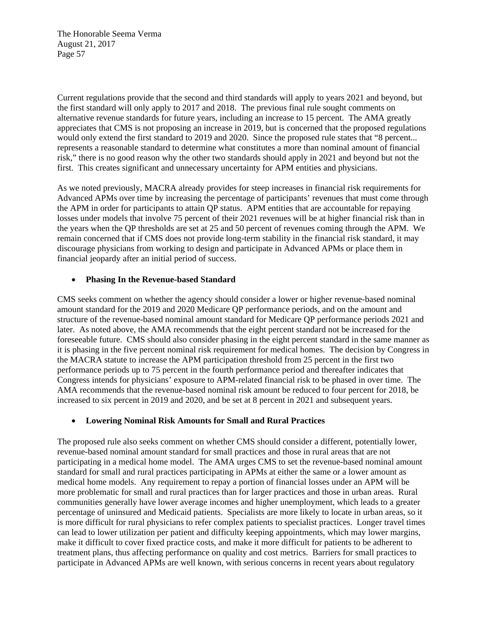Current regulations provide that the second and third standards will apply to years 2021 and beyond, but the first standard will only apply to 2017 and 2018. The previous final rule sought comments on alternative revenue standards for future years, including an increase to 15 percent. The AMA greatly appreciates that CMS is not proposing an increase in 2019, but is concerned that the proposed regulations would only extend the first standard to 2019 and 2020. Since the proposed rule states that "8 percent... represents a reasonable standard to determine what constitutes a more than nominal amount of financial risk," there is no good reason why the other two standards should apply in 2021 and beyond but not the first. This creates significant and unnecessary uncertainty for APM entities and physicians.

As we noted previously, MACRA already provides for steep increases in financial risk requirements for Advanced APMs over time by increasing the percentage of participants' revenues that must come through the APM in order for participants to attain QP status. APM entities that are accountable for repaying losses under models that involve 75 percent of their 2021 revenues will be at higher financial risk than in the years when the QP thresholds are set at 25 and 50 percent of revenues coming through the APM. We remain concerned that if CMS does not provide long-term stability in the financial risk standard, it may discourage physicians from working to design and participate in Advanced APMs or place them in financial jeopardy after an initial period of success.

#### **Phasing In the Revenue-based Standard**

CMS seeks comment on whether the agency should consider a lower or higher revenue-based nominal amount standard for the 2019 and 2020 Medicare QP performance periods, and on the amount and structure of the revenue-based nominal amount standard for Medicare QP performance periods 2021 and later. As noted above, the AMA recommends that the eight percent standard not be increased for the foreseeable future. CMS should also consider phasing in the eight percent standard in the same manner as it is phasing in the five percent nominal risk requirement for medical homes. The decision by Congress in the MACRA statute to increase the APM participation threshold from 25 percent in the first two performance periods up to 75 percent in the fourth performance period and thereafter indicates that Congress intends for physicians' exposure to APM-related financial risk to be phased in over time. The AMA recommends that the revenue-based nominal risk amount be reduced to four percent for 2018, be increased to six percent in 2019 and 2020, and be set at 8 percent in 2021 and subsequent years.

### **Lowering Nominal Risk Amounts for Small and Rural Practices**

The proposed rule also seeks comment on whether CMS should consider a different, potentially lower, revenue-based nominal amount standard for small practices and those in rural areas that are not participating in a medical home model. The AMA urges CMS to set the revenue-based nominal amount standard for small and rural practices participating in APMs at either the same or a lower amount as medical home models. Any requirement to repay a portion of financial losses under an APM will be more problematic for small and rural practices than for larger practices and those in urban areas. Rural communities generally have lower average incomes and higher unemployment, which leads to a greater percentage of uninsured and Medicaid patients. Specialists are more likely to locate in urban areas, so it is more difficult for rural physicians to refer complex patients to specialist practices. Longer travel times can lead to lower utilization per patient and difficulty keeping appointments, which may lower margins, make it difficult to cover fixed practice costs, and make it more difficult for patients to be adherent to treatment plans, thus affecting performance on quality and cost metrics. Barriers for small practices to participate in Advanced APMs are well known, with serious concerns in recent years about regulatory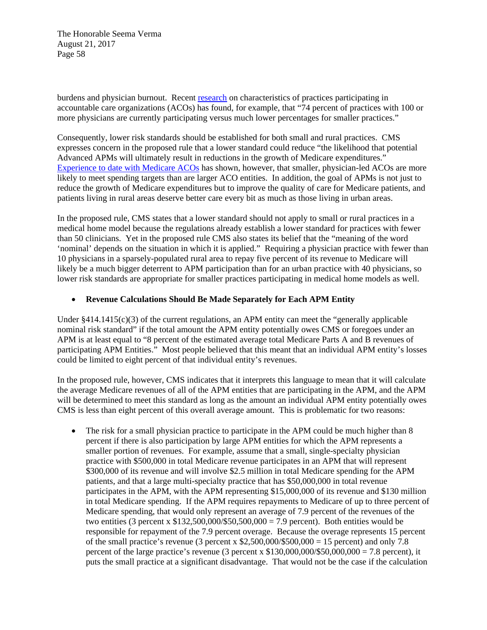burdens and physician burnout. Recent research on characteristics of practices participating in accountable care organizations (ACOs) has found, for example, that "74 percent of practices with 100 or more physicians are currently participating versus much lower percentages for smaller practices."

Consequently, lower risk standards should be established for both small and rural practices. CMS expresses concern in the proposed rule that a lower standard could reduce "the likelihood that potential Advanced APMs will ultimately result in reductions in the growth of Medicare expenditures." Experience to date with Medicare ACOs has shown, however, that smaller, physician-led ACOs are more likely to meet spending targets than are larger ACO entities. In addition, the goal of APMs is not just to reduce the growth of Medicare expenditures but to improve the quality of care for Medicare patients, and patients living in rural areas deserve better care every bit as much as those living in urban areas.

In the proposed rule, CMS states that a lower standard should not apply to small or rural practices in a medical home model because the regulations already establish a lower standard for practices with fewer than 50 clinicians. Yet in the proposed rule CMS also states its belief that the "meaning of the word 'nominal' depends on the situation in which it is applied." Requiring a physician practice with fewer than 10 physicians in a sparsely-populated rural area to repay five percent of its revenue to Medicare will likely be a much bigger deterrent to APM participation than for an urban practice with 40 physicians, so lower risk standards are appropriate for smaller practices participating in medical home models as well.

## **Revenue Calculations Should Be Made Separately for Each APM Entity**

Under §414.1415(c)(3) of the current regulations, an APM entity can meet the "generally applicable" nominal risk standard" if the total amount the APM entity potentially owes CMS or foregoes under an APM is at least equal to "8 percent of the estimated average total Medicare Parts A and B revenues of participating APM Entities." Most people believed that this meant that an individual APM entity's losses could be limited to eight percent of that individual entity's revenues.

In the proposed rule, however, CMS indicates that it interprets this language to mean that it will calculate the average Medicare revenues of all of the APM entities that are participating in the APM, and the APM will be determined to meet this standard as long as the amount an individual APM entity potentially owes CMS is less than eight percent of this overall average amount. This is problematic for two reasons:

• The risk for a small physician practice to participate in the APM could be much higher than 8 percent if there is also participation by large APM entities for which the APM represents a smaller portion of revenues. For example, assume that a small, single-specialty physician practice with \$500,000 in total Medicare revenue participates in an APM that will represent \$300,000 of its revenue and will involve \$2.5 million in total Medicare spending for the APM patients, and that a large multi-specialty practice that has \$50,000,000 in total revenue participates in the APM, with the APM representing \$15,000,000 of its revenue and \$130 million in total Medicare spending. If the APM requires repayments to Medicare of up to three percent of Medicare spending, that would only represent an average of 7.9 percent of the revenues of the two entities (3 percent x  $$132,500,000/$50,500,000 = 7.9$  percent). Both entities would be responsible for repayment of the 7.9 percent overage. Because the overage represents 15 percent of the small practice's revenue (3 percent x  $$2,500,000/$500,000 = 15$  percent) and only 7.8 percent of the large practice's revenue (3 percent x  $$130,000,000/$50,000,000 = 7.8$  percent), it puts the small practice at a significant disadvantage. That would not be the case if the calculation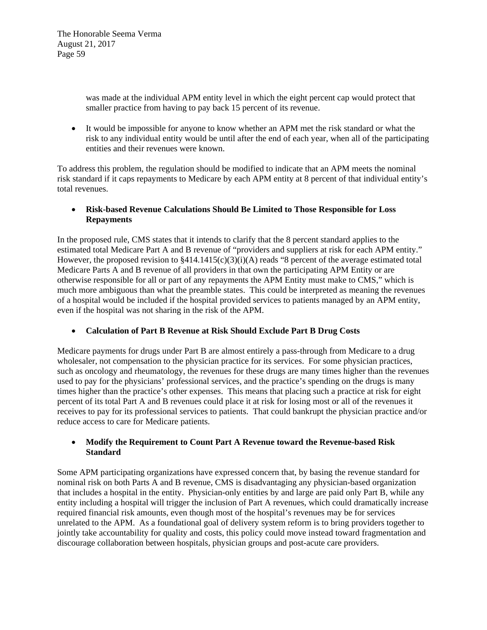> was made at the individual APM entity level in which the eight percent cap would protect that smaller practice from having to pay back 15 percent of its revenue.

 It would be impossible for anyone to know whether an APM met the risk standard or what the risk to any individual entity would be until after the end of each year, when all of the participating entities and their revenues were known.

To address this problem, the regulation should be modified to indicate that an APM meets the nominal risk standard if it caps repayments to Medicare by each APM entity at 8 percent of that individual entity's total revenues.

 **Risk-based Revenue Calculations Should Be Limited to Those Responsible for Loss Repayments** 

In the proposed rule, CMS states that it intends to clarify that the 8 percent standard applies to the estimated total Medicare Part A and B revenue of "providers and suppliers at risk for each APM entity." However, the proposed revision to  $\frac{8414.1415(c)(3)(i)}{A}$  reads "8 percent of the average estimated total Medicare Parts A and B revenue of all providers in that own the participating APM Entity or are otherwise responsible for all or part of any repayments the APM Entity must make to CMS," which is much more ambiguous than what the preamble states. This could be interpreted as meaning the revenues of a hospital would be included if the hospital provided services to patients managed by an APM entity, even if the hospital was not sharing in the risk of the APM.

**Calculation of Part B Revenue at Risk Should Exclude Part B Drug Costs** 

Medicare payments for drugs under Part B are almost entirely a pass-through from Medicare to a drug wholesaler, not compensation to the physician practice for its services. For some physician practices, such as oncology and rheumatology, the revenues for these drugs are many times higher than the revenues used to pay for the physicians' professional services, and the practice's spending on the drugs is many times higher than the practice's other expenses. This means that placing such a practice at risk for eight percent of its total Part A and B revenues could place it at risk for losing most or all of the revenues it receives to pay for its professional services to patients. That could bankrupt the physician practice and/or reduce access to care for Medicare patients.

# **Modify the Requirement to Count Part A Revenue toward the Revenue-based Risk Standard**

Some APM participating organizations have expressed concern that, by basing the revenue standard for nominal risk on both Parts A and B revenue, CMS is disadvantaging any physician-based organization that includes a hospital in the entity. Physician-only entities by and large are paid only Part B, while any entity including a hospital will trigger the inclusion of Part A revenues, which could dramatically increase required financial risk amounts, even though most of the hospital's revenues may be for services unrelated to the APM. As a foundational goal of delivery system reform is to bring providers together to jointly take accountability for quality and costs, this policy could move instead toward fragmentation and discourage collaboration between hospitals, physician groups and post-acute care providers.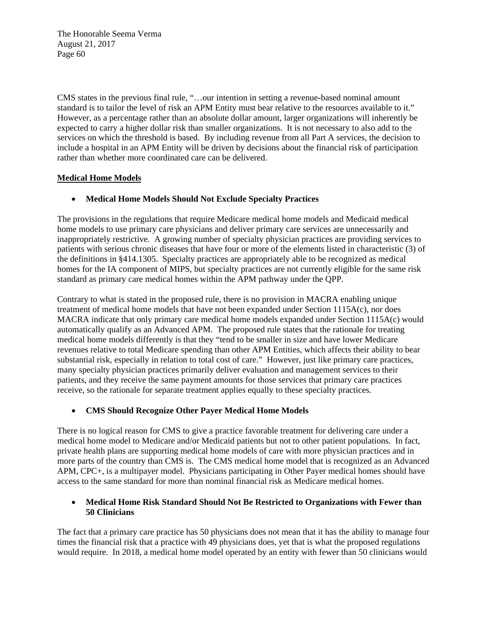CMS states in the previous final rule, "…our intention in setting a revenue-based nominal amount standard is to tailor the level of risk an APM Entity must bear relative to the resources available to it." However, as a percentage rather than an absolute dollar amount, larger organizations will inherently be expected to carry a higher dollar risk than smaller organizations. It is not necessary to also add to the services on which the threshold is based. By including revenue from all Part A services, the decision to include a hospital in an APM Entity will be driven by decisions about the financial risk of participation rather than whether more coordinated care can be delivered.

## **Medical Home Models**

## **Medical Home Models Should Not Exclude Specialty Practices**

The provisions in the regulations that require Medicare medical home models and Medicaid medical home models to use primary care physicians and deliver primary care services are unnecessarily and inappropriately restrictive. A growing number of specialty physician practices are providing services to patients with serious chronic diseases that have four or more of the elements listed in characteristic (3) of the definitions in §414.1305. Specialty practices are appropriately able to be recognized as medical homes for the IA component of MIPS, but specialty practices are not currently eligible for the same risk standard as primary care medical homes within the APM pathway under the QPP.

Contrary to what is stated in the proposed rule, there is no provision in MACRA enabling unique treatment of medical home models that have not been expanded under Section 1115A(c), nor does MACRA indicate that only primary care medical home models expanded under Section 1115A(c) would automatically qualify as an Advanced APM. The proposed rule states that the rationale for treating medical home models differently is that they "tend to be smaller in size and have lower Medicare revenues relative to total Medicare spending than other APM Entities, which affects their ability to bear substantial risk, especially in relation to total cost of care." However, just like primary care practices, many specialty physician practices primarily deliver evaluation and management services to their patients, and they receive the same payment amounts for those services that primary care practices receive, so the rationale for separate treatment applies equally to these specialty practices.

### **CMS Should Recognize Other Payer Medical Home Models**

There is no logical reason for CMS to give a practice favorable treatment for delivering care under a medical home model to Medicare and/or Medicaid patients but not to other patient populations. In fact, private health plans are supporting medical home models of care with more physician practices and in more parts of the country than CMS is. The CMS medical home model that is recognized as an Advanced APM, CPC+, is a multipayer model. Physicians participating in Other Payer medical homes should have access to the same standard for more than nominal financial risk as Medicare medical homes.

### **Medical Home Risk Standard Should Not Be Restricted to Organizations with Fewer than 50 Clinicians**

The fact that a primary care practice has 50 physicians does not mean that it has the ability to manage four times the financial risk that a practice with 49 physicians does, yet that is what the proposed regulations would require. In 2018, a medical home model operated by an entity with fewer than 50 clinicians would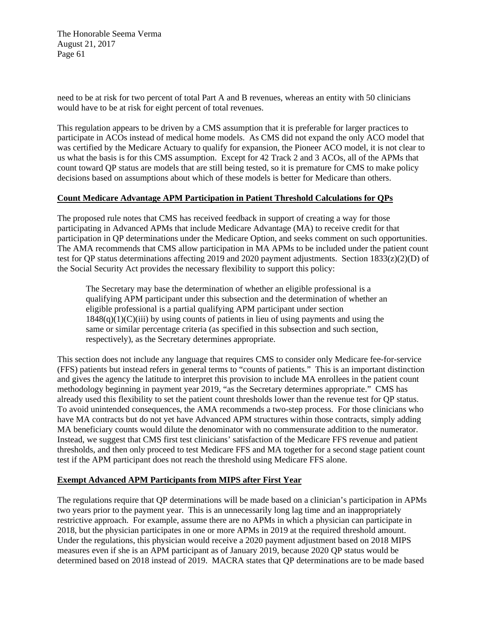need to be at risk for two percent of total Part A and B revenues, whereas an entity with 50 clinicians would have to be at risk for eight percent of total revenues.

This regulation appears to be driven by a CMS assumption that it is preferable for larger practices to participate in ACOs instead of medical home models. As CMS did not expand the only ACO model that was certified by the Medicare Actuary to qualify for expansion, the Pioneer ACO model, it is not clear to us what the basis is for this CMS assumption. Except for 42 Track 2 and 3 ACOs, all of the APMs that count toward QP status are models that are still being tested, so it is premature for CMS to make policy decisions based on assumptions about which of these models is better for Medicare than others.

#### **Count Medicare Advantage APM Participation in Patient Threshold Calculations for QPs**

The proposed rule notes that CMS has received feedback in support of creating a way for those participating in Advanced APMs that include Medicare Advantage (MA) to receive credit for that participation in QP determinations under the Medicare Option, and seeks comment on such opportunities. The AMA recommends that CMS allow participation in MA APMs to be included under the patient count test for QP status determinations affecting 2019 and 2020 payment adjustments. Section 1833(z)(2)(D) of the Social Security Act provides the necessary flexibility to support this policy:

The Secretary may base the determination of whether an eligible professional is a qualifying APM participant under this subsection and the determination of whether an eligible professional is a partial qualifying APM participant under section  $1848(q)(1)(C)(iii)$  by using counts of patients in lieu of using payments and using the same or similar percentage criteria (as specified in this subsection and such section, respectively), as the Secretary determines appropriate.

This section does not include any language that requires CMS to consider only Medicare fee-for-service (FFS) patients but instead refers in general terms to "counts of patients." This is an important distinction and gives the agency the latitude to interpret this provision to include MA enrollees in the patient count methodology beginning in payment year 2019, "as the Secretary determines appropriate." CMS has already used this flexibility to set the patient count thresholds lower than the revenue test for QP status. To avoid unintended consequences, the AMA recommends a two-step process. For those clinicians who have MA contracts but do not yet have Advanced APM structures within those contracts, simply adding MA beneficiary counts would dilute the denominator with no commensurate addition to the numerator. Instead, we suggest that CMS first test clinicians' satisfaction of the Medicare FFS revenue and patient thresholds, and then only proceed to test Medicare FFS and MA together for a second stage patient count test if the APM participant does not reach the threshold using Medicare FFS alone.

### **Exempt Advanced APM Participants from MIPS after First Year**

The regulations require that QP determinations will be made based on a clinician's participation in APMs two years prior to the payment year. This is an unnecessarily long lag time and an inappropriately restrictive approach. For example, assume there are no APMs in which a physician can participate in 2018, but the physician participates in one or more APMs in 2019 at the required threshold amount. Under the regulations, this physician would receive a 2020 payment adjustment based on 2018 MIPS measures even if she is an APM participant as of January 2019, because 2020 QP status would be determined based on 2018 instead of 2019. MACRA states that QP determinations are to be made based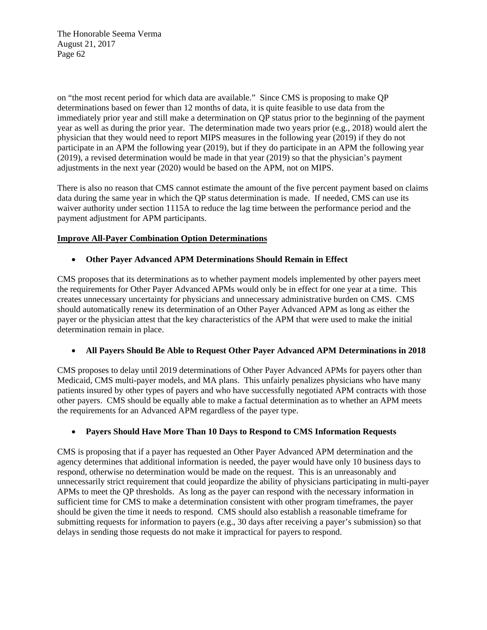on "the most recent period for which data are available." Since CMS is proposing to make QP determinations based on fewer than 12 months of data, it is quite feasible to use data from the immediately prior year and still make a determination on QP status prior to the beginning of the payment year as well as during the prior year. The determination made two years prior (e.g., 2018) would alert the physician that they would need to report MIPS measures in the following year (2019) if they do not participate in an APM the following year (2019), but if they do participate in an APM the following year (2019), a revised determination would be made in that year (2019) so that the physician's payment adjustments in the next year (2020) would be based on the APM, not on MIPS.

There is also no reason that CMS cannot estimate the amount of the five percent payment based on claims data during the same year in which the QP status determination is made. If needed, CMS can use its waiver authority under section 1115A to reduce the lag time between the performance period and the payment adjustment for APM participants.

## **Improve All-Payer Combination Option Determinations**

## **Other Payer Advanced APM Determinations Should Remain in Effect**

CMS proposes that its determinations as to whether payment models implemented by other payers meet the requirements for Other Payer Advanced APMs would only be in effect for one year at a time. This creates unnecessary uncertainty for physicians and unnecessary administrative burden on CMS. CMS should automatically renew its determination of an Other Payer Advanced APM as long as either the payer or the physician attest that the key characteristics of the APM that were used to make the initial determination remain in place.

# **All Payers Should Be Able to Request Other Payer Advanced APM Determinations in 2018**

CMS proposes to delay until 2019 determinations of Other Payer Advanced APMs for payers other than Medicaid, CMS multi-payer models, and MA plans. This unfairly penalizes physicians who have many patients insured by other types of payers and who have successfully negotiated APM contracts with those other payers. CMS should be equally able to make a factual determination as to whether an APM meets the requirements for an Advanced APM regardless of the payer type.

### **Payers Should Have More Than 10 Days to Respond to CMS Information Requests**

CMS is proposing that if a payer has requested an Other Payer Advanced APM determination and the agency determines that additional information is needed, the payer would have only 10 business days to respond, otherwise no determination would be made on the request. This is an unreasonably and unnecessarily strict requirement that could jeopardize the ability of physicians participating in multi-payer APMs to meet the QP thresholds. As long as the payer can respond with the necessary information in sufficient time for CMS to make a determination consistent with other program timeframes, the payer should be given the time it needs to respond. CMS should also establish a reasonable timeframe for submitting requests for information to payers (e.g., 30 days after receiving a payer's submission) so that delays in sending those requests do not make it impractical for payers to respond.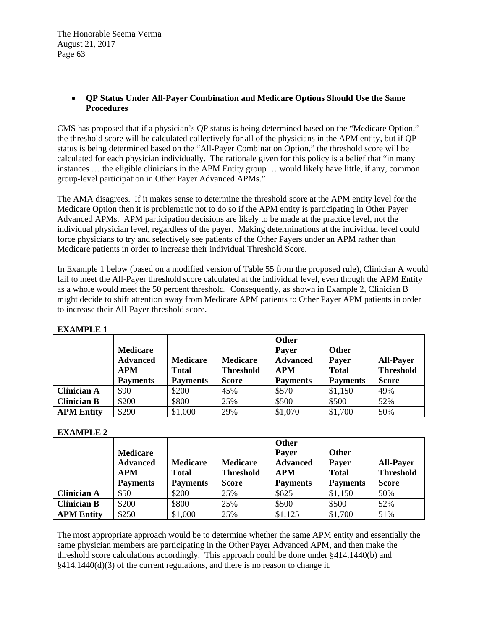### **QP Status Under All-Payer Combination and Medicare Options Should Use the Same Procedures**

CMS has proposed that if a physician's QP status is being determined based on the "Medicare Option," the threshold score will be calculated collectively for all of the physicians in the APM entity, but if QP status is being determined based on the "All-Payer Combination Option," the threshold score will be calculated for each physician individually. The rationale given for this policy is a belief that "in many instances … the eligible clinicians in the APM Entity group … would likely have little, if any, common group-level participation in Other Payer Advanced APMs."

The AMA disagrees. If it makes sense to determine the threshold score at the APM entity level for the Medicare Option then it is problematic not to do so if the APM entity is participating in Other Payer Advanced APMs. APM participation decisions are likely to be made at the practice level, not the individual physician level, regardless of the payer. Making determinations at the individual level could force physicians to try and selectively see patients of the Other Payers under an APM rather than Medicare patients in order to increase their individual Threshold Score.

In Example 1 below (based on a modified version of Table 55 from the proposed rule), Clinician A would fail to meet the All-Payer threshold score calculated at the individual level, even though the APM Entity as a whole would meet the 50 percent threshold. Consequently, as shown in Example 2, Clinician B might decide to shift attention away from Medicare APM patients to Other Payer APM patients in order to increase their All-Payer threshold score.

|                    | <b>Medicare</b><br><b>Advanced</b><br><b>APM</b><br><b>Payments</b> | <b>Medicare</b><br><b>Total</b><br><b>Payments</b> | <b>Medicare</b><br><b>Threshold</b><br><b>Score</b> | Other<br>Payer<br><b>Advanced</b><br><b>APM</b><br><b>Payments</b> | Other<br>Payer<br><b>Total</b><br><b>Payments</b> | <b>All-Payer</b><br><b>Threshold</b><br><b>Score</b> |
|--------------------|---------------------------------------------------------------------|----------------------------------------------------|-----------------------------------------------------|--------------------------------------------------------------------|---------------------------------------------------|------------------------------------------------------|
| <b>Clinician A</b> | \$90                                                                | \$200                                              | 45%                                                 | \$570                                                              | \$1,150                                           | 49%                                                  |
| <b>Clinician B</b> | \$200                                                               | \$800                                              | 25%                                                 | \$500                                                              | \$500                                             | 52%                                                  |
| <b>APM Entity</b>  | \$290                                                               | \$1,000                                            | 29%                                                 | \$1,070                                                            | \$1,700                                           | 50%                                                  |

## **EXAMPLE 1**

### **EXAMPLE 2**

|                    | <b>Medicare</b><br><b>Advanced</b><br><b>APM</b><br><b>Payments</b> | <b>Medicare</b><br><b>Total</b><br><b>Payments</b> | <b>Medicare</b><br><b>Threshold</b><br><b>Score</b> | Other<br><b>Payer</b><br><b>Advanced</b><br><b>APM</b><br><b>Payments</b> | Other<br>Payer<br><b>Total</b><br><b>Payments</b> | <b>All-Payer</b><br><b>Threshold</b><br><b>Score</b> |
|--------------------|---------------------------------------------------------------------|----------------------------------------------------|-----------------------------------------------------|---------------------------------------------------------------------------|---------------------------------------------------|------------------------------------------------------|
| <b>Clinician A</b> | \$50                                                                | \$200                                              | 25%                                                 | \$625                                                                     | \$1,150                                           | 50%                                                  |
| <b>Clinician B</b> | \$200                                                               | \$800                                              | 25%                                                 | \$500                                                                     | \$500                                             | 52%                                                  |
| <b>APM Entity</b>  | \$250                                                               | \$1,000                                            | 25%                                                 | \$1,125                                                                   | \$1,700                                           | 51%                                                  |

The most appropriate approach would be to determine whether the same APM entity and essentially the same physician members are participating in the Other Payer Advanced APM, and then make the threshold score calculations accordingly. This approach could be done under §414.1440(b) and  $§414.1440(d)(3)$  of the current regulations, and there is no reason to change it.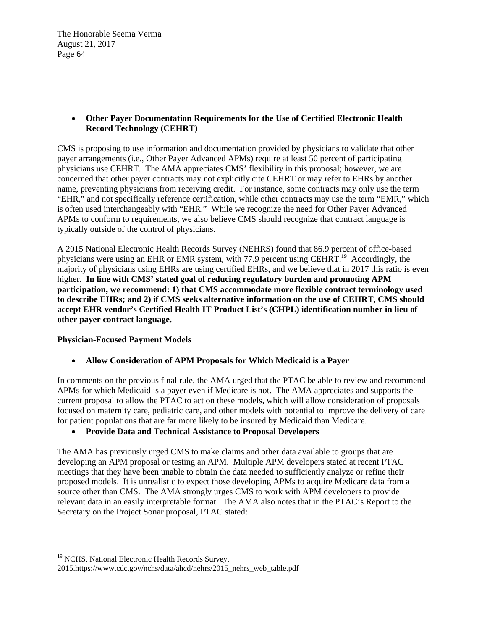## **Other Payer Documentation Requirements for the Use of Certified Electronic Health Record Technology (CEHRT)**

CMS is proposing to use information and documentation provided by physicians to validate that other payer arrangements (i.e., Other Payer Advanced APMs) require at least 50 percent of participating physicians use CEHRT. The AMA appreciates CMS' flexibility in this proposal; however, we are concerned that other payer contracts may not explicitly cite CEHRT or may refer to EHRs by another name, preventing physicians from receiving credit. For instance, some contracts may only use the term "EHR," and not specifically reference certification, while other contracts may use the term "EMR," which is often used interchangeably with "EHR." While we recognize the need for Other Payer Advanced APMs to conform to requirements, we also believe CMS should recognize that contract language is typically outside of the control of physicians.

A 2015 National Electronic Health Records Survey (NEHRS) found that 86.9 percent of office-based physicians were using an EHR or EMR system, with 77.9 percent using CEHRT.<sup>19</sup> Accordingly, the majority of physicians using EHRs are using certified EHRs, and we believe that in 2017 this ratio is even higher. **In line with CMS' stated goal of reducing regulatory burden and promoting APM participation, we recommend: 1) that CMS accommodate more flexible contract terminology used to describe EHRs; and 2) if CMS seeks alternative information on the use of CEHRT, CMS should accept EHR vendor's Certified Health IT Product List's (CHPL) identification number in lieu of other payer contract language.**

# **Physician-Focused Payment Models**

**Allow Consideration of APM Proposals for Which Medicaid is a Payer** 

In comments on the previous final rule, the AMA urged that the PTAC be able to review and recommend APMs for which Medicaid is a payer even if Medicare is not. The AMA appreciates and supports the current proposal to allow the PTAC to act on these models, which will allow consideration of proposals focused on maternity care, pediatric care, and other models with potential to improve the delivery of care for patient populations that are far more likely to be insured by Medicaid than Medicare.

# **Provide Data and Technical Assistance to Proposal Developers**

The AMA has previously urged CMS to make claims and other data available to groups that are developing an APM proposal or testing an APM. Multiple APM developers stated at recent PTAC meetings that they have been unable to obtain the data needed to sufficiently analyze or refine their proposed models. It is unrealistic to expect those developing APMs to acquire Medicare data from a source other than CMS. The AMA strongly urges CMS to work with APM developers to provide relevant data in an easily interpretable format. The AMA also notes that in the PTAC's Report to the Secretary on the Project Sonar proposal, PTAC stated:

 

<sup>&</sup>lt;sup>19</sup> NCHS, National Electronic Health Records Survey.

<sup>2015.</sup>https://www.cdc.gov/nchs/data/ahcd/nehrs/2015\_nehrs\_web\_table.pdf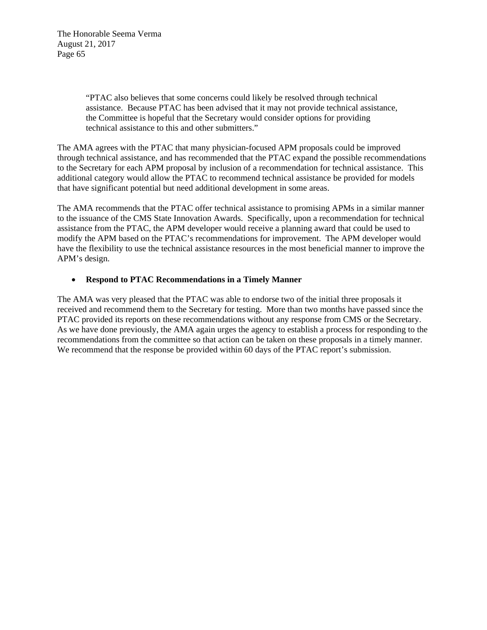> "PTAC also believes that some concerns could likely be resolved through technical assistance. Because PTAC has been advised that it may not provide technical assistance, the Committee is hopeful that the Secretary would consider options for providing technical assistance to this and other submitters."

The AMA agrees with the PTAC that many physician-focused APM proposals could be improved through technical assistance, and has recommended that the PTAC expand the possible recommendations to the Secretary for each APM proposal by inclusion of a recommendation for technical assistance. This additional category would allow the PTAC to recommend technical assistance be provided for models that have significant potential but need additional development in some areas.

The AMA recommends that the PTAC offer technical assistance to promising APMs in a similar manner to the issuance of the CMS State Innovation Awards. Specifically, upon a recommendation for technical assistance from the PTAC, the APM developer would receive a planning award that could be used to modify the APM based on the PTAC's recommendations for improvement. The APM developer would have the flexibility to use the technical assistance resources in the most beneficial manner to improve the APM's design.

#### **Respond to PTAC Recommendations in a Timely Manner**

The AMA was very pleased that the PTAC was able to endorse two of the initial three proposals it received and recommend them to the Secretary for testing. More than two months have passed since the PTAC provided its reports on these recommendations without any response from CMS or the Secretary. As we have done previously, the AMA again urges the agency to establish a process for responding to the recommendations from the committee so that action can be taken on these proposals in a timely manner. We recommend that the response be provided within 60 days of the PTAC report's submission.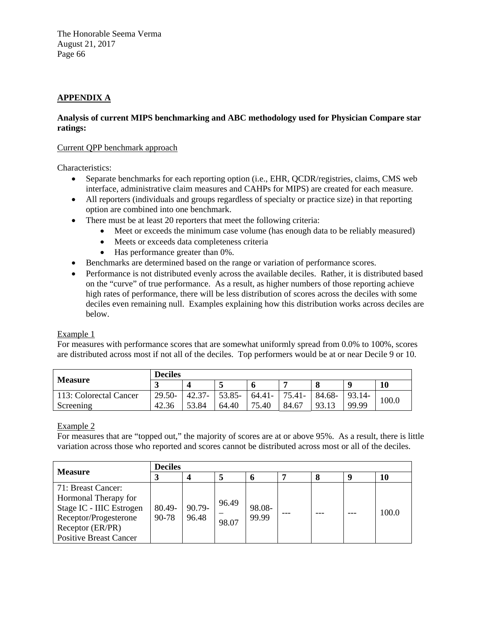# **APPENDIX A**

## **Analysis of current MIPS benchmarking and ABC methodology used for Physician Compare star ratings:**

### Current QPP benchmark approach

Characteristics:

- Separate benchmarks for each reporting option (i.e., EHR, QCDR/registries, claims, CMS web interface, administrative claim measures and CAHPs for MIPS) are created for each measure.
- All reporters (individuals and groups regardless of specialty or practice size) in that reporting option are combined into one benchmark.
- There must be at least 20 reporters that meet the following criteria:
	- Meet or exceeds the minimum case volume (has enough data to be reliably measured)
	- Meets or exceeds data completeness criteria
	- Has performance greater than 0%.
- Benchmarks are determined based on the range or variation of performance scores.
- Performance is not distributed evenly across the available deciles. Rather, it is distributed based on the "curve" of true performance. As a result, as higher numbers of those reporting achieve high rates of performance, there will be less distribution of scores across the deciles with some deciles even remaining null. Examples explaining how this distribution works across deciles are below.

# Example 1

For measures with performance scores that are somewhat uniformly spread from 0.0% to 100%, scores are distributed across most if not all of the deciles. Top performers would be at or near Decile 9 or 10.

| <b>Measure</b>         | <b>Deciles</b> |           |        |        |           |        |          |       |
|------------------------|----------------|-----------|--------|--------|-----------|--------|----------|-------|
|                        | <b>J</b>       |           |        |        |           |        |          | 10    |
| 113: Colorectal Cancer | $29.50-$       | $42.37 -$ | 53.85- | 64.41- | $75.41 -$ | 84.68- | $93.14-$ | 100.0 |
| Screening              | 42.36          | 53.84     | 64.40  | 75.40  | 84.67     | 93.13  | 99.99    |       |

# Example 2

For measures that are "topped out," the majority of scores are at or above 95%. As a result, there is little variation across those who reported and scores cannot be distributed across most or all of the deciles.

| <b>Measure</b>                                                                                                                                       |                 | <b>Deciles</b>  |                |                 |  |  |  |       |  |
|------------------------------------------------------------------------------------------------------------------------------------------------------|-----------------|-----------------|----------------|-----------------|--|--|--|-------|--|
|                                                                                                                                                      |                 |                 |                |                 |  |  |  | 10    |  |
| 71: Breast Cancer:<br>Hormonal Therapy for<br>Stage IC - IIIC Estrogen<br>Receptor/Progesterone<br>Receptor (ER/PR)<br><b>Positive Breast Cancer</b> | 80.49-<br>90-78 | 90.79-<br>96.48 | 96.49<br>98.07 | 98.08-<br>99.99 |  |  |  | 100.0 |  |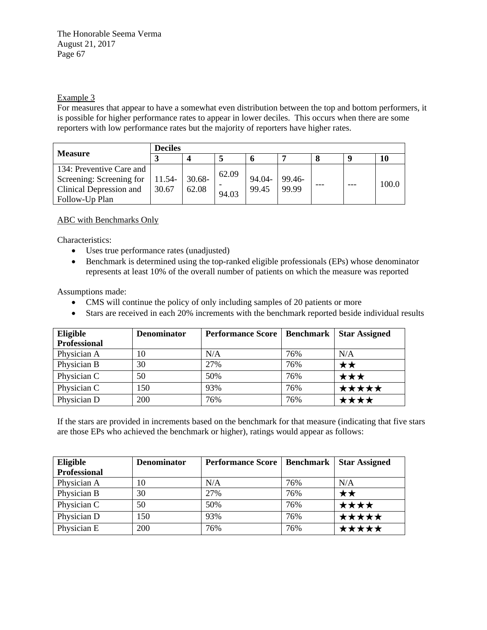## Example 3

For measures that appear to have a somewhat even distribution between the top and bottom performers, it is possible for higher performance rates to appear in lower deciles. This occurs when there are some reporters with low performance rates but the majority of reporters have higher rates.

| <b>Measure</b>                                                                                                | Deciles |                    |                |                 |                 |     |  |       |
|---------------------------------------------------------------------------------------------------------------|---------|--------------------|----------------|-----------------|-----------------|-----|--|-------|
|                                                                                                               |         |                    |                |                 |                 |     |  | 10    |
| 134: Preventive Care and<br>Screening: Screening for   $11.54$ -<br>Clinical Depression and<br>Follow-Up Plan | 30.67   | $30.68 -$<br>62.08 | 62.09<br>94.03 | 94.04-<br>99.45 | 99.46-<br>99.99 | --- |  | 100.0 |

ABC with Benchmarks Only

Characteristics:

- Uses true performance rates (unadjusted)
- Benchmark is determined using the top-ranked eligible professionals (EPs) whose denominator represents at least 10% of the overall number of patients on which the measure was reported

Assumptions made:

- CMS will continue the policy of only including samples of 20 patients or more
- Stars are received in each 20% increments with the benchmark reported beside individual results

| Eligible            | <b>Denominator</b> | <b>Performance Score</b> | Benchmark | <b>Star Assigned</b> |
|---------------------|--------------------|--------------------------|-----------|----------------------|
| <b>Professional</b> |                    |                          |           |                      |
| Physician A         | 10                 | N/A                      | 76%       | N/A                  |
| Physician B         | 30                 | 27%                      | 76%       | ★★                   |
| Physician C         | 50                 | 50%                      | 76%       | ★★★                  |
| Physician C         | 150                | 93%                      | 76%       | ★★★★★                |
| Physician D         | <b>200</b>         | 76%                      | 76%       | ★★★★                 |

If the stars are provided in increments based on the benchmark for that measure (indicating that five stars are those EPs who achieved the benchmark or higher), ratings would appear as follows:

| Eligible            | <b>Denominator</b> | <b>Performance Score</b> | Benchmark | <b>Star Assigned</b> |
|---------------------|--------------------|--------------------------|-----------|----------------------|
| <b>Professional</b> |                    |                          |           |                      |
| Physician A         | 10                 | N/A                      | 76%       | N/A                  |
| Physician B         | 30                 | 27%                      | 76%       | ★★                   |
| Physician C         | 50                 | 50%                      | 76%       | ★★★★                 |
| Physician D         | 150                | 93%                      | 76%       | ★★★★★                |
| Physician E         | 200                | 76%                      | 76%       | ★★★★★                |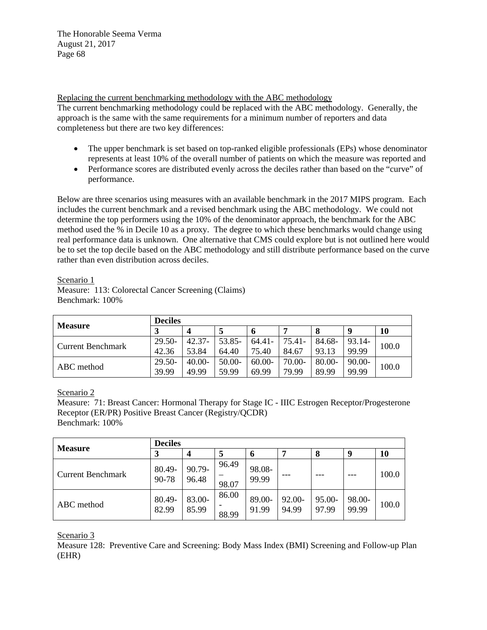Replacing the current benchmarking methodology with the ABC methodology

The current benchmarking methodology could be replaced with the ABC methodology. Generally, the approach is the same with the same requirements for a minimum number of reporters and data completeness but there are two key differences:

- The upper benchmark is set based on top-ranked eligible professionals (EPs) whose denominator represents at least 10% of the overall number of patients on which the measure was reported and
- Performance scores are distributed evenly across the deciles rather than based on the "curve" of performance.

Below are three scenarios using measures with an available benchmark in the 2017 MIPS program. Each includes the current benchmark and a revised benchmark using the ABC methodology. We could not determine the top performers using the 10% of the denominator approach, the benchmark for the ABC method used the % in Decile 10 as a proxy. The degree to which these benchmarks would change using real performance data is unknown. One alternative that CMS could explore but is not outlined here would be to set the top decile based on the ABC methodology and still distribute performance based on the curve rather than even distribution across deciles.

Scenario 1

Measure: 113: Colorectal Cancer Screening (Claims) Benchmark: 100%

| <b>Measure</b>    | <b>Deciles</b> |           |          |           |        |        |             |       |  |
|-------------------|----------------|-----------|----------|-----------|--------|--------|-------------|-------|--|
|                   | J              |           |          |           |        |        | $\mathbf Q$ | 10    |  |
| Current Benchmark | $29.50 -$      | $42.37 -$ | 53.85-   | $64.41 -$ | 75.41- | 84.68- | 93.14-      | 100.0 |  |
|                   | 42.36          | 53.84     | 64.40    | 75.40     | 84.67  | 93.13  | 99.99       |       |  |
| ABC method        | $29.50 -$      | $40.00 -$ | $50.00-$ | $60.00-$  | 70.00- | 80.00- | $90.00 -$   | 100.0 |  |
|                   | 39.99          | 49.99     | 59.99    | 69.99     | 79.99  | 89.99  | 99.99       |       |  |

Scenario 2

Measure: 71: Breast Cancer: Hormonal Therapy for Stage IC - IIIC Estrogen Receptor/Progesterone Receptor (ER/PR) Positive Breast Cancer (Registry/QCDR) Benchmark: 100%

| <b>Measure</b>           | <b>Deciles</b>  |                  |                |                 |                    |                 |                 |       |  |
|--------------------------|-----------------|------------------|----------------|-----------------|--------------------|-----------------|-----------------|-------|--|
|                          |                 | $\boldsymbol{4}$ |                | O               |                    | 8               | 9               | 10    |  |
| <b>Current Benchmark</b> | 80.49-<br>90-78 | 90.79-<br>96.48  | 96.49<br>98.07 | 98.08-<br>99.99 |                    |                 |                 | 100.0 |  |
| ABC method               | 80.49-<br>82.99 | 83.00-<br>85.99  | 86.00<br>88.99 | 89.00-<br>91.99 | $92.00 -$<br>94.99 | 95.00-<br>97.99 | 98.00-<br>99.99 | 100.0 |  |

Scenario 3

Measure 128: Preventive Care and Screening: Body Mass Index (BMI) Screening and Follow-up Plan (EHR)